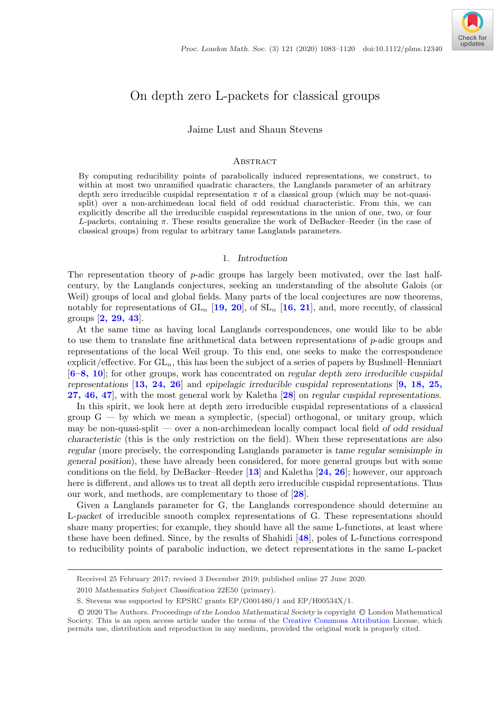

# On depth zero L-packets for classical groups

Jaime Lust and Shaun Stevens

#### **ABSTRACT**

By computing reducibility points of parabolically induced representations, we construct, to within at most two unramified quadratic characters, the Langlands parameter of an arbitrary depth zero irreducible cuspidal representation  $\pi$  of a classical group (which may be not-quasisplit) over a non-archimedean local field of odd residual characteristic. From this, we can explicitly describe all the irreducible cuspidal representations in the union of one, two, or four L-packets, containing  $\pi$ . These results generalize the work of DeBacker–Reeder (in the case of classical groups) from regular to arbitrary tame Langlands parameters.

## 1. *Introduction*

The representation theory of p-adic groups has largely been motivated, over the last halfcentury, by the Langlands conjectures, seeking an understanding of the absolute Galois (or Weil) groups of local and global fields. Many parts of the local conjectures are now theorems, notably for representations of  $GL_n$  [[19, 20](#page-36-0)], of  $SL_n$  [[16, 21](#page-36-0)], and, more recently, of classical groups [**[2, 29, 43](#page-35-0)**].

At the same time as having local Langlands correspondences, one would like to be able to use them to translate fine arithmetical data between representations of  $p$ -adic groups and representations of the local Weil group. To this end, one seeks to make the correspondence explicit/effective. For  $GL_n$ , this has been the subject of a series of papers by Bushnell–Henniart [**[6–8, 10](#page-35-0)**]; for other groups, work has concentrated on *regular depth zero irreducible cuspidal representations* [**[13, 24, 26](#page-36-0)**] and *epipelagic irreducible cuspidal representations* [**[9, 18, 25,](#page-35-0) [27, 46, 47](#page-35-0)**], with the most general work by Kaletha [**[28](#page-36-0)**] on *regular cuspidal representations*.

In this spirit, we look here at depth zero irreducible cuspidal representations of a classical group  $G - by$  which we mean a symplectic, (special) orthogonal, or unitary group, which may be non-quasi-split — over a non-archimedean locally compact local field *of odd residual characteristic* (this is the only restriction on the field). When these representations are also *regular* (more precisely, the corresponding Langlands parameter is *tame regular semisimple in general position*), these have already been considered, for more general groups but with some conditions on the field, by DeBacker–Reeder [**[13](#page-36-0)**] and Kaletha [**[24, 26](#page-36-0)**]; however, our approach here is different, and allows us to treat all depth zero irreducible cuspidal representations. Thus our work, and methods, are complementary to those of [**[28](#page-36-0)**].

Given a Langlands parameter for G, the Langlands correspondence should determine an L*-packet* of irreducible smooth complex representations of G. These representations should share many properties; for example, they should have all the same L-functions, at least where these have been defined. Since, by the results of Shahidi [**[48](#page-37-0)**], poles of L-functions correspond to reducibility points of parabolic induction, we detect representations in the same L-packet

Received 25 February 2017; revised 3 December 2019; published online 27 June 2020.

<sup>2010</sup> *Mathematics Subject Classification* 22E50 (primary).

S. Stevens was supported by EPSRC grants EP/G001480/1 and EP/H00534X/1.

<sup>C</sup>❡2020 The Authors. *Proceedings of the London Mathematical Society* is copyright <sup>C</sup>❡London Mathematical Society. This is an open access article under the terms of the [Creative Commons Attribution](http://creativecommons.org/licenses/by/4.0/) License, which permits use, distribution and reproduction in any medium, provided the original work is properly cited.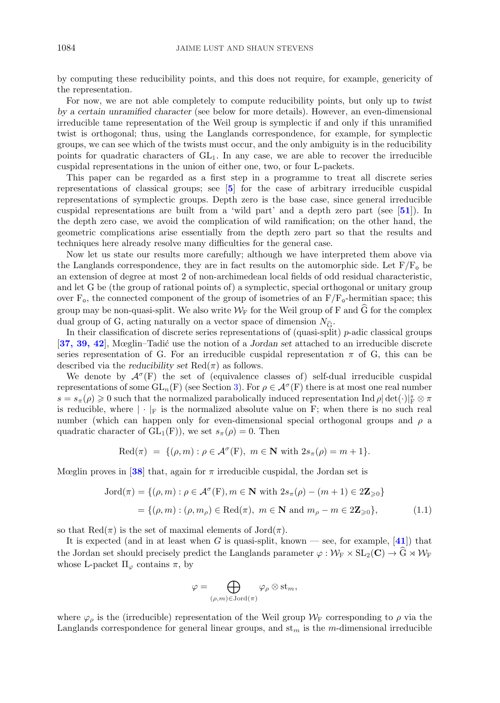<span id="page-1-0"></span>by computing these reducibility points, and this does not require, for example, genericity of the representation.

For now, we are not able completely to compute reducibility points, but only up to *twist by a certain unramified character* (see below for more details). However, an even-dimensional irreducible tame representation of the Weil group is symplectic if and only if this unramified twist is orthogonal; thus, using the Langlands correspondence, for example, for symplectic groups, we can see which of the twists must occur, and the only ambiguity is in the reducibility points for quadratic characters of  $GL_1$ . In any case, we are able to recover the irreducible cuspidal representations in the union of either one, two, or four L-packets.

This paper can be regarded as a first step in a programme to treat all discrete series representations of classical groups; see [**[5](#page-35-0)**] for the case of arbitrary irreducible cuspidal representations of symplectic groups. Depth zero is the base case, since general irreducible cuspidal representations are built from a 'wild part' and a depth zero part (see [**[51](#page-37-0)**]). In the depth zero case, we avoid the complication of wild ramification; on the other hand, the geometric complications arise essentially from the depth zero part so that the results and techniques here already resolve many difficulties for the general case.

Now let us state our results more carefully; although we have interpreted them above via the Langlands correspondence, they are in fact results on the automorphic side. Let  $F/F<sub>o</sub>$  be an extension of degree at most 2 of non-archimedean local fields of odd residual characteristic, and let G be (the group of rational points of) a symplectic, special orthogonal or unitary group over  $F_o$ , the connected component of the group of isometries of an  $F/F_o$ -hermitian space; this group may be non-quasi-split. We also write  $W_F$  for the Weil group of F and G for the complex group may be non-quasi-split. We also write  $W_F$  for the Weil group of dual group of G, acting naturally on a vector space of dimension  $N_{\widehat{G}}$ dual group of G, acting naturally on a vector space of dimension  $N_{\hat{c}}$ .

In their classification of discrete series representations of (quasi-split)  $p$ -adic classical groups [**[37, 39, 42](#page-36-0)**], Mœglin–Tadi´c use the notion of a *Jordan set* attached to an irreducible discrete series representation of G. For an irreducible cuspidal representation  $\pi$  of G, this can be described via the *reducibility set*  $\text{Red}(\pi)$  as follows.

We denote by  $\mathcal{A}^{\sigma}(F)$  the set of (equivalence classes of) self-dual irreducible cuspidal representations of some  $GL_n(F)$  (see Section [3\)](#page-8-0). For  $\rho \in \mathcal{A}^{\sigma}(F)$  there is at most one real number  $s = s_{\pi}(\rho) \geq 0$  such that the normalized parabolically induced representation Ind  $\rho |\det(\cdot)|^s_F \otimes \pi$ is reducible, where  $|\cdot|_F$  is the normalized absolute value on F; when there is no such real number (which can happen only for even-dimensional special orthogonal groups and  $\rho$  a quadratic character of  $GL_1(F)$ , we set  $s_{\pi}(\rho) = 0$ . Then

$$
Red(\pi) = \{(\rho, m) : \rho \in \mathcal{A}^{\sigma}(F), m \in \mathbf{N} \text{ with } 2s_{\pi}(\rho) = m + 1\}.
$$

Mœglin proves in [[38](#page-36-0)] that, again for  $\pi$  irreducible cuspidal, the Jordan set is

$$
Jord(\pi) = \{(\rho, m) : \rho \in \mathcal{A}^{\sigma}(F), m \in \mathbf{N} \text{ with } 2s_{\pi}(\rho) - (m+1) \in 2\mathbf{Z}_{\geq 0}\}\
$$

$$
= \{(\rho, m) : (\rho, m_{\rho}) \in \text{Red}(\pi), m \in \mathbf{N} \text{ and } m_{\rho} - m \in 2\mathbf{Z}_{\geq 0}\},\tag{1.1}
$$

so that  $\text{Red}(\pi)$  is the set of maximal elements of  $\text{Jord}(\pi)$ .

It is expected (and in at least when G is quasi-split, known — see, for example,  $[41]$  $[41]$  $[41]$ ) that the Jordan set should precisely predict the Langlands parameter  $\varphi : \mathcal{W}_{F} \times SL_2(\mathbf{C}) \to \widehat{G} \rtimes \mathcal{W}_{F}$ whose L-packet  $\Pi_{\varphi}$  contains  $\pi$ , by

$$
\varphi=\bigoplus_{(\rho,m)\in {\rm Jord}(\pi)}\varphi_\rho\otimes{\rm st}_m,
$$

where  $\varphi_{\rho}$  is the (irreducible) representation of the Weil group  $\mathcal{W}_{\mathrm{F}}$  corresponding to  $\rho$  via the Langlands correspondence for general linear groups, and  $st_m$  is the m-dimensional irreducible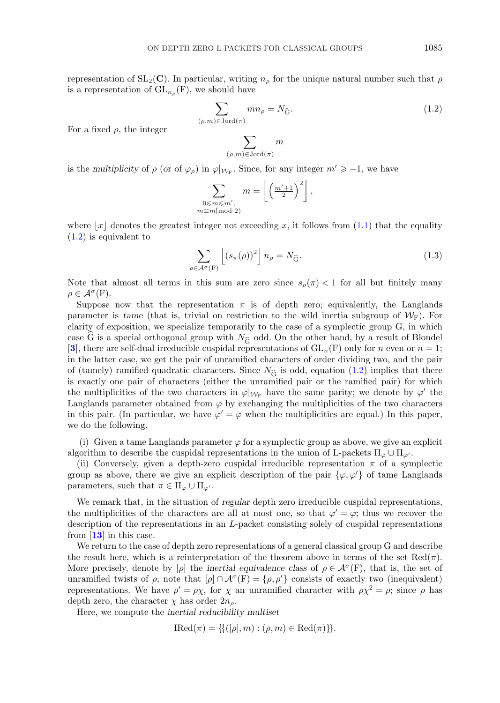<span id="page-2-0"></span>representation of  $SL_2(\mathbb{C})$ . In particular, writing  $n_\rho$  for the unique natural number such that  $\rho$ is a representation of  $GL_{n_{\rho}}(F)$ , we should have

we should have  
\n
$$
\sum_{(\rho,m)\in \text{Jord}(\pi)} mn_{\rho} = N_{\widehat{\mathbf{G}}}.
$$
\n(1.2)

For a fixed  $\rho$ , the integer

$$
\sum_{(\rho,m)\in {\rm Jord}(\pi)}m
$$

is the *multiplicity* of  $\rho$  (or of  $\varphi_{\rho}$ ) in  $\varphi|_{W_{\mathcal{F}}}$ . Since, for any integer  $m' \geq -1$ , we have

 $\rho$ 

$$
\sum_{\substack{0 \le m \le m', \\ m \equiv m \pmod{2}}} m = \left\lfloor \left( \frac{m'+1}{2} \right)^2 \right\rfloor,
$$

where  $|x|$  denotes the greatest integer not exceeding x, it follows from [\(1.1\)](#page-1-0) that the equality (1.2) is equivalent to

$$
\sum_{\in \mathcal{A}^{\sigma}(\mathcal{F})} \left[ \left( s_{\pi}(\rho) \right)^2 \right] n_{\rho} = N_{\widehat{\mathcal{G}}}.
$$
\n(1.3)

Note that almost all terms in this sum are zero since  $s_\rho(\pi) < 1$  for all but finitely many  $\rho \in \mathcal{A}^{\sigma}(\mathrm{F}).$ 

Suppose now that the representation  $\pi$  is of depth zero; equivalently, the Langlands parameter is *tame* (that is, trivial on restriction to the wild inertia subgroup of  $W_F$ ). For clarity of exposition, we specialize temporarily to the case of a symplectic group G, in which parameter is value (that is, throat on resolution to the wind increasing subgroup of  $\mathcal{W}_{F}$ ). For clarity of exposition, we specialize temporarily to the case of a symplectic group G, in which case  $\tilde{G}$  is a speci [[3](#page-35-0)], there are self-dual irreducible cuspidal representations of  $GL_n(F)$  only for n even or  $n = 1$ ; in the latter case, we get the pair of unramified characters of order dividing two, and the pair is the latter case, we get the pair of unramified characters of order dividing two, and the pair of (tamely) ramified quadratic characters. Since  $N_{\widehat{G}}$  is odd, equation (1.2) implies that there is exactly one pair of characters (either the unramified pair or the ramified pair) for which the multiplicities of the two characters in  $\varphi|_{W_F}$  have the same parity; we denote by  $\varphi'$  the Langlands parameter obtained from  $\varphi$  by exchanging the multiplicities of the two characters in this pair. (In particular, we have  $\varphi' = \varphi$  when the multiplicities are equal.) In this paper, we do the following.

(i) Given a tame Langlands parameter  $\varphi$  for a symplectic group as above, we give an explicit algorithm to describe the cuspidal representations in the union of L-packets  $\Pi_{\varphi} \cup \Pi_{\varphi'}$ .

(ii) Conversely, given a depth-zero cuspidal irreducible representation  $\pi$  of a symplectic group as above, there we give an explicit description of the pair  $\{\varphi, \varphi'\}$  of tame Langlands parameters, such that  $\pi \in \Pi_{\varphi} \cup \Pi_{\varphi'}$ .

We remark that, in the situation of *regular* depth zero irreducible cuspidal representations, the multiplicities of the characters are all at most one, so that  $\varphi' = \varphi$ ; thus we recover the description of the representations in an L-packet consisting solely of cuspidal representations from [**[13](#page-36-0)**] in this case.

We return to the case of depth zero representations of a general classical group G and describe the result here, which is a reinterpretation of the theorem above in terms of the set  $\text{Red}(\pi)$ . More precisely, denote by  $[\rho]$  the *inertial equivalence class* of  $\rho \in \mathcal{A}^{\sigma}(F)$ , that is, the set of unramified twists of  $\rho$ ; note that  $[\rho] \cap \mathcal{A}^{\sigma}(F) = {\rho, \rho'}$  consists of exactly two (inequivalent) representations. We have  $\rho' = \rho \chi$ , for  $\chi$  an unramified character with  $\rho \chi^2 = \rho$ ; since  $\rho$  has depth zero, the character  $\chi$  has order  $2n<sub>o</sub>$ .

Here, we compute the *inertial reducibility multiset*

$$
IRed(\pi) = \{ \{ ([\rho], m) : (\rho, m) \in Red(\pi) \} \}.
$$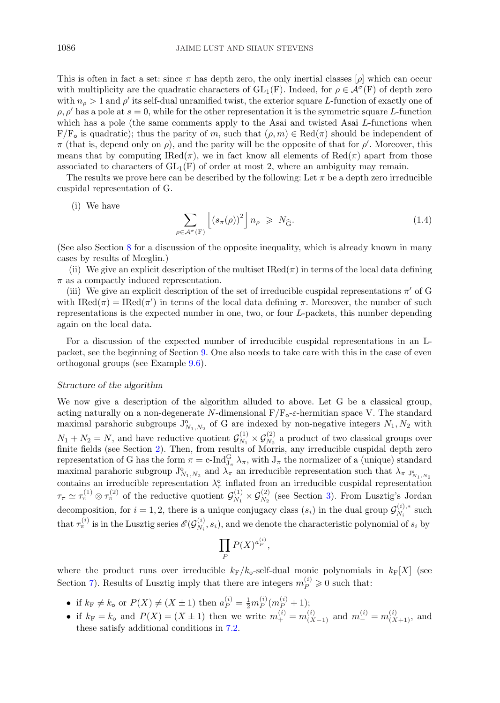<span id="page-3-0"></span>This is often in fact a set: since  $\pi$  has depth zero, the only inertial classes  $|\rho|$  which can occur with multiplicity are the quadratic characters of  $GL_1(F)$ . Indeed, for  $\rho \in \mathcal{A}^\sigma(F)$  of depth zero with  $n_{\rho} > 1$  and  $\rho'$  its self-dual unramified twist, the exterior square L-function of exactly one of  $\rho$ ,  $\rho'$  has a pole at  $s = 0$ , while for the other representation it is the symmetric square L-function which has a pole (the same comments apply to the Asai and twisted Asai L-functions when  $F/F<sub>o</sub>$  is quadratic); thus the parity of m, such that  $(\rho, m) \in \text{Red}(\pi)$  should be independent of  $\pi$  (that is, depend only on  $\rho$ ), and the parity will be the opposite of that for  $\rho'$ . Moreover, this means that by computing IRed $(\pi)$ , we in fact know all elements of Red $(\pi)$  apart from those associated to characters of  $GL_1(F)$  of order at most 2, where an ambiguity may remain.

The results we prove here can be described by the following: Let  $\pi$  be a depth zero irreducible cuspidal representation of G.

#### (i) We have

$$
\sum_{\rho \in \mathcal{A}^{\sigma}(\mathcal{F})} \left[ \left( s_{\pi}(\rho) \right)^2 \right] n_{\rho} \geqslant N_{\widehat{\mathcal{G}}}.
$$
\n(1.4)

(See also Section [8](#page-24-0) for a discussion of the opposite inequality, which is already known in many cases by results of Mœglin.)

(ii) We give an explicit description of the multiset  $\text{Red}(\pi)$  in terms of the local data defining  $\pi$  as a compactly induced representation.

(iii) We give an explicit description of the set of irreducible cuspidal representations  $\pi'$  of G with  $\text{IRed}(\pi) = \text{IRed}(\pi')$  in terms of the local data defining  $\pi$ . Moreover, the number of such representations is the expected number in one, two, or four L-packets, this number depending again on the local data.

For a discussion of the expected number of irreducible cuspidal representations in an Lpacket, see the beginning of Section [9.](#page-28-0) One also needs to take care with this in the case of even orthogonal groups (see Example [9.6\)](#page-33-0).

## *Structure of the algorithm*

We now give a description of the algorithm alluded to above. Let G be a classical group, acting naturally on a non-degenerate N-dimensional  $F/F_{o}$ -*ε*-hermitian space V. The standard maximal parahoric subgroups  $J_{N_1,N_2}^{\circ}$  of G are indexed by non-negative integers  $N_1, N_2$  with  $N_1 + N_2 = N$ , and have reductive quotient  $\mathcal{G}_{N_1}^{(1)} \times \mathcal{G}_{N_2}^{(2)}$  a product of two classical groups over finite fields (see Section [2\)](#page-5-0). Then, from results of Morris, any irreducible cuspidal depth zero representation of G has the form  $\pi = c$ -Ind $G_{J_\pi}^G \lambda_\pi$ , with  $J_\pi$  the normalizer of a (unique) standard maximal parahoric subgroup  $J_{N_1,N_2}^{\circ}$  and  $\lambda_{\pi}$  an irreducible representation such that  $\lambda_{\pi}|_{J_{N_1,N_2}^{\circ}}$ contains an irreducible representation  $\lambda_{\pi}^{\circ}$  inflated from an irreducible cuspidal representation  $\tau_{\pi} \simeq \tau_{\pi}^{(1)} \otimes \tau_{\pi}^{(2)}$  of the reductive quotient  $\mathcal{G}_{N_1}^{(1)} \times \mathcal{G}_{N_2}^{(2)}$  (see Section [3\)](#page-8-0). From Lusztig's Jordan decomposition, for  $i = 1, 2$ , there is a unique conjugacy class  $(s_i)$  in the dual group  $\mathcal{G}_{N_i}^{(i),*}$  such that  $\tau_{\pi}^{(i)}$  is in the Lusztig series  $\mathscr{E}(\mathcal{G}_{N_i}^{(i)}, s_i)$ , and we denote the characteristic polynomial of  $s_i$  by

$$
\prod_P P(X)^{a_P^{(i)}},
$$

where the product runs over irreducible  $k_F/k_o$ -self-dual monic polynomials in  $k_F[X]$  (see Section [7\)](#page-13-0). Results of Lusztig imply that there are integers  $m_P^{(i)} \geq 0$  such that:

- if  $k_F \neq k_o$  or  $P(X) \neq (X \pm 1)$  then  $a_P^{(i)} = \frac{1}{2} m_P^{(i)} (m_P^{(i)} + 1);$
- if  $k_F = k_o$  and  $P(X) = (X \pm 1)$  then we write  $m_+^{(i)} = m_{(X-1)}^{(i)}$  and  $m_-^{(i)} = m_{(X+1)}^{(i)}$ , and these satisfy additional conditions in [7.2.](#page-15-0)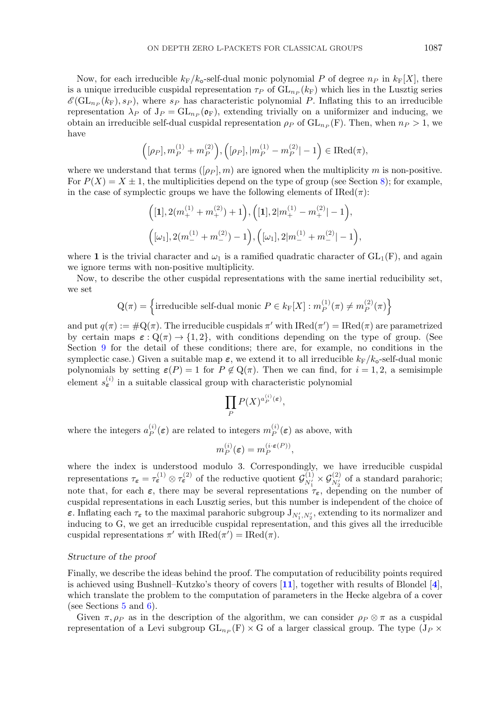Now, for each irreducible  $k_F/k_o$ -self-dual monic polynomial P of degree  $n_P$  in  $k_F[X]$ , there is a unique irreducible cuspidal representation  $\tau_P$  of  $GL_{n_P}(k_F)$  which lies in the Lusztig series  $\mathscr{E}(\mathrm{GL}_{n_P}(k_F), s_P)$ , where  $s_P$  has characteristic polynomial P. Inflating this to an irreducible representation  $\lambda_P$  of  $J_P = GL_{n_P}(\mathfrak{o}_F)$ , extending trivially on a uniformizer and inducing, we obtain an irreducible self-dual cuspidal representation  $\rho_P$  of  $GL_{n_P} (F)$ . Then, when  $n_P > 1$ , we have

$$
\Big([\rho_P], m_P^{(1)} + m_P^{(2)}\Big), \Big([\rho_P], |m_P^{(1)} - m_P^{(2)}| - 1\Big) \in \text{IRed}(\pi),
$$

where we understand that terms  $([\rho_P], m)$  are ignored when the multiplicity m is non-positive. For  $P(X) = X \pm 1$ , the multiplicities depend on the type of group (see Section [8\)](#page-24-0); for example, in the case of symplectic groups we have the following elements of  $\text{IRed}(\pi)$ :

$$
\label{eq:3.10} \begin{split} &\Big([1],2(m_+^{(1)}+m_+^{(2)})+1\Big),\Big([1],2|m_+^{(1)}-m_+^{(2)}|-1\Big),\\ &\Big([\omega_1],2(m_-^{(1)}+m_-^{(2)})-1\Big),\Big([\omega_1],2|m_-^{(1)}+m_-^{(2)}|-1\Big), \end{split}
$$

where **1** is the trivial character and  $\omega_1$  is a ramified quadratic character of  $GL_1(F)$ , and again we ignore terms with non-positive multiplicity.

Now, to describe the other cuspidal representations with the same inertial reducibility set, we set

$$
Q(\pi) = \left\{ \text{irreducible self-dual monic } P \in k_{F}[X] : m_{P}^{(1)}(\pi) \neq m_{P}^{(2)}(\pi) \right\}
$$

and put  $q(\pi) := \#\mathbf{Q}(\pi)$ . The irreducible cuspidals  $\pi'$  with  $\text{IRed}(\pi') = \text{IRed}(\pi)$  are parametrized by certain maps  $\varepsilon : \mathbb{Q}(\pi) \to \{1,2\}$ , with conditions depending on the type of group. (See Section [9](#page-28-0) for the detail of these conditions; there are, for example, no conditions in the symplectic case.) Given a suitable map  $\varepsilon$ , we extend it to all irreducible  $k_F/k_o$ -self-dual monic polynomials by setting  $\varepsilon(P) = 1$  for  $P \notin \mathcal{Q}(\pi)$ . Then we can find, for  $i = 1, 2$ , a semisimple element  $s_{\varepsilon}^{(i)}$  in a suitable classical group with characteristic polynomial

$$
\prod_P P(X)^{a_P^{(i)}(\varepsilon)},
$$

where the integers  $a_P^{(i)}(\varepsilon)$  are related to integers  $m_P^{(i)}(\varepsilon)$  as above, with

$$
m_P^{(i)}(\varepsilon) = m_P^{(i \cdot \varepsilon(P))},
$$

where the index is understood modulo 3. Correspondingly, we have irreducible cuspidal representations  $\tau_{\varepsilon} = \tau_{\varepsilon}^{(1)} \otimes \tau_{\varepsilon}^{(2)}$  of the reductive quotient  $\mathcal{G}_{N_1'}^{(1)} \times \mathcal{G}_{N_2'}^{(2)}$  of a standard parahoric; note that, for each  $\varepsilon$ , there may be several representations  $\tau_{\varepsilon}$ , depending on the number of cuspidal representations in each Lusztig series, but this number is independent of the choice of *ε*. Inflating each  $\tau_{\varepsilon}$  to the maximal parahoric subgroup  $J_{N'_1, N'_2}$ , extending to its normalizer and inducing to G, we get an irreducible cuspidal representation, and this gives all the irreducible cuspidal representations  $\pi'$  with  $\text{IRed}(\pi') = \text{IRed}(\pi)$ .

## *Structure of the proof*

Finally, we describe the ideas behind the proof. The computation of reducibility points required is achieved using Bushnell–Kutzko's theory of covers [**[11](#page-36-0)**], together with results of Blondel [**[4](#page-35-0)**], which translate the problem to the computation of parameters in the Hecke algebra of a cover (see Sections  $5$  and  $6$ ).

Given  $\pi, \rho_P$  as in the description of the algorithm, we can consider  $\rho_P \otimes \pi$  as a cuspidal representation of a Levi subgroup  $GL_{n_P}(F) \times G$  of a larger classical group. The type (J<sub>P</sub>  $\times$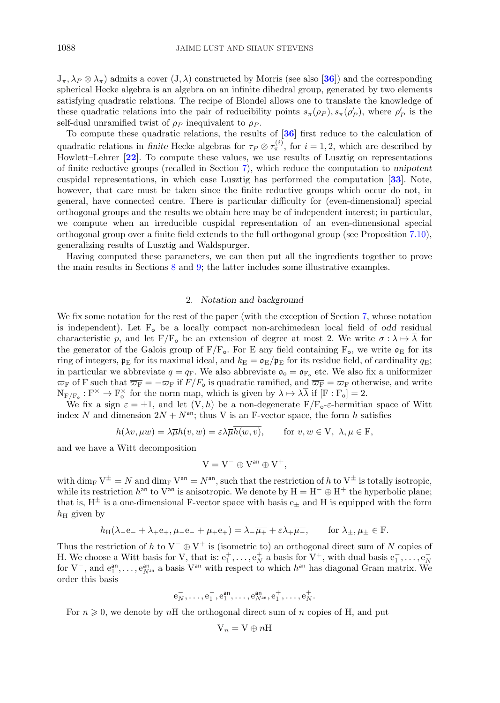<span id="page-5-0"></span> $J_\pi, \lambda_P \otimes \lambda_\pi$  admits a cover  $(J, \lambda)$  constructed by Morris (see also [[36](#page-36-0)]) and the corresponding spherical Hecke algebra is an algebra on an infinite dihedral group, generated by two elements satisfying quadratic relations. The recipe of Blondel allows one to translate the knowledge of these quadratic relations into the pair of reducibility points  $s_{\pi}(\rho_P), s_{\pi}(\rho_P')$ , where  $\rho_P'$  is the self-dual unramified twist of  $\rho_P$  inequivalent to  $\rho_P$ .

To compute these quadratic relations, the results of [**[36](#page-36-0)**] first reduce to the calculation of quadratic relations in *finite* Hecke algebras for  $\tau_P \otimes \tau_{\pi}^{(i)}$ , for  $i = 1, 2$ , which are described by Howlett–Lehrer [**[22](#page-36-0)**]. To compute these values, we use results of Lusztig on representations of finite reductive groups (recalled in Section [7\)](#page-13-0), which reduce the computation to *unipotent* cuspidal representations, in which case Lusztig has performed the computation [**[33](#page-36-0)**]. Note, however, that care must be taken since the finite reductive groups which occur do not, in general, have connected centre. There is particular difficulty for (even-dimensional) special orthogonal groups and the results we obtain here may be of independent interest; in particular, we compute when an irreducible cuspidal representation of an even-dimensional special orthogonal group over a finite field extends to the full orthogonal group (see Proposition [7.10\)](#page-21-0), generalizing results of Lusztig and Waldspurger.

Having computed these parameters, we can then put all the ingredients together to prove the main results in Sections [8](#page-24-0) and [9;](#page-28-0) the latter includes some illustrative examples.

#### 2. *Notation and background*

We fix some notation for the rest of the paper (with the exception of Section [7,](#page-13-0) whose notation is independent). Let  $F_0$  be a locally compact non-archimedean local field of *odd* residual characteristic p, and let  $F/F_{o}$  be an extension of degree at most 2. We write  $\sigma : \lambda \mapsto \overline{\lambda}$  for the generator of the Galois group of  $F/F_o$ . For E any field containing  $F_o$ , we write  $\mathfrak{o}_E$  for its ring of integers,  $\mathfrak{p}_E$  for its maximal ideal, and  $k_E = \mathfrak{o}_E/\mathfrak{p}_E$  for its residue field, of cardinality  $q_E$ ; in particular we abbreviate  $q = q_F$ . We also abbreviate  $\mathfrak{o}_{\sigma} = \mathfrak{o}_{F_o}$  etc. We also fix a uniformizer  $\overline{\omega}_F$  of F such that  $\overline{\overline{\omega}_F} = -\overline{\omega}_F$  if  $F/F_o$  is quadratic ramified, and  $\overline{\overline{\omega}_F} = \overline{\omega}_F$  otherwise, and write  $N_{F/F_o}: F^{\times} \to F_o^{\times}$  for the norm map, which is given by  $\lambda \mapsto \lambda \lambda$  if  $[F: F_o] = 2$ .

We fix a sign  $\varepsilon = \pm 1$ , and let  $(V, h)$  be a non-degenerate  $F/F_{\sigma}\varepsilon$ -hermitian space of Witt index N and dimension  $2N + N^{an}$ ; thus V is an F-vector space, the form h satisfies

$$
h(\lambda v, \mu w) = \lambda \overline{\mu} h(v, w) = \varepsilon \lambda \overline{\mu} \overline{h(w, v)}, \quad \text{for } v, w \in V, \ \lambda, \mu \in F,
$$

and we have a Witt decomposition

$$
V=V^-\oplus V^{\text{an}}\oplus V^+,
$$

with  $\dim_{\text{F}} V^{\pm} = N$  and  $\dim_{\text{F}} V^{\text{an}} = N^{\text{an}}$ , such that the restriction of h to  $V^{\pm}$  is totally isotropic, while its restriction  $h^{\text{an}}$  to  $V^{\text{an}}$  is anisotropic. We denote by  $H = H^{-} \oplus H^{+}$  the hyperbolic plane; that is,  $H^{\pm}$  is a one-dimensional F-vector space with basis  $e_{+}$  and H is equipped with the form  $h_{\rm H}$  given by

$$
h_{\mathrm{H}}(\lambda_{-}e_{-}+\lambda_{+}e_{+},\mu_{-}e_{-}+\mu_{+}e_{+})=\lambda_{-}\overline{\mu_{+}}+\varepsilon\lambda_{+}\overline{\mu_{-}},\qquad\text{for }\lambda_{\pm},\mu_{\pm}\in\mathrm{F}.
$$

Thus the restriction of h to  $V^-\oplus V^+$  is (isometric to) an orthogonal direct sum of N copies of H. We choose a Witt basis for V, that is:  $e_1^+, \ldots, e_N^+$  a basis for V<sup>+</sup>, with dual basis  $e_1^-, \ldots, e_N^$ for  $V^-$ , and  $e_1^{an}, \ldots, e_{N^an}^{an}$  a basis  $V^{an}$  with respect to which  $h^{an}$  has diagonal Gram matrix. We order this basis

$$
\mathbf{e}_N^-, \ldots, \mathbf{e}_1^-, \mathbf{e}_1^{\mathsf{an}}, \ldots, \mathbf{e}_{N^{\mathsf{an}}}^{\mathsf{an}}, \mathbf{e}_1^+, \ldots, \mathbf{e}_N^+.
$$

For  $n \geq 0$ , we denote by nH the orthogonal direct sum of n copies of H, and put

$$
\mathbf{V}_n = \mathbf{V} \oplus n \mathbf{H}
$$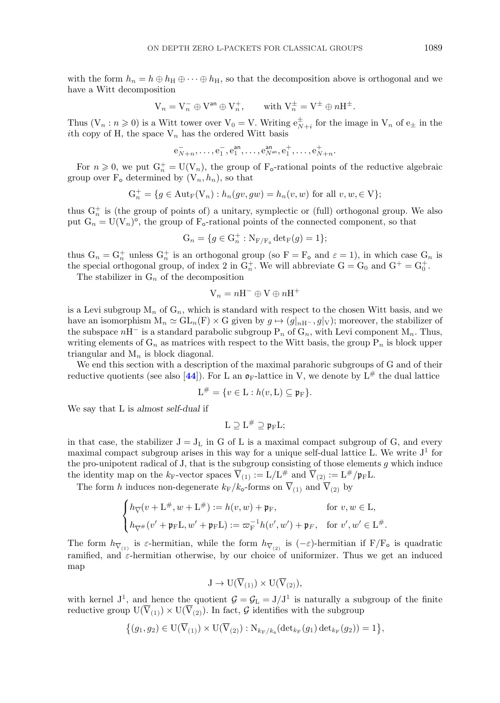with the form  $h_n = h \oplus h_H \oplus \cdots \oplus h_H$ , so that the decomposition above is orthogonal and we have a Witt decomposition

$$
V_n = V_n^- \oplus V^{an} \oplus V_n^+, \quad \text{with } V_n^{\pm} = V^{\pm} \oplus nH^{\pm}.
$$

Thus  $(V_n : n \geq 0)$  is a Witt tower over  $V_0 = V$ . Writing  $e_{N+i}^{\pm}$  for the image in  $V_n$  of  $e_{\pm}$  in the ith copy of H, the space  $V_n$  has the ordered Witt basis

$$
e_{N+n}^-, \ldots, e_1^-, e_1^{\text{an}}, \ldots, e_{N^{\text{an}}}^{\text{an}}, e_1^+, \ldots, e_{N+n}^+.
$$

For  $n \geq 0$ , we put  $G_n^+ = U(V_n)$ , the group of  $F_o$ -rational points of the reductive algebraic group over  $F_o$  determined by  $(V_n, h_n)$ , so that

$$
\mathcal{G}_n^+=\{g\in {\rm Aut}_{\mathcal{F}}(\mathcal{V}_n): h_n(gv,gw)=h_n(v,w) \text{ for all } v,w,\in \mathcal{V}\};
$$

thus  $G_n^+$  is (the group of points of) a unitary, symplectic or (full) orthogonal group. We also put  $G_n = U(V_n)^\circ$ , the group of  $F_\circ$ -rational points of the connected component, so that

$$
G_n = \{ g \in G_n^+ : N_{F/F_o} \det_F(g) = 1 \};
$$

thus  $G_n = G_n^+$  unless  $G_n^+$  is an orthogonal group (so  $F = F_o$  and  $\varepsilon = 1$ ), in which case  $G_n$  is the special orthogonal group, of index 2 in  $G_n^+$ . We will abbreviate  $G = G_0$  and  $G^+ = G_0^+$ .

The stabilizer in  $G_n$  of the decomposition

$$
V_n = nH^- \oplus V \oplus nH^+
$$

is a Levi subgroup  $M_n$  of  $G_n$ , which is standard with respect to the chosen Witt basis, and we have an isomorphism  $M_n \simeq GL_n(F) \times G$  given by  $g \mapsto (g|_{nH^-}, g|_{V})$ ; moreover, the stabilizer of the subspace  $nH^-$  is a standard parabolic subgroup  $P_n$  of  $G_n$ , with Levi component M<sub>n</sub>. Thus, writing elements of  $G_n$  as matrices with respect to the Witt basis, the group  $P_n$  is block upper triangular and  $M_n$  is block diagonal.

We end this section with a description of the maximal parahoric subgroups of G and of their reductive quotients (see also [[44](#page-36-0)]). For L an  $\mathfrak{d}_F$ -lattice in V, we denote by  $L^{\#}$  the dual lattice

$$
\mathcal{L}^{\#} = \{ v \in \mathcal{L} : h(v, \mathcal{L}) \subseteq \mathfrak{p}_{\mathcal{F}} \}.
$$

We say that L is *almost self-dual* if

$$
L\supseteq L^{\#}\supseteq\mathfrak{p}_{F}L;
$$

in that case, the stabilizer  $J = J_L$  in G of L is a maximal compact subgroup of G, and every maximal compact subgroup arises in this way for a unique self-dual lattice L. We write  $J<sup>1</sup>$  for the pro-unipotent radical of J, that is the subgroup consisting of those elements  $g$  which induce the identity map on the  $k_F$ -vector spaces  $\overline{V}_{(1)} := L/L^{\#}$  and  $\overline{V}_{(2)} := L^{\#}/p_F L$ .

The form h induces non-degenerate  $k_F/k_o$ -forms on  $\overline{V}_{(1)}$  and  $\overline{V}_{(2)}$  by

$$
\begin{cases} h_{\nabla}(v+{\rm L}^{\#},w+{\rm L}^{\#}) := h(v,w)+\mathfrak{p}_{\rm F}, & \text{for } v,w \in {\rm L},\\[2mm] h_{\nabla^{\#}}(v'+\mathfrak{p}_{\rm F}{\rm L},w'+\mathfrak{p}_{\rm F}{\rm L}):=\varpi_{\rm F}^{-1}h(v',w')+\mathfrak{p}_{F}, & \text{for } v',w' \in {\rm L}^{\#}. \end{cases}
$$

The form  $h_{\overline{V}_{(1)}}$  is  $\varepsilon$ -hermitian, while the form  $h_{\overline{V}_{(2)}}$  is  $(-\varepsilon)$ -hermitian if  $F/F_{o}$  is quadratic ramified, and  $\varepsilon$ -hermitian otherwise, by our choice of uniformizer. Thus we get an induced map

$$
J \to U(\overline{V}_{(1)}) \times U(\overline{V}_{(2)}),
$$

with kernel  $J^1$ , and hence the quotient  $\mathcal{G} = \mathcal{G}_L = J/J^1$  is naturally a subgroup of the finite reductive group  $U(\overline{V}_{(1)}) \times U(\overline{V}_{(2)})$ . In fact, G identifies with the subgroup

$$
\big\{\big(g_1,g_2) \in \mathrm{U}(\overline{\mathrm{V}}_{(1)}) \times \mathrm{U}(\overline{\mathrm{V}}_{(2)}) : \mathrm{N}_{k_{\mathrm{F}}/k_{\mathrm{o}}}(\mathrm{det}_{k_{\mathrm{F}}}(g_1) \, \mathrm{det}_{k_{\mathrm{F}}}(g_2))=1 \big\},
$$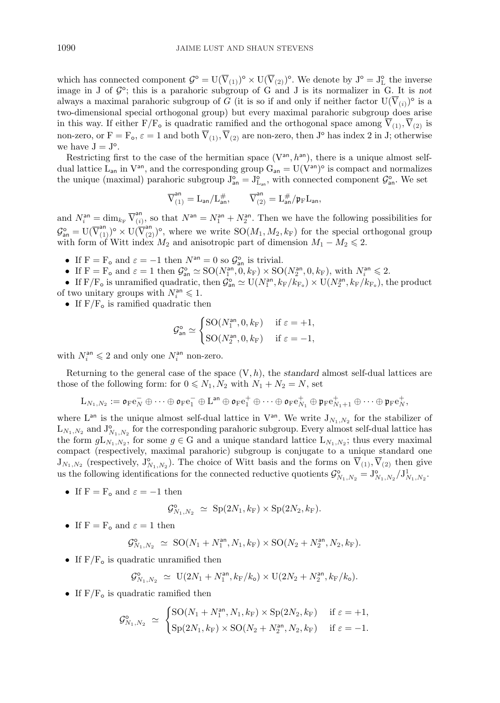which has connected component  $\mathcal{G}^{\circ} = U(\overline{V}_{(1)})^{\circ} \times U(\overline{V}_{(2)})^{\circ}$ . We denote by  $J^{\circ} = J_{L}^{\circ}$  the inverse image in J of  $\mathcal{G}^{\circ}$ ; this is a parahoric subgroup of G and J is its normalizer in G. It is *not* always a maximal parahoric subgroup of G (it is so if and only if neither factor  $U(V_{(i)})^{\circ}$  is a two-dimensional special orthogonal group) but every maximal parahoric subgroup does arise in this way. If either  $F/F_o$  is quadratic ramified and the orthogonal space among  $\overline{V}_{(1)}, \overline{V}_{(2)}$  is non-zero, or  $F = F_o$ ,  $\varepsilon = 1$  and both  $\overline{V}_{(1)}, \overline{V}_{(2)}$  are non-zero, then J<sup>o</sup> has index 2 in J; otherwise we have  $J = J^{\circ}$ .

Restricting first to the case of the hermitian space  $(V^{an}, h^{an})$ , there is a unique almost selfdual lattice  $\tilde{L}_{an}$  in  $V^{an}$ , and the corresponding group  $G_{an} = U(V^{an})^{\circ}$  is compact and normalizes the unique (maximal) parahoric subgroup  $J_{an}^{\circ} = J_{L_{an}}^{\circ}$ , with connected component  $\mathcal{G}_{an}^{\circ}$ . We set

$$
\overline{V}_{(1)}^{\text{an}}=L_{\text{an}}/L_{\text{an}}^{\#},\qquad \overline{V}_{(2)}^{\text{an}}=L_{\text{an}}^{\#}/\mathfrak{p}_{\text{F}}L_{\text{an}},
$$

and  $N_i^{\text{an}} = \dim_{k_{\text{F}}} \overline{V}_{(i)}^{\text{an}}$ , so that  $N^{\text{an}} = N_1^{\text{an}} + N_2^{\text{an}}$ . Then we have the following possibilities for  $\mathcal{G}_{\mathsf{an}}^{\mathsf{o}} = \mathrm{U}(\overline{\mathrm{V}}_{(1)}^{\mathsf{an}})^{\mathsf{o}} \times \mathrm{U}(\overline{\mathrm{V}}_{(2)}^{\mathsf{an}})^{\mathsf{o}},$  where we write  $\mathrm{SO}(M_1, M_2, k_F)$  for the special orthogonal group with form of Witt index  $M_2$  and anisotropic part of dimension  $M_1 - M_2 \leq 2$ .

- If  $F = F_o$  and  $\varepsilon = -1$  then  $N^{an} = 0$  so  $\mathcal{G}_{an}^o$  is trivial.
- If  $F = F_o$  and  $\varepsilon = 1$  then  $\mathcal{G}_{\text{an}}^{\circ} \simeq SO(N_1^{\text{an}}, 0, k_F) \times SO(N_2^{\text{an}}, 0, k_F)$ , with  $N_i^{\text{an}} \leq 2$ .
- If  $F/F_o$  is unramified quadratic, then  $\mathcal{G}_{\text{an}}^{\circ} \simeq U(N_1^{\text{an}}, k_F/k_{F_o}) \times U(N_2^{\text{an}}, k_F/k_{F_o})$ , the product of two unitary groups with  $N_i^{\text{an}} \leq 1$ .
	- If  $\rm F/F_{o}$  is ramified quadratic then

$$
\mathcal{G}^{\circ}_{\text{an}} \simeq \begin{cases} \text{SO}(N_1^{\text{an}}, 0, k_{\text{F}}) & \text{if } \varepsilon = +1, \\ \text{SO}(N_2^{\text{an}}, 0, k_{\text{F}}) & \text{if } \varepsilon = -1, \end{cases}
$$

with  $N_i^{\text{an}} \leq 2$  and only one  $N_i^{\text{an}}$  non-zero.

Returning to the general case of the space  $(V, h)$ , the *standard* almost self-dual lattices are those of the following form: for  $0 \leq N_1, N_2$  with  $N_1 + N_2 = N$ , set

$$
\mathrm{L}_{N_1,N_2}:=\mathfrak{o}_\mathrm{F} \mathrm{e}_N^-\oplus \cdots \oplus \mathfrak{o}_\mathrm{F} \mathrm{e}_1^- \oplus \mathrm{L}^\mathrm{an} \oplus \mathfrak{o}_\mathrm{F} \mathrm{e}_1^+ \oplus \cdots \oplus \mathfrak{o}_\mathrm{F} \mathrm{e}_{N_1}^+ \oplus \mathfrak{p}_\mathrm{F} \mathrm{e}_{N_1+1}^+ \oplus \cdots \oplus \mathfrak{p}_\mathrm{F} \mathrm{e}_N^+,
$$

where  $L^{an}$  is the unique almost self-dual lattice in  $V^{an}$ . We write  $J_{N_1,N_2}$  for the stabilizer of  $L_{N_1,N_2}$  and  $J^{\circ}_{N_1,N_2}$  for the corresponding parahoric subgroup. Every almost self-dual lattice has the form  $gL_{N_1,N_2}$ , for some  $g \in G$  and a unique standard lattice  $L_{N_1,N_2}$ ; thus every maximal compact (respectively, maximal parahoric) subgroup is conjugate to a unique standard one  $J_{N_1,N_2}$  (respectively,  $J^{\circ}_{N_1,N_2}$ ). The choice of Witt basis and the forms on  $\overline{V}_{(1)}, \overline{V}_{(2)}$  then give us the following identifications for the connected reductive quotients  $\mathcal{G}^{\circ}_{N_1,N_2} = J^{\circ}_{N_1,N_2}/J^1_{N_1,N_2}$ .

• If  $F = F_0$  and  $\varepsilon = -1$  then

$$
\mathcal{G}_{N_1,N_2}^{\mathsf{o}} \simeq \mathrm{Sp}(2N_1,k_{\mathrm{F}}) \times \mathrm{Sp}(2N_2,k_{\mathrm{F}}).
$$

• If  $F = F_o$  and  $\varepsilon = 1$  then

$$
\mathcal{G}^{\circ}_{N_1,N_2} \,\,\simeq\,\, {\rm SO}(N_1+N_1^{\rm an},N_1,k_{\rm F})\times{\rm SO}(N_2+N_2^{\rm an},N_2,k_{\rm F}).
$$

• If  $F/F<sub>o</sub>$  is quadratic unramified then

$$
\mathcal{G}^{\circ}_{N_1,N_2} \simeq \mathcal{U}(2N_1+N_1^{\text{an}},k_{\text{F}}/k_{\text{o}}) \times \mathcal{U}(2N_2+N_2^{\text{an}},k_{\text{F}}/k_{\text{o}}).
$$

• If  $F/F<sub>o</sub>$  is quadratic ramified then

$$
\mathcal{G}_{N_1,N_2}^{\circ} \simeq \begin{cases} \text{SO}(N_1 + N_1^{\text{an}}, N_1, k_{\text{F}}) \times \text{Sp}(2N_2, k_{\text{F}}) & \text{if } \varepsilon = +1, \\ \text{Sp}(2N_1, k_{\text{F}}) \times \text{SO}(N_2 + N_2^{\text{an}}, N_2, k_{\text{F}}) & \text{if } \varepsilon = -1. \end{cases}
$$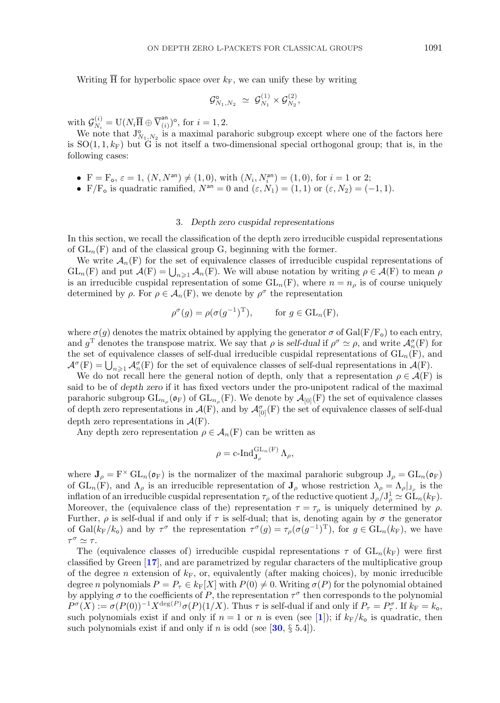<span id="page-8-0"></span>Writing  $\overline{H}$  for hyperbolic space over  $k_F$ , we can unify these by writing

$$
\mathcal{G}^{\circ}_{N_1,N_2} \,\,\simeq\,\, \mathcal{G}^{(1)}_{N_1} \times \mathcal{G}^{(2)}_{N_2},
$$

with  $\mathcal{G}_{N_i}^{(i)} = \mathrm{U}(N_i \overline{\mathrm{H}} \oplus \overline{\mathrm{V}}_{(i)}^{\mathrm{an}})^{\mathrm{o}}$ , for  $i = 1, 2$ .

We note that  $J^{\circ}_{N_1,N_2}$  is a maximal parahoric subgroup except where one of the factors here is  $SO(1,1,k_F)$  but G is not itself a two-dimensional special orthogonal group; that is, in the following cases:

- $F = F_o$ ,  $\varepsilon = 1$ ,  $(N, N^{an}) \neq (1, 0)$ , with  $(N_i, N_i^{an}) = (1, 0)$ , for  $i = 1$  or 2;
- F/F<sub>o</sub> is quadratic ramified,  $N^{an} = 0$  and  $(\varepsilon, N_1) = (1, 1)$  or  $(\varepsilon, N_2) = (-1, 1)$ .

#### 3. *Depth zero cuspidal representations*

In this section, we recall the classification of the depth zero irreducible cuspidal representations of  $GL_n(F)$  and of the classical group G, beginning with the former.

We write  $\mathcal{A}_n(F)$  for the set of equivalence classes of irreducible cuspidal representations of  $GL_n(F)$  and put  $\mathcal{A}(F) = \bigcup_{n \geq 1} \mathcal{A}_n(F)$ . We will abuse notation by writing  $\rho \in \mathcal{A}(F)$  to mean  $\rho$ is an irreducible cuspidal representation of some  $GL_n(F)$ , where  $n = n_\rho$  is of course uniquely determined by  $\rho$ . For  $\rho \in \mathcal{A}_n(F)$ , we denote by  $\rho^{\sigma}$  the representation

$$
\rho^{\sigma}(g) = \rho(\sigma(g^{-1})^{\mathrm{T}}), \quad \text{for } g \in \mathrm{GL}_n(\mathrm{F}),
$$

where  $\sigma(g)$  denotes the matrix obtained by applying the generator  $\sigma$  of Gal(F/F<sub>o</sub>) to each entry, and  $g^T$  denotes the transpose matrix. We say that  $\rho$  is *self-dual* if  $\rho^{\sigma} \simeq \rho$ , and write  $\mathcal{A}_{n}^{\sigma}(\mathbf{F})$  for the set of equivalence classes of self-dual irreducible cuspidal representations of  $GL_n(F)$ , and  $\mathcal{A}^{\sigma}(F) = \bigcup_{n \geq 1} \mathcal{A}_n^{\sigma}(F)$  for the set of equivalence classes of self-dual representations in  $\mathcal{A}(F)$ .

We do not recall here the general notion of depth, only that a representation  $\rho \in \mathcal{A}(F)$  is said to be of *depth zero* if it has fixed vectors under the pro-unipotent radical of the maximal parahoric subgroup  $GL_{n_{\rho}}(\mathfrak{o}_F)$  of  $GL_{n_{\rho}}(F)$ . We denote by  $\mathcal{A}_{[0]}(F)$  the set of equivalence classes of depth zero representations in  $\mathcal{A}(F)$ , and by  $\mathcal{A}_{[0]}^{\sigma}(F)$  the set of equivalence classes of self-dual depth zero representations in  $\mathcal{A}(F)$ .

Any depth zero representation  $\rho \in \mathcal{A}_n(F)$  can be written as

$$
\rho = \operatorname{c-Ind}_{\mathbf{J}_{\rho}}^{\operatorname{GL}_n(\mathbf{F})} \Lambda_{\rho},
$$

where  $J_{\rho} = F^{\times} GL_n(\mathfrak{o}_F)$  is the normalizer of the maximal parahoric subgroup  $J_{\rho} = GL_n(\mathfrak{o}_F)$ of  $GL_n(F)$ , and  $\Lambda_\rho$  is an irreducible representation of  $J_\rho$  whose restriction  $\lambda_\rho = \Lambda_\rho|_{J_\rho}$  is the inflation of an irreducible cuspidal representation  $\tau_\rho$  of the reductive quotient  $J_\rho/J_\rho^1 \simeq GL_n(k_F)$ . Moreover, the (equivalence class of the) representation  $\tau = \tau_{\rho}$  is uniquely determined by  $\rho$ . Further,  $\rho$  is self-dual if and only if  $\tau$  is self-dual; that is, denoting again by  $\sigma$  the generator of Gal( $k_F/k_o$ ) and by  $\tau^{\sigma}$  the representation  $\tau^{\sigma}(g) = \tau_{\rho}(\sigma(g^{-1})^{\mathrm{T}})$ , for  $g \in GL_n(k_F)$ , we have  $\tau^{\sigma} \simeq \tau$ .

The (equivalence classes of) irreducible cuspidal representations  $\tau$  of  $GL_n(k_F)$  were first classified by Green [**[17](#page-36-0)**], and are parametrized by regular characters of the multiplicative group of the degree n extension of  $k_F$ , or, equivalently (after making choices), by monic irreducible degree n polynomials  $P = P_{\tau} \in k_{\mathbb{F}}[X]$  with  $P(0) \neq 0$ . Writing  $\sigma(P)$  for the polynomial obtained by applying  $\sigma$  to the coefficients of P, the representation  $\tau^{\sigma}$  then corresponds to the polynomial  $P^{\sigma}(X) := \sigma(P(0))^{-1} X^{\deg(P)} \sigma(P)(1/X)$ . Thus  $\tau$  is self-dual if and only if  $P_{\tau} = P_{\tau}^{\sigma}$ . If  $k_{\text{F}} = k_{\text{o}}$ , such polynomials exist if and only if  $n = 1$  $n = 1$  or n is even (see [1]); if  $k_F/k_o$  is quadratic, then such polynomials exist if and only if n is odd (see  $[30, \S, 5.4]$  $[30, \S, 5.4]$  $[30, \S, 5.4]$ ).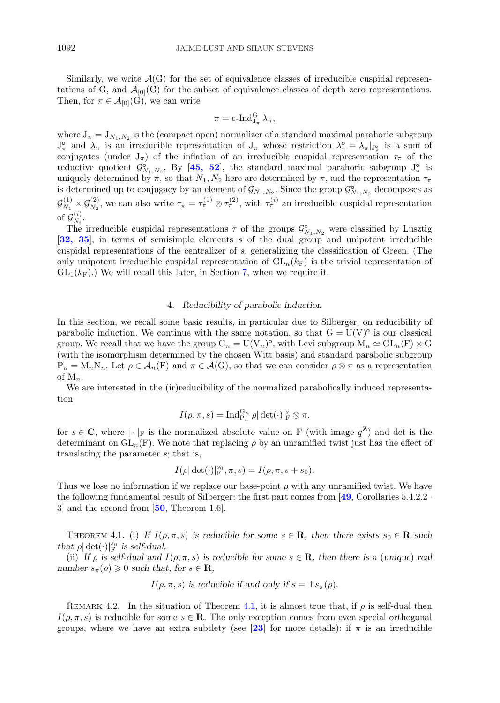<span id="page-9-0"></span>Similarly, we write  $\mathcal{A}(G)$  for the set of equivalence classes of irreducible cuspidal representations of G, and  $\mathcal{A}_{[0]}(G)$  for the subset of equivalence classes of depth zero representations. Then, for  $\pi \in \mathcal{A}_{[0]}(G)$ , we can write

$$
\pi = \operatorname{c-Ind}_{J_{\pi}}^G \lambda_{\pi},
$$

where  $J_{\pi} = J_{N_1,N_2}$  is the (compact open) normalizer of a standard maximal parahoric subgroup  $J_{\pi}^{\circ}$  and  $\lambda_{\pi}$  is an irreducible representation of  $J_{\pi}$  whose restriction  $\lambda_{\pi}^{\circ} = \lambda_{\pi}|_{J_{\pi}^{\circ}}$  is a sum of conjugates (under  $J_{\pi}$ ) of the inflation of an irreducible cuspidal representation  $\tau_{\pi}$  of the reductive quotient  $\mathcal{G}_{N_1,N_2}^{\circ}$ . By [[45, 52](#page-36-0)], the standard maximal parahoric subgroup  $J_{\pi}^{\circ}$  is uniquely determined by  $\pi$ , so that  $N_1, N_2$  here are determined by  $\pi$ , and the representation  $\tau_{\pi}$ is determined up to conjugacy by an element of  $\mathcal{G}_{N_1,N_2}$ . Since the group  $\mathcal{G}_{N_1,N_2}^{\circ}$  decomposes as  $\mathcal{G}_{N_1}^{(1)} \times \mathcal{G}_{N_2}^{(2)}$ , we can also write  $\tau_{\pi} = \tau_{\pi}^{(1)} \otimes \tau_{\pi}^{(2)}$ , with  $\tau_{\pi}^{(i)}$  an irreducible cuspidal representation of  $\mathcal{G}_{N_i}^{(i)}$ .

The irreducible cuspidal representations  $\tau$  of the groups  $\mathcal{G}_{N_1,N_2}^{\circ}$  were classified by Lusztig [**[32, 35](#page-36-0)**], in terms of semisimple elements s of the dual group and unipotent irreducible cuspidal representations of the centralizer of s, generalizing the classification of Green. (The only unipotent irreducible cuspidal representation of  $GL_n(k_F)$  is the trivial representation of  $GL_1(k_F)$ .) We will recall this later, in Section [7,](#page-13-0) when we require it.

#### 4. *Reducibility of parabolic induction*

In this section, we recall some basic results, in particular due to Silberger, on reducibility of parabolic induction. We continue with the same notation, so that  $G = U(V)^\circ$  is our classical group. We recall that we have the group  $G_n = U(V_n)^\circ$ , with Levi subgroup  $M_n \simeq GL_n(F) \times G$ (with the isomorphism determined by the chosen Witt basis) and standard parabolic subgroup  $P_n = M_n N_n$ . Let  $\rho \in \mathcal{A}_n(F)$  and  $\pi \in \mathcal{A}(G)$ , so that we can consider  $\rho \otimes \pi$  as a representation of  $M_n$ .

We are interested in the (ir)reducibility of the normalized parabolically induced representation

$$
I(\rho,\pi,s)=\operatorname{Ind}_{\mathrm{P}_n}^{\mathrm{G}_n}\rho|\det(\cdot)|_{\mathrm{F}}^s\otimes\pi,
$$

for  $s \in \mathbb{C}$ , where  $|\cdot|_F$  is the normalized absolute value on F (with image  $q^{\mathbb{Z}}$ ) and det is the determinant on  $GL_n(F)$ . We note that replacing  $\rho$  by an unramified twist just has the effect of translating the parameter s; that is,

$$
I(\rho | \det(\cdot)|_{\mathcal{F}}^{s_0}, \pi, s) = I(\rho, \pi, s + s_0).
$$

Thus we lose no information if we replace our base-point  $\rho$  with any unramified twist. We have the following fundamental result of Silberger: the first part comes from [**[49](#page-37-0)**, Corollaries 5.4.2.2– 3] and the second from [**[50](#page-37-0)**, Theorem 1.6].

THEOREM 4.1. (i) If  $I(\rho, \pi, s)$  is reducible for some  $s \in \mathbf{R}$ , then there exists  $s_0 \in \mathbf{R}$  such *that*  $\rho | \det(\cdot)|_{\text{F}}^{s_0}$  *is self-dual.* 

(ii) If  $\rho$  is self-dual and  $I(\rho, \pi, s)$  is reducible for some  $s \in \mathbf{R}$ , then there is a (unique) real *number*  $s_{\pi}(\rho) \geq 0$  *such that, for*  $s \in \mathbf{R}$ *,* 

$$
I(\rho, \pi, s)
$$
 is reducible if and only if  $s = \pm s_{\pi}(\rho)$ .

REMARK 4.2. In the situation of Theorem 4.1, it is almost true that, if  $\rho$  is self-dual then  $I(\rho, \pi, s)$  is reducible for some  $s \in \mathbb{R}$ . The only exception comes from even special orthogonal groups, where we have an extra subtlety (see [[23](#page-36-0)] for more details): if  $\pi$  is an irreducible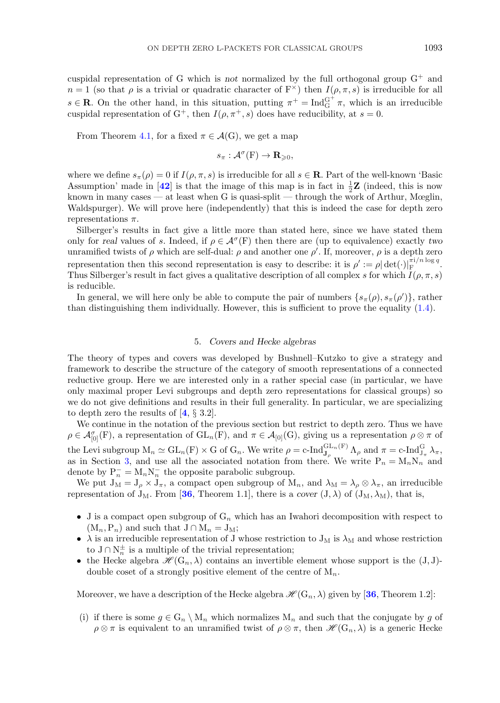<span id="page-10-0"></span>cuspidal representation of G which is *not* normalized by the full orthogonal group G<sup>+</sup> and  $n = 1$  (so that  $\rho$  is a trivial or quadratic character of  $F^{\times}$ ) then  $I(\rho, \pi, s)$  is irreducible for all  $s \in \mathbf{R}$ . On the other hand, in this situation, putting  $\pi^+ = \text{Ind}_{G}^{G^+} \pi$ , which is an irreducible cuspidal representation of G<sup>+</sup>, then  $I(\rho, \pi^+, s)$  does have reducibility, at  $s = 0$ .

From Theorem 4.1, for a fixed  $\pi \in \mathcal{A}(G)$ , we get a map

$$
s_{\pi}:\mathcal{A}^{\sigma}(\mathrm{F})\to\mathbf{R}_{\geqslant0},
$$

where we define  $s_{\pi}(\rho) = 0$  if  $I(\rho, \pi, s)$  is irreducible for all  $s \in \mathbf{R}$ . Part of the well-known 'Basic Assumption' made in [[42](#page-36-0)] is that the image of this map is in fact in  $\frac{1}{2}\mathbf{Z}$  (indeed, this is now known in many cases — at least when G is quasi-split — through the work of Arthur, Mœglin, Waldspurger). We will prove here (independently) that this is indeed the case for depth zero representations  $\pi$ .

Silberger's results in fact give a little more than stated here, since we have stated them only for *real* values of s. Indeed, if  $\rho \in \mathcal{A}^{\sigma}(F)$  then there are (up to equivalence) exactly *two* unramified twists of  $\rho$  which are self-dual:  $\rho$  and another one  $\rho'$ . If, moreover,  $\rho$  is a depth zero representation then this second representation is easy to describe: it is  $\rho' := \rho |\det(\cdot)|_F^{\pi i/n \log q}$ . Thus Silberger's result in fact gives a qualitative description of all complex s for which  $I(\rho, \pi, s)$ is reducible.

In general, we will here only be able to compute the pair of numbers  $\{s_{\pi}(\rho), s_{\pi}(\rho')\}$ , rather than distinguishing them individually. However, this is sufficient to prove the equality [\(1.4\)](#page-3-0).

## 5. *Covers and Hecke algebras*

The theory of types and covers was developed by Bushnell–Kutzko to give a strategy and framework to describe the structure of the category of smooth representations of a connected reductive group. Here we are interested only in a rather special case (in particular, we have only maximal proper Levi subgroups and depth zero representations for classical groups) so we do not give definitions and results in their full generality. In particular, we are specializing to depth zero the results of [**[4](#page-35-0)**, § 3.2].

We continue in the notation of the previous section but restrict to depth zero. Thus we have  $\rho \in \mathcal{A}_{[0]}^{\sigma}(\mathrm{F})$ , a representation of  $\mathrm{GL}_n(\mathrm{F})$ , and  $\pi \in \mathcal{A}_{[0]}(\mathrm{G})$ , giving us a representation  $\rho \otimes \pi$  of the Levi subgroup  $M_n \simeq GL_n(F) \times G$  of  $G_n$ . We write  $\rho = c$ -Ind ${}_{J_\rho}^{GL_n(F)}$   $\Lambda_\rho$  and  $\pi = c$ -Ind ${}_{J_\pi}^G$   $\lambda_\pi$ , as in Section [3,](#page-8-0) and use all the associated notation from there. We write  $P_n = M_n N_n$  and denote by  $P_n^- = M_n N_n^-$  the opposite parabolic subgroup.

We put  $J_M = J_\rho \times J_\pi$ , a compact open subgroup of  $M_n$ , and  $\lambda_M = \lambda_\rho \otimes \lambda_\pi$ , an irreducible representation of  $J_M$ . From [[36](#page-36-0), Theorem 1.1], there is a *cover*  $(J, \lambda)$  of  $(J_M, \lambda_M)$ , that is,

- J is a compact open subgroup of  $G_n$  which has an Iwahori decomposition with respect to  $(M_n, P_n)$  and such that  $J \cap M_n = J_M$ ;
- $\lambda$  is an irreducible representation of J whose restriction to  $J_M$  is  $\lambda_M$  and whose restriction to  $J \cap N_n^{\pm}$  is a multiple of the trivial representation;
- the Hecke algebra  $\mathscr{H}(G_n, \lambda)$  contains an invertible element whose support is the  $(J, J)$ double coset of a strongly positive element of the centre of  $M_n$ .

Moreover, we have a description of the Hecke algebra  $\mathscr{H}(G_n, \lambda)$  given by [[36](#page-36-0), Theorem 1.2]:

(i) if there is some  $g \in G_n \setminus M_n$  which normalizes  $M_n$  and such that the conjugate by g of  $\rho \otimes \pi$  is equivalent to an unramified twist of  $\rho \otimes \pi$ , then  $\mathscr{H}(\mathbb{G}_n, \lambda)$  is a generic Hecke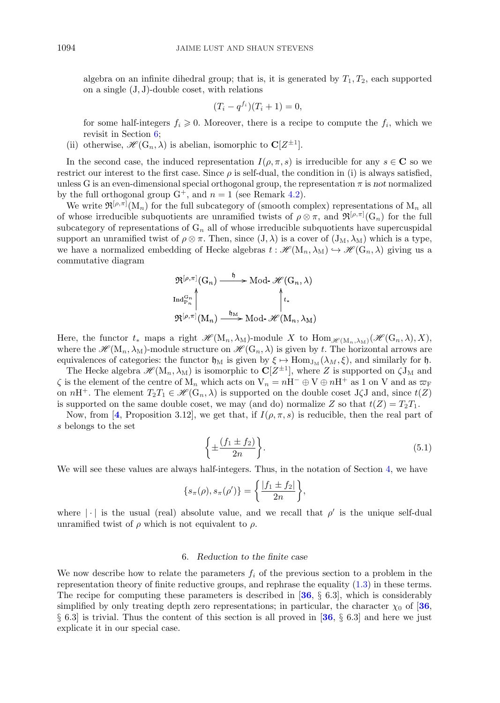<span id="page-11-0"></span>algebra on an infinite dihedral group; that is, it is generated by  $T_1, T_2$ , each supported on a single (J, J)-double coset, with relations

$$
(T_i - q^{f_i})(T_i + 1) = 0,
$$

for some half-integers  $f_i \geq 0$ . Moreover, there is a recipe to compute the  $f_i$ , which we revisit in Section 6;

(ii) otherwise,  $\mathscr{H}(\mathbf{G}_n, \lambda)$  is abelian, isomorphic to  $\mathbf{C}[Z^{\pm 1}]$ .

In the second case, the induced representation  $I(\rho, \pi, s)$  is irreducible for any  $s \in \mathbb{C}$  so we restrict our interest to the first case. Since  $\rho$  is self-dual, the condition in (i) is always satisfied, unless G is an even-dimensional special orthogonal group, the representation  $\pi$  is *not* normalized by the full orthogonal group  $G^+$ , and  $n = 1$  (see Remark [4.2\)](#page-9-0).

We write  $\mathfrak{R}^{[\rho,\pi]}(M_n)$  for the full subcategory of (smooth complex) representations of  $M_n$  all of whose irreducible subquotients are unramified twists of  $\rho \otimes \pi$ , and  $\mathfrak{R}^{[\rho,\pi]}(G_n)$  for the full subcategory of representations of  $G_n$  all of whose irreducible subquotients have supercuspidal support an unramified twist of  $\rho \otimes \pi$ . Then, since  $(J,\lambda)$  is a cover of  $(J_M, \lambda_M)$  which is a type, we have a normalized embedding of Hecke algebras  $t : \mathscr{H}(\mathrm{M}_n, \lambda_\mathrm{M}) \hookrightarrow \mathscr{H}(\mathrm{G}_n, \lambda)$  giving us a commutative diagram

$$
\mathfrak{R}^{[\rho,\pi]}(G_n) \xrightarrow{\mathfrak{h}} \text{Mod-}\mathcal{H}(G_n,\lambda)
$$
  

$$
\text{Ind}_{P_n}^{G_n} \uparrow \qquad \qquad \qquad \uparrow t_*
$$
  

$$
\mathfrak{R}^{[\rho,\pi]}(M_n) \xrightarrow{\mathfrak{h}_M} \text{Mod-}\mathcal{H}(M_n,\lambda_M)
$$

Here, the functor  $t_*$  maps a right  $\mathscr{H}(\mathbf{M}_n, \lambda_M)$ -module X to  $\text{Hom}_{\mathscr{H}(\mathbf{M}_n, \lambda_M)}(\mathscr{H}(\mathbf{G}_n, \lambda), X)$ , where the  $\mathscr{H}(M_n, \lambda_M)$ -module structure on  $\mathscr{H}(G_n, \lambda)$  is given by t. The horizontal arrows are equivalences of categories: the functor  $\mathfrak{h}_M$  is given by  $\xi \mapsto \text{Hom}_{J_M}(\lambda_M, \xi)$ , and similarly for  $\mathfrak{h}$ .

The Hecke algebra  $\mathscr{H}(M_n,\lambda_M)$  is isomorphic to  $\mathbb{C}[Z^{\pm 1}]$ , where Z is supported on  $\zeta J_M$  and  $\zeta$  is the element of the centre of  $M_n$  which acts on  $V_n = nH^- \oplus V \oplus nH^+$  as 1 on V and as  $\varpi_F$ on  $n\text{H}^+$ . The element  $T_2T_1 \in \mathscr{H}(\mathbb{G}_n, \lambda)$  is supported on the double coset J $\zeta$ J and, since  $t(Z)$ is supported on the same double coset, we may (and do) normalize Z so that  $t(Z) = T_2T_1$ .

Now, from [[4](#page-35-0), Proposition 3.12], we get that, if  $I(\rho, \pi, s)$  is reducible, then the real part of s belongs to the set

$$
\left\{\pm \frac{(f_1 \pm f_2)}{2n}\right\}.
$$
\n(5.1)

We will see these values are always half-integers. Thus, in the notation of Section [4,](#page-9-0) we have

$$
\{s_{\pi}(\rho), s_{\pi}(\rho')\} = \left\{\frac{|f_1 \pm f_2|}{2n}\right\},\
$$

where  $|\cdot|$  is the usual (real) absolute value, and we recall that  $\rho'$  is the unique self-dual unramified twist of  $\rho$  which is not equivalent to  $\rho$ .

#### 6. *Reduction to the finite case*

We now describe how to relate the parameters  $f_i$  of the previous section to a problem in the representation theory of finite reductive groups, and rephrase the equality [\(1.3\)](#page-2-0) in these terms. The recipe for computing these parameters is described in [**[36](#page-36-0)**, § 6.3], which is considerably simplified by only treating depth zero representations; in particular, the character  $\chi_0$  of [[36](#page-36-0), § 6.3] is trivial. Thus the content of this section is all proved in [**[36](#page-36-0)**, § 6.3] and here we just explicate it in our special case.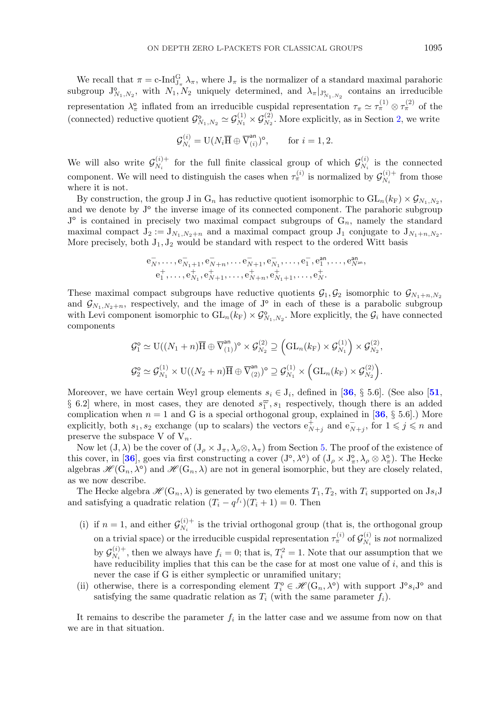We recall that  $\pi = c$ -Ind $_{J_\pi}^G \lambda_\pi$ , where  $J_\pi$  is the normalizer of a standard maximal parahoric subgroup  $J_{N_1,N_2}^{\circ}$ , with  $N_1, N_2$  uniquely determined, and  $\lambda_{\pi}|_{J_{N_1,N_2}^{\circ}}$  contains an irreducible representation  $\lambda_{\pi}^{\circ}$  inflated from an irreducible cuspidal representation  $\tau_{\pi} \simeq \tau_{\pi}^{(1)} \otimes \tau_{\pi}^{(2)}$  of the (connected) reductive quotient  $\mathcal{G}_{N_1,N_2}^{\circ} \simeq \mathcal{G}_{N_1}^{(1)} \times \mathcal{G}_{N_2}^{(2)}$ . More explicitly, as in Section [2,](#page-5-0) we write

$$
\mathcal{G}_{N_i}^{(i)} = \mathcal{U}(N_i \overline{\mathcal{H}} \oplus \overline{\mathcal{V}}_{(i)}^{\mathsf{an}})^{\mathsf{o}}, \qquad \text{for } i = 1, 2.
$$

We will also write  $\mathcal{G}_{N_i}^{(i)+}$  for the full finite classical group of which  $\mathcal{G}_{N_i}^{(i)}$  is the connected component. We will need to distinguish the cases when  $\tau_{\pi}^{(i)}$  is normalized by  $\mathcal{G}_{N_i}^{(i)+}$  from those where it is not.

By construction, the group J in  $G_n$  has reductive quotient isomorphic to  $GL_n(k_F) \times \mathcal{G}_{N_1,N_2}$ , and we denote by  $J^{\circ}$  the inverse image of its connected component. The parahoric subgroup  $J^{\circ}$  is contained in precisely two maximal compact subgroups of  $G_n$ , namely the standard maximal compact  $J_2 := J_{N_1,N_2+n}$  and a maximal compact group  $J_1$  conjugate to  $J_{N_1+n,N_2}$ . More precisely, both  $J_1, J_2$  would be standard with respect to the ordered Witt basis

$$
\begin{aligned} {\rm e}_{N}^-, \ldots, {\rm e}_{N_1+1}^-, {\rm e}_{N+n}^-, \ldots {\rm e}_{N+1}^-, {\rm e}_{N_1}^-, \ldots, {\rm e}_{1}^-, {\rm e}_{1}^{\texttt{an}}, \ldots, {\rm e}_{N^{\texttt{an}}}^{\texttt{an}}, \\ {\rm e}_{1}^+, \ldots, {\rm e}_{N_1}^+, {\rm e}_{N+1}^+, \ldots, {\rm e}_{N+n}^+, {\rm e}_{N_1+1}^+, \ldots, {\rm e}_{N}^+.\end{aligned}
$$

These maximal compact subgroups have reductive quotients  $\mathcal{G}_1, \mathcal{G}_2$  isomorphic to  $\mathcal{G}_{N_1+n,N_2}$ and  $\mathcal{G}_{N_1,N_2+n}$ , respectively, and the image of  $J^{\circ}$  in each of these is a parabolic subgroup with Levi component isomorphic to  $GL_n(k_F) \times \mathcal{G}_{N_1,N_2}^{\circ}$ . More explicitly, the  $\mathcal{G}_i$  have connected components

$$
\mathcal{G}_1^{\circ} \simeq \mathrm{U}((N_1+n)\overline{\mathrm{H}} \oplus \overline{\mathrm{V}}_{(1)}^{\mathrm{an}})^{\circ} \times \mathcal{G}_{N_2}^{(2)} \supseteq \left(\mathrm{GL}_n(k_{\mathrm{F}}) \times \mathcal{G}_{N_1}^{(1)}\right) \times \mathcal{G}_{N_2}^{(2)},
$$
  

$$
\mathcal{G}_2^{\circ} \simeq \mathcal{G}_{N_1}^{(1)} \times \mathrm{U}((N_2+n)\overline{\mathrm{H}} \oplus \overline{\mathrm{V}}_{(2)}^{\mathrm{an}})^{\circ} \supseteq \mathcal{G}_{N_1}^{(1)} \times \left(\mathrm{GL}_n(k_{\mathrm{F}}) \times \mathcal{G}_{N_2}^{(2)}\right).
$$

Moreover, we have certain Weyl group elements  $s_i \in J_i$ , defined in [[36](#page-36-0), § 5.6]. (See also [[51](#page-37-0), § 6.2] where, in most cases, they are denoted  $s_1^{\varpi}, s_1$  respectively, though there is an added complication when  $n = 1$  and G is a special orthogonal group, explained in [[36](#page-36-0), § 5.6].) More explicitly, both  $s_1, s_2$  exchange (up to scalars) the vectors  $e^+_{N+j}$  and  $e^-_{N+j}$ , for  $1 \leqslant j \leqslant n$  and preserve the subspace V of  $V_n$ .

Now let  $(J, \lambda)$  be the cover of  $(J_\rho \times J_\pi, \lambda_\rho \otimes, \lambda_\pi)$  from Section [5.](#page-10-0) The proof of the existence of this cover, in [[36](#page-36-0)], goes via first constructing a cover  $(J^{\circ}, \lambda^{\circ})$  of  $(J_{\rho} \times J_{\pi}^{\circ}, \lambda_{\rho} \otimes \lambda_{\pi}^{\circ})$ . The Hecke algebras  $\mathscr{H}(G_n, \lambda^{\circ})$  and  $\mathscr{H}(G_n, \lambda)$  are not in general isomorphic, but they are closely related, as we now describe.

The Hecke algebra  $\mathscr{H}(\mathbb{G}_n, \lambda)$  is generated by two elements  $T_1, T_2$ , with  $T_i$  supported on  $\mathrm{J} s_i \mathrm{J}$ and satisfying a quadratic relation  $(T_i - q^{f_i})(T_i + 1) = 0$ . Then

- (i) if  $n = 1$ , and either  $\mathcal{G}_{N_i}^{(i)+}$  is the trivial orthogonal group (that is, the orthogonal group on a trivial space) or the irreducible cuspidal representation  $\tau^{(i)}_{\pi}$  of  $\mathcal{G}_{N_i}^{(i)}$  is *not* normalized by  $\mathcal{G}_{N_i}^{(i)+}$ , then we always have  $f_i = 0$ ; that is,  $T_i^2 = 1$ . Note that our assumption that we have reducibility implies that this can be the case for at most one value of  $i$ , and this is never the case if G is either symplectic or unramified unitary;
- (ii) otherwise, there is a corresponding element  $T_i^{\circ} \in \mathscr{H}(\mathbb{G}_n, \lambda^{\circ})$  with support  $J^{\circ} s_i J^{\circ}$  and satisfying the same quadratic relation as  $T_i$  (with the same parameter  $f_i$ ).

It remains to describe the parameter  $f_i$  in the latter case and we assume from now on that we are in that situation.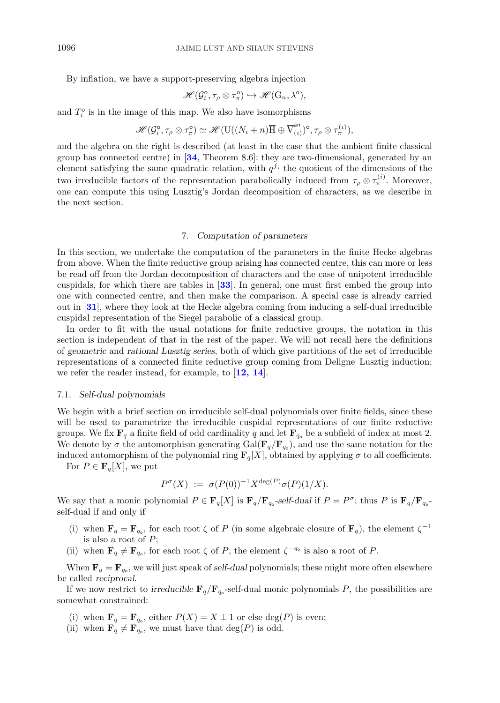<span id="page-13-0"></span>By inflation, we have a support-preserving algebra injection

$$
\mathscr{H}(\mathcal{G}_i^{\circ}, \tau_\rho \otimes \tau_\pi^{\circ}) \hookrightarrow \mathscr{H}(\mathrm{G}_n, \lambda^{\circ}),
$$

and  $T_i^{\circ}$  is in the image of this map. We also have isomorphisms

$$
\mathscr{H}(\mathcal{G}_i^{\circ}, \tau_\rho \otimes \tau_\pi^{\circ}) \simeq \mathscr{H}(\mathrm{U}((N_i + n)\overline{\mathrm{H}} \oplus \overline{\mathrm{V}}_{(i)}^{\mathrm{an}})^{\circ}, \tau_\rho \otimes \tau_\pi^{(i)}),
$$

and the algebra on the right is described (at least in the case that the ambient finite classical group has connected centre) in [**[34](#page-36-0)**, Theorem 8.6]: they are two-dimensional, generated by an element satisfying the same quadratic relation, with  $q^{f_i}$  the quotient of the dimensions of the two irreducible factors of the representation parabolically induced from  $\tau_{\rho} \otimes \tau_{\pi}^{(i)}$ . Moreover, one can compute this using Lusztig's Jordan decomposition of characters, as we describe in the next section.

## 7. *Computation of parameters*

In this section, we undertake the computation of the parameters in the finite Hecke algebras from above. When the finite reductive group arising has connected centre, this can more or less be read off from the Jordan decomposition of characters and the case of unipotent irreducible cuspidals, for which there are tables in [**[33](#page-36-0)**]. In general, one must first embed the group into one with connected centre, and then make the comparison. A special case is already carried out in [**[31](#page-36-0)**], where they look at the Hecke algebra coming from inducing a self-dual irreducible cuspidal representation of the Siegel parabolic of a classical group.

In order to fit with the usual notations for finite reductive groups, the notation in this section is independent of that in the rest of the paper. We will not recall here the definitions of *geometric* and *rational Lusztig series*, both of which give partitions of the set of irreducible representations of a connected finite reductive group coming from Deligne–Lusztig induction; we refer the reader instead, for example, to [**[12, 14](#page-36-0)**].

#### 7.1. *Self-dual polynomials*

We begin with a brief section on irreducible self-dual polynomials over finite fields, since these will be used to parametrize the irreducible cuspidal representations of our finite reductive groups. We fix  $\mathbf{F}_q$  a finite field of odd cardinality q and let  $\mathbf{F}_{q_0}$  be a subfield of index at most 2. We denote by  $\sigma$  the automorphism generating Gal( $\mathbf{F}_q/\mathbf{F}_{q_o}$ ), and use the same notation for the induced automorphism of the polynomial ring  $\mathbf{F}_q[X]$ , obtained by applying  $\sigma$  to all coefficients.

For  $P \in \mathbf{F}_q[X]$ , we put

$$
P^{\sigma}(X) := \sigma(P(0))^{-1} X^{\deg(P)} \sigma(P)(1/X).
$$

We say that a monic polynomial  $P \in \mathbf{F}_q[X]$  is  $\mathbf{F}_q/\mathbf{F}_{q_0}$ -self-dual if  $P = P^{\sigma}$ ; thus P is  $\mathbf{F}_q/\mathbf{F}_{q_0}$ self-dual if and only if

- (i) when  $\mathbf{F}_q = \mathbf{F}_{q_o}$ , for each root  $\zeta$  of P (in some algebraic closure of  $\mathbf{F}_q$ ), the element  $\zeta^{-1}$ is also a root of  $P$ ;
- (ii) when  $\mathbf{F}_q \neq \mathbf{F}_{q_o}$ , for each root  $\zeta$  of P, the element  $\zeta^{-q_o}$  is also a root of P.

When  $\mathbf{F}_q = \mathbf{F}_{q_0}$ , we will just speak of *self-dual* polynomials; these might more often elsewhere be called *reciprocal*.

If we now restrict to *irreducible*  $\mathbf{F}_q/\mathbf{F}_{q_0}$ -self-dual monic polynomials P, the possibilities are somewhat constrained:

- (i) when  $\mathbf{F}_q = \mathbf{F}_{q_0}$ , either  $P(X) = X \pm 1$  or else deg(P) is even;
- (ii) when  $\mathbf{F}_q \neq \mathbf{F}_{q_o}$ , we must have that  $\deg(P)$  is odd.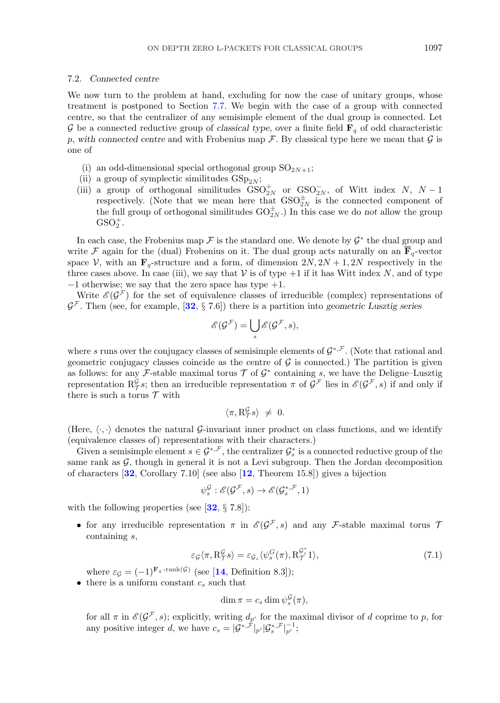## <span id="page-14-0"></span>7.2. *Connected centre*

We now turn to the problem at hand, excluding for now the case of unitary groups, whose treatment is postponed to Section [7.7.](#page-24-0) We begin with the case of a group with connected centre, so that the centralizer of any semisimple element of the dual group is connected. Let G be a connected reductive group of *classical type*, over a finite field  $\mathbf{F}_q$  of odd characteristic p, with connected centre and with Frobenius map  $\mathcal F$ . By classical type here we mean that  $\mathcal G$  is one of

- (i) an odd-dimensional special orthogonal group  $SO_{2N+1}$ ;
- (ii) a group of symplectic similitudes  $GSp_{2N}$ ;
- (iii) a group of orthogonal similitudes  $GSO_{2N}^+$  or  $GSO_{2N}^-$ , of Witt index N, N 1 respectively. (Note that we mean here that  $GSO_{2N}^{\pm}$  is the connected component of the full group of orthogonal similitudes  $GO_{2N}^{\pm}$ . In this case we do *not* allow the group  $GSO_2^+$ .

In each case, the Frobenius map F is the standard one. We denote by  $\mathcal{G}^*$  the dual group and write F again for the (dual) Frobenius on it. The dual group acts naturally on an  $\overline{\mathbf{F}}_q$ -vector space V, with an  $\mathbf{F}_q$ -structure and a form, of dimension  $2N$ ,  $2N + 1$ ,  $2N$  respectively in the three cases above. In case (iii), we say that  $V$  is of type  $+1$  if it has Witt index N, and of type  $-1$  otherwise; we say that the zero space has type  $+1$ .

Write  $\mathscr{E}(\mathcal{G}^{\mathcal{F}})$  for the set of equivalence classes of irreducible (complex) representations of  $\mathcal{G}^{\mathcal{F}}$ . Then (see, for example, [[32](#page-36-0), § 7.6]) there is a partition into *geometric Lusztig series* 

$$
\mathscr{E}(\mathcal{G}^{\mathcal{F}})=\bigcup_s\mathscr{E}(\mathcal{G}^{\mathcal{F}},s),
$$

where s runs over the conjugacy classes of semisimple elements of  $\mathcal{G}^{*,\mathcal{F}}$ . (Note that rational and geometric conjugacy classes coincide as the centre of  $\mathcal G$  is connected.) The partition is given as follows: for any F-stable maximal torus  $\mathcal T$  of  $\mathcal G^*$  containing s, we have the Deligne–Lusztig representation  $\mathcal{R}_{\mathcal{T}}^{\mathcal{G}}$ ; then an irreducible representation  $\pi$  of  $\mathcal{G}^{\mathcal{F}}$  lies in  $\mathscr{E}(\mathcal{G}^{\mathcal{F}},s)$  if and only if there is such a torus  $\mathcal T$  with

$$
\langle \pi, \mathcal{R}_{\mathcal{T}}^{\mathcal{G}} s \rangle \neq 0.
$$

(Here,  $\langle \cdot, \cdot \rangle$  denotes the natural G-invariant inner product on class functions, and we identify (equivalence classes of) representations with their characters.)

Given a semisimple element  $s \in \mathcal{G}^{*,\mathcal{F}}$ , the centralizer  $\mathcal{G}_s^*$  is a connected reductive group of the same rank as  $G$ , though in general it is not a Levi subgroup. Then the Jordan decomposition of characters [**[32](#page-36-0)**, Corollary 7.10] (see also [**[12](#page-36-0)**, Theorem 15.8]) gives a bijection

$$
\psi_s^{\mathcal{G}} : \mathscr{E}(\mathcal{G}^{\mathcal{F}}, s) \to \mathscr{E}(\mathcal{G}_s^{*, \mathcal{F}}, 1)
$$

with the following properties (see [**[32](#page-36-0)**, § 7.8]):

• for any irreducible representation  $\pi$  in  $\mathscr{E}(\mathcal{G}^{\mathcal{F}},s)$  and any F-stable maximal torus  $\mathcal T$ containing s,

$$
\varepsilon_{\mathcal{G}} \langle \pi, \mathcal{R}_{\mathcal{T}}^{\mathcal{G}} s \rangle = \varepsilon_{\mathcal{G}_s} \langle \psi_s^{\mathcal{G}}(\pi), \mathcal{R}_{\mathcal{T}}^{\mathcal{G}_s^*} 1 \rangle, \tag{7.1}
$$

where  $\varepsilon_{\mathcal{G}} = (-1)^{\mathbf{F}_q \cdot \text{rank}(\mathcal{G})}$  (see [[14](#page-36-0), Definition 8.3]);

• there is a uniform constant  $c_s$  such that

$$
\dim \pi = c_s \dim \psi_s^{\mathcal{G}}(\pi),
$$

for all  $\pi$  in  $\mathscr{E}(\mathcal{G}^{\neq}, s)$ ; explicitly, writing  $d_{p'}$  for the maximal divisor of d coprime to p, for any positive integer d, we have  $c_s = |\mathcal{G}^{*,\hat{\mathcal{F}}}|_{p'} |\mathcal{G}_s^{*,\hat{\mathcal{F}}}|_{p'}^{-1};$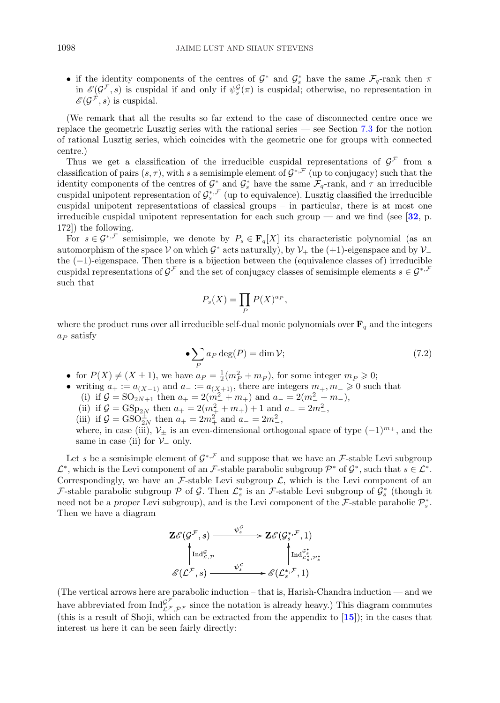<span id="page-15-0"></span>• if the identity components of the centres of  $\mathcal{G}^*$  and  $\mathcal{G}^*_s$  have the same  $\mathcal{F}_q$ -rank then  $\pi$ in  $\mathscr{E}(\mathcal{G}^{\neq},s)$  is cuspidal if and only if  $\psi_s^{\mathcal{G}}(\pi)$  is cuspidal; otherwise, no representation in  $\mathscr{E}(\mathcal{G}^{\mathcal{F}},s)$  is cuspidal.

(We remark that all the results so far extend to the case of disconnected centre once we replace the geometric Lusztig series with the rational series — see Section [7.3](#page-16-0) for the notion of rational Lusztig series, which coincides with the geometric one for groups with connected centre.)

Thus we get a classification of the irreducible cuspidal representations of  $\mathcal{G}^{\mathcal{F}}$  from a classification of pairs  $(s, \tau)$ , with s a semisimple element of  $\mathcal{G}^{*,\mathcal{F}}$  (up to conjugacy) such that the identity components of the centres of  $\mathcal{G}^*_{\tau}$  and  $\mathcal{G}^*_{s}$  have the same  $\mathcal{F}_q$ -rank, and  $\tau$  an irreducible cuspidal unipotent representation of  $\mathcal{G}_s^{*,\mathcal{F}}$  (up to equivalence). Lusztig classified the irreducible cuspidal unipotent representations of classical groups – in particular, there is at most one irreducible cuspidal unipotent representation for each such group — and we find (see [**[32](#page-36-0)**, p. 172]) the following.

For  $s \in \mathcal{G}^{*,\mathcal{F}}$  semisimple, we denote by  $P_s \in \mathbf{F}_q[X]$  its characteristic polynomial (as an automorphism of the space V on which  $\mathcal{G}^*$  acts naturally), by  $\mathcal{V}_+$  the (+1)-eigenspace and by  $\mathcal{V}_$ the (−1)-eigenspace. Then there is a bijection between the (equivalence classes of) irreducible cuspidal representations of  $\mathcal{G}^{\mathcal{F}}$  and the set of conjugacy classes of semisimple elements  $s \in \mathcal{G}^{*,\mathcal{F}}$ such that

$$
P_s(X) = \prod_P P(X)^{a_P},
$$

where the product runs over all irreducible self-dual monic polynomials over  $\mathbf{F}_q$  and the integers  $a_P$  satisfy

$$
\bullet \sum_{P} a_{P} \deg(P) = \dim \mathcal{V};\tag{7.2}
$$

- for  $P(X) \neq (X \pm 1)$ , we have  $a_P = \frac{1}{2}(m_P^2 + m_P)$ , for some integer  $m_P \geq 0$ ;
- writing  $a_+ := a_{(X-1)}$  and  $a_- := a_{(X+1)}$ , there are integers  $m_+, m_- \geq 0$  such that (i) if  $\mathcal{G} = SO_{2N+1}$  then  $a_+ = 2(m_+^2 + m_+)$  and  $a_- = 2(m_-^2 + m_-)$ , (ii) if  $\mathcal{G} = \text{GSp}_{2N}$  then  $a_+ = 2(m_+^2 + m_+) + 1$  and  $a_- = 2m_-^2$ , (iii) if  $\mathcal{G} = \text{GSO}_{2N}^{\pm}$  then  $a_{+} = 2m_{+}^{2}$  and  $a_{-} = 2m_{-}^{2}$ , where, in case (iii),  $\mathcal{V}_{\pm}$  is an even-dimensional orthogonal space of type  $(-1)^{m_{\pm}}$ , and the same in case (ii) for  $\mathcal{V}_-$  only.

Let s be a semisimple element of  $\mathcal{G}^{*,\mathcal{F}}$  and suppose that we have an  $\mathcal{F}$ -stable Levi subgroup  $\mathcal{L}^*$ , which is the Levi component of an F-stable parabolic subgroup  $\mathcal{P}^*$  of  $\mathcal{G}^*$ , such that  $s \in \mathcal{L}^*$ . Correspondingly, we have an  $\mathcal F$ -stable Levi subgroup  $\mathcal L$ , which is the Levi component of an F-stable parabolic subgroup  $P$  of  $G$ . Then  $\mathcal{L}_s^*$  is an F-stable Levi subgroup of  $\mathcal{G}_s^*$  (though it need not be a *proper* Levi subgroup), and is the Levi component of the  $\mathcal{F}$ -stable parabolic  $\mathcal{P}_s^*$ . Then we have a diagram

$$
\mathbf{Z}\mathscr{E}(\mathcal{G}^{\mathcal{F}},s) \longrightarrow \mathbf{Z}\mathscr{E}(\mathcal{G}^{*,\mathcal{F}}_{s},1)
$$
\n
$$
\uparrow \text{Ind}_{\mathcal{L},\mathcal{P}}^{\mathcal{G}^*} \qquad \qquad \uparrow \text{Ind}_{\mathcal{L}^*_{s},\mathcal{P}^*}^{\mathcal{G}^*} \text{Ind}_{\mathcal{L}^*_{s},\mathcal{P}^*}^{\mathcal{G}^*} \text{Ind}_{\mathcal{L}^*_{s},\mathcal{P}^*}^{\mathcal{G}^*} \text{Ind}_{\mathcal{L}^*_{s},\mathcal{P}^*}^{\mathcal{G}^*} \text{Ind}_{\mathcal{L}^*_{s},\mathcal{P}^*}^{\mathcal{G}^*} \text{Ind}_{\mathcal{L}^*_{s},\mathcal{P}^*}^{\mathcal{G}^*} \text{Ind}_{\mathcal{L}^*_{s},\mathcal{P}^*}^{\mathcal{G}^*} \text{Ind}_{\mathcal{L}^*_{s},\mathcal{P}^*}^{\mathcal{G}^*} \text{Ind}_{\mathcal{L}^*_{s},\mathcal{P}^*}^{\mathcal{G}^*} \text{Ind}_{\mathcal{L}^*_{s},\mathcal{P}^*}^{\mathcal{G}^*} \text{Ind}_{\mathcal{L}^*_{s},\mathcal{P}^*_{s}}^{\mathcal{G}^*} \text{Ind}_{\mathcal{L}^*_{s},\mathcal{P}^*_{s}}^{\mathcal{G}^*} \text{Ind}_{\mathcal{L}^*_{s},\mathcal{P}^*_{s}}^{\mathcal{G}^*} \text{Ind}_{\mathcal{L}^*_{s},\mathcal{P}^*_{s}}^{\mathcal{G}^*} \text{Ind}_{\mathcal{L}^*_{s},\mathcal{P}^*_{s}}^{\mathcal{G}^*} \text{Ind}_{\mathcal{L}^*_{s},\mathcal{P}^*_{s}}^{\mathcal{G}^*_{s},\mathcal{P}^*_{s}} \text{Ind}_{\mathcal{L}^*_{s},\mathcal{P}^*_{s}}^{\mathcal{G}^*_{s},\mathcal{P}^*_{s}}
$$

(The vertical arrows here are parabolic induction – that is, Harish-Chandra induction — and we have abbreviated from  $\text{Ind}_{\mathcal{L}^{\mathcal{F}},\mathcal{P}^{\mathcal{F}}}^{\mathcal{G}^{\mathcal{F}}}$  since the notation is already heavy.) This diagram commutes (this is a result of Shoji, which can be extracted from the appendix to [**[15](#page-36-0)**]); in the cases that interest us here it can be seen fairly directly: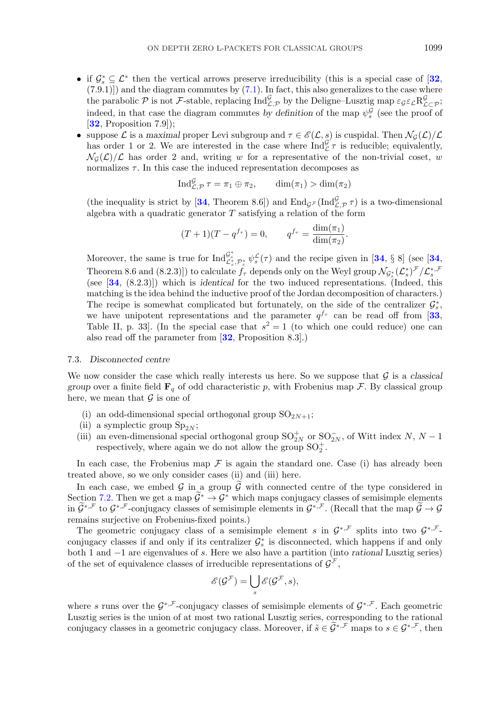- <span id="page-16-0"></span>• if  $\mathcal{G}_s^* \subseteq \mathcal{L}^*$  then the vertical arrows preserve irreducibility (this is a special case of  $[32]$  $[32]$  $[32]$ ,  $(7.9.1)$ ] and the diagram commutes by  $(7.1)$ . In fact, this also generalizes to the case where the parabolic P is not F-stable, replacing  $\text{Ind}_{\mathcal{L},\mathcal{P}}^{\mathcal{L}}$  by the Deligne–Lusztig map  $\varepsilon_{\mathcal{G}}\varepsilon_{\mathcal{L}}\mathsf{R}_{\mathcal{L}\subset\mathcal{P}}^{\mathcal{G}}$ ; indeed, in that case the diagram commutes by definition of the map  $\psi_s^{\mathcal{G}}$  (see the proof of [**[32](#page-36-0)**, Proposition 7.9]);
- suppose L is a *maximal* proper Levi subgroup and  $\tau \in \mathscr{E}(\mathcal{L}, s)$  is cuspidal. Then  $\mathcal{N}_G(\mathcal{L})/\mathcal{L}$ has order 1 or 2. We are interested in the case where  $\text{Ind}_{\mathcal{L}}^{\mathcal{L}} \tau$  is reducible; equivalently,  $\mathcal{N}_G(\mathcal{L})/\mathcal{L}$  has order 2 and, writing w for a representative of the non-trivial coset, w normalizes  $\tau$ . In this case the induced representation decomposes as

$$
\operatorname{Ind}_{\mathcal{L},\mathcal{P}}^{\mathcal{G}} \tau = \pi_1 \oplus \pi_2, \qquad \dim(\pi_1) > \dim(\pi_2)
$$

(the inequality is strict by [[34](#page-36-0), Theorem 8.6]) and  $\text{End}_{\mathcal{G}^{\mathcal{F}}}(\text{Ind}_{\mathcal{L},\mathcal{P}}^{\mathcal{F}}\tau)$  is a two-dimensional algebra with a quadratic generator  $T$  satisfying a relation of the form

$$
(T+1)(T-q^{f_{\tau}})=0,
$$
  $q^{f_{\tau}} = \frac{\dim(\pi_1)}{\dim(\pi_2)}.$ 

Moreover, the same is true for  $\text{Ind}_{\mathcal{L}_s^*,\mathcal{P}_s^*}^{\mathcal{G}_s} \psi_s^{\mathcal{L}}(\tau)$  and the recipe given in [[34](#page-36-0), § 8] (see [34, Theorem 8.6 and (8.2.3)]) to calculate  $f_{\tau}$  depends only on the Weyl group  $\mathcal{N}_{\mathcal{G}_{s}^{*}}(\mathcal{L}_{s}^{*})^{\mathcal{F}}/\mathcal{L}_{s}^{*,\mathcal{F}}$ (see [**[34](#page-36-0)**, (8.2.3)]) which is *identical* for the two induced representations. (Indeed, this matching is the idea behind the inductive proof of the Jordan decomposition of characters.) The recipe is somewhat complicated but fortunately, on the side of the centralizer  $\mathcal{G}_s^*$ , we have unipotent representations and the parameter  $q^{f_{\tau}}$  can be read off from [[33](#page-36-0), Table II, p. 33. (In the special case that  $s^2 = 1$  (to which one could reduce) one can also read off the parameter from [**[32](#page-36-0)**, Proposition 8.3].)

## 7.3. *Disconnected centre*

We now consider the case which really interests us here. So we suppose that  $\mathcal G$  is a *classical group* over a finite field  $\mathbf{F}_q$  of odd characteristic p, with Frobenius map F. By classical group here, we mean that  $\mathcal G$  is one of

- (i) an odd-dimensional special orthogonal group  $SO_{2N+1}$ ;
- (ii) a symplectic group  $Sp_{2N}$ ;
- (iii) an even-dimensional special orthogonal group  $SO_{2N}^+$  or  $SO_{2N}^-$ , of Witt index  $N, N-1$ respectively, where again we do not allow the group  $SO_2^+$ .

In each case, the Frobenius map  $\mathcal F$  is again the standard one. Case (i) has already been treated above, so we only consider cases (ii) and (iii) here.

In each case, we embed G in a group  $\tilde{G}$  with connected centre of the type considered in Section [7.2.](#page-14-0) Then we get a map  $\widetilde{\mathcal{G}}^* \to \mathcal{G}^*$  which maps conjugacy classes of semisimple elements in  $\widetilde{\mathcal{G}}^{*,\mathcal{F}}$  to  $\mathcal{G}^{*,\mathcal{F}}$ -conjugacy classes of semisimple elements in  $\mathcal{G}^{*,\mathcal{F}}$ . (Recall that the map  $\widetilde{\mathcal{G}} \to \mathcal{G}$ remains surjective on Frobenius-fixed points.)

The geometric conjugacy class of a semisimple element s in  $\mathcal{G}^{*,\mathcal{F}}$  splits into two  $\mathcal{G}^{*,\mathcal{F}}$ conjugacy classes if and only if its centralizer  $\mathcal{G}_s^*$  is disconnected, which happens if and only both 1 and −1 are eigenvalues of s. Here we also have a partition (into *rational* Lusztig series) of the set of equivalence classes of irreducible representations of  $\mathcal{G}^{\mathcal{F}}$ ,

$$
\mathscr{E}(\mathcal{G}^{\mathcal{F}})=\bigcup_s\mathscr{E}(\mathcal{G}^{\mathcal{F}},s),
$$

where s runs over the  $\mathcal{G}^{*,\mathcal{F}}$ -conjugacy classes of semisimple elements of  $\mathcal{G}^{*,\mathcal{F}}$ . Each geometric Lusztig series is the union of at most two rational Lusztig series, corresponding to the rational conjugacy classes in a geometric conjugacy class. Moreover, if  $\tilde{s} \in \tilde{\mathcal{G}}^{*,\mathcal{F}}$  maps to  $s \in \mathcal{G}^{*,\mathcal{F}}$ , then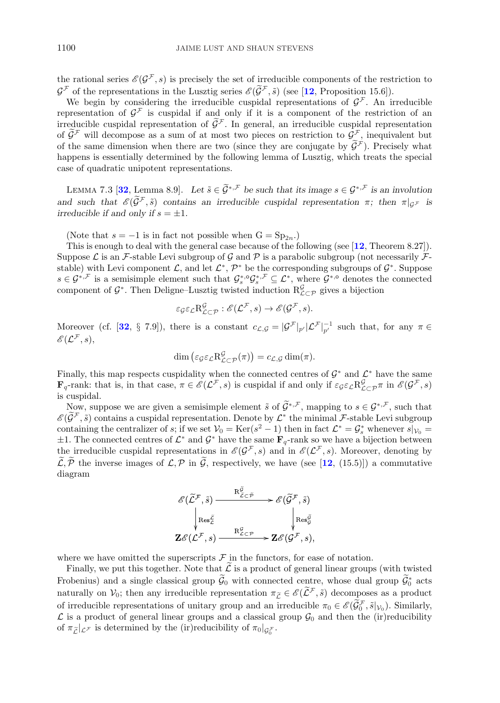<span id="page-17-0"></span>the rational series  $\mathscr{E}(\mathcal{G}^{\mathcal{F}},s)$  is precisely the set of irreducible components of the restriction to  $\mathcal{G}^{\mathcal{F}}$  of the representations in the Lusztig series  $\mathcal{E}(\widetilde{\mathcal{G}}^{\mathcal{F}}, \widetilde{s})$  (see [[12](#page-36-0), Proposition 15.6]).

We begin by considering the irreducible cuspidal representations of  $\mathcal{G}^{\mathcal{F}}$ . An irreducible representation of  $\mathcal{G}^{\mathcal{F}}$  is cuspidal if and only if it is a component of the restriction of an irreducible cuspidal representation of  $\tilde{\mathcal{G}}^{\mathcal{F}}$ . In general, an irreducible cuspidal representation of  $\mathcal{G}^{\mathcal{F}}$  will decompose as a sum of at most two pieces on restriction to  $\mathcal{G}^{\mathcal{F}}$ , inequivalent but of the same dimension when there are two (since they are conjugate by  $G<sup>\lambda</sup>$ ). Precisely what happens is essentially determined by the following lemma of Lusztig, which treats the special case of quadratic unipotent representations.

LEMMA 7.3 [[32](#page-36-0), Lemma 8.9]. Let  $\tilde{s} \in \tilde{\mathcal{G}}^{*,\mathcal{F}}$  be such that its image  $s \in \mathcal{G}^{*,\mathcal{F}}$  is an involution *and such that*  $\mathscr{E}(\widetilde{\mathcal{G}}^{\mathcal{F}}, \widetilde{s})$  *contains an irreducible cuspidal representation*  $\pi$ *; then*  $\pi|_{\mathcal{G}^{\mathcal{F}}}$  *is irreducible if and only if*  $s = \pm 1$ *.* 

(Note that  $s = -1$  is in fact not possible when  $G = Sp_{2n}$ .)

This is enough to deal with the general case because of the following (see [**[12](#page-36-0)**, Theorem 8.27]). Suppose  $\mathcal L$  is an  $\mathcal F$ -stable Levi subgroup of  $\mathcal G$  and  $\mathcal P$  is a parabolic subgroup (not necessarily  $\mathcal F$ stable) with Levi component  $\mathcal{L}$ , and let  $\mathcal{L}^*, \mathcal{P}^*$  be the corresponding subgroups of  $\mathcal{G}^*$ . Suppose  $s \in \mathcal{G}^{*,\mathcal{F}}$  is a semisimple element such that  $\mathcal{G}_s^{*,0}\mathcal{G}_s^{*,\mathcal{F}} \subseteq \mathcal{L}^*$ , where  $\mathcal{G}^{*,0}$  denotes the connected component of  $\mathcal{G}^*$ . Then Deligne–Lusztig twisted induction  $R^{\mathcal{G}}_{\mathcal{L}\subset\mathcal{P}}$  gives a bijection

$$
\varepsilon_{\mathcal{G}}\varepsilon_{\mathcal{L}}\mathbf{R}^{\mathcal{G}}_{\mathcal{L}\subset\mathcal{P}}:\mathscr{E}(\mathcal{L}^{\mathcal{F}},s)\to\mathscr{E}(\mathcal{G}^{\mathcal{F}},s).
$$

Moreover (cf. [[32](#page-36-0), § 7.9]), there is a constant  $c_{\mathcal{L},\mathcal{G}} = |\mathcal{G}^{\mathcal{F}}|_{p'}|\mathcal{L}^{\mathcal{F}}|_{p'}^{-1}$  such that, for any  $\pi \in$  $\mathscr{E}(\mathcal{L}^{\mathcal{F}},s),$ 

$$
\dim\left(\varepsilon_{\mathcal{G}}\varepsilon_{\mathcal{L}}\mathrm{R}^{\mathcal{G}}_{\mathcal{L}\subset\mathcal{P}}(\pi)\right)=c_{\mathcal{L},\mathcal{G}}\dim(\pi).
$$

Finally, this map respects cuspidality when the connected centres of  $\mathcal{G}^*$  and  $\mathcal{L}^*$  have the same **F**<sub>q</sub>-rank: that is, in that case,  $\pi \in \mathscr{E}(\mathcal{L}^{\neq}, s)$  is cuspidal if and only if  $\varepsilon_{\mathcal{G}} \varepsilon_{\mathcal{L}} R_{\mathcal{L}\subset\mathcal{P}}^{\mathcal{G}} \pi$  in  $\mathscr{E}(\mathcal{G}^{\neq}, s)$ is cuspidal.

Now, suppose we are given a semisimple element  $\tilde{s}$  of  $\tilde{\mathcal{G}}^{*,\mathcal{F}}$ , mapping to  $s \in \mathcal{G}^{*,\mathcal{F}}$ , such that  $\mathscr{E}(\widetilde{\mathcal{G}}^{\mathcal{F}},\tilde{s})$  contains a cuspidal representation. Denote by  $\mathcal{L}^*$  the minimal  $\mathcal{F}$ -stable Levi subgroup containing the centralizer of s; if we set  $V_0 = \text{Ker}(s^2 - 1)$  then in fact  $\mathcal{L}^* = \mathcal{G}_s^*$  whenever  $s|_{V_0} =$  $\pm 1$ . The connected centres of  $\mathcal{L}^*$  and  $\mathcal{G}^*$  have the same  $\mathbf{F}_q$ -rank so we have a bijection between the irreducible cuspidal representations in  $\mathscr{E}(\mathcal{G}^{\mathcal{F}}, s)$  and in  $\mathscr{E}(\mathcal{L}^{\mathcal{F}}, s)$ . Moreover, denoting by  $\tilde{\mathcal{L}}, \tilde{\mathcal{P}}$  the inverse images of  $\mathcal{L}, \mathcal{P}$  in  $\tilde{\mathcal{G}}$ , respectively, we have (see [[12](#page-36-0), (15.5)]) a commutative diagram

$$
\mathscr{E}(\widetilde{\mathcal{L}}^{\mathcal{F}}, \widetilde{s}) \xrightarrow{\mathrm{R}_{\widetilde{\mathcal{L}} \subset \widetilde{\mathcal{P}}}} \mathscr{E}(\widetilde{\mathcal{G}}^{\mathcal{F}}, \widetilde{s})
$$
\n
$$
\downarrow \mathrm{Res}_{\mathcal{L}}^{\widetilde{\mathcal{E}}} \qquad \qquad \downarrow \mathrm{Res}_{\mathcal{G}}^{\widetilde{\mathcal{G}}} \qquad \qquad \downarrow \mathrm{Res}_{\mathcal{G}}^{\widetilde{\mathcal{G}}}
$$
\n
$$
\mathbf{Z} \mathscr{E}(\mathcal{L}^{\mathcal{F}}, s) \xrightarrow{\mathrm{R}_{\mathcal{L} \subset \mathcal{P}}^{\mathcal{G}}} \mathbf{Z} \mathscr{E}(\mathcal{G}^{\mathcal{F}}, s),
$$

where we have omitted the superscripts  $\mathcal F$  in the functors, for ease of notation.

Finally, we put this together. Note that  $\tilde{\mathcal{L}}$  is a product of general linear groups (with twisted Frobenius) and a single classical group  $\mathcal{G}_0$  with connected centre, whose dual group  $\mathcal{G}_0^*$  acts naturally on  $\mathcal{V}_0$ ; then any irreducible representation  $\pi_{\widetilde{L}} \in \mathscr{E}(\widetilde{L}^{\mathcal{F}}, \widetilde{s})$  decomposes as a product of irreducible representations of unitary group and an irreducible  $\pi_0 \in \mathscr{E}(\mathcal{G}_0^{\mathcal{F}}, \tilde{s}|_{\mathcal{V}_0})$ . Similarly, Let us a product of general linear groups and a classical group  $\mathcal{G}_0$  and then the (ir)reducibility of  $\pi_{\tilde{L}}|_{\mathcal{L}^{\mathcal{F}}}$  is determined by the (ir)reducibility of  $\pi_0|_{\mathcal{G}_0^{\mathcal{F}}}$ . of  $\pi_{\widetilde{L}}|_{\mathcal{L}^{\mathcal{F}}}$  is determined by the (ir) reducibility of  $\pi_0|_{\mathcal{G}_{0}^{\mathcal{F}}}$ .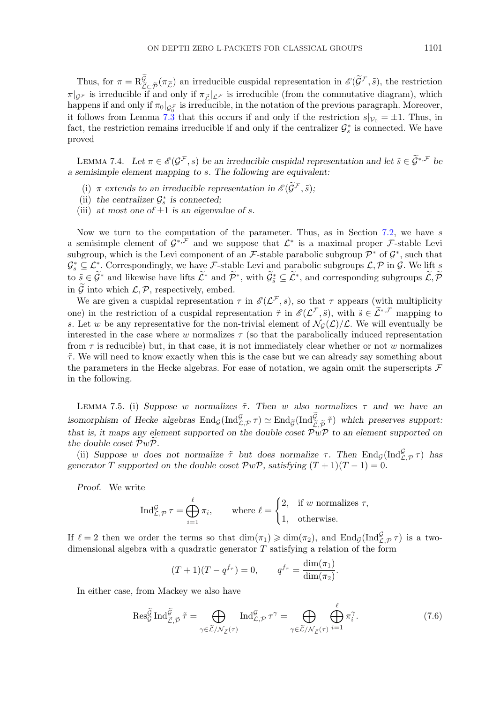<span id="page-18-0"></span>Thus, for  $\pi = R\frac{\tilde{G}}{\tilde{L}\subset \tilde{\mathcal{P}}}(\pi_{\tilde{L}})$  an irreducible cuspidal representation in  $\mathscr{E}(\tilde{G}^{\mathcal{F}}, \tilde{s})$ , the restriction Thus, for  $\pi = \mathcal{R}^{\tilde{G}}_{\tilde{L}\subset\tilde{\mathcal{P}}}(\pi_{\tilde{L}})$  an irreducible cuspidal representation in  $\mathscr{E}(\tilde{\mathcal{G}}^{\mathcal{F}}, \tilde{s})$ , the restriction  $\pi|_{\mathcal{G}^{\mathcal{F}}}$  is irreducible if and only if  $\pi_{\tilde{L}}|_{\mathcal{L}^{\mathcal{F}}}$ happens if and only if  $\pi_0|_{\mathcal{G}_{0}^{\mathcal{F}}}$  is irreducible, in the notation of the previous paragraph. Moreover, it follows from Lemma [7.3](#page-17-0) that this occurs if and only if the restriction  $s|_{\mathcal{V}_0} = \pm 1$ . Thus, in fact, the restriction remains irreducible if and only if the centralizer  $\mathcal{G}_{s}^{*}$  is connected. We have proved

LEMMA 7.4. Let  $\pi \in \mathscr{E}(\mathcal{G}^{\mathcal{F}}, s)$  be an irreducible cuspidal representation and let  $\tilde{s} \in \tilde{\mathcal{G}}^{*,\mathcal{F}}$  be *a semisimple element mapping to* s*. The following are equivalent:*

- (i)  $\pi$  *extends to an irreducible representation in*  $\mathscr{E}(\widetilde{\mathcal{G}}^{\mathcal{F}}, \widetilde{s})$ *;*
- (ii) the centralizer  $\mathcal{G}_s^*$  is connected;
- (iii) at most one of  $\pm 1$  is an eigenvalue of s.

Now we turn to the computation of the parameter. Thus, as in Section [7.2,](#page-14-0) we have  $s$ a semisimple element of  $\mathcal{G}^{*,\mathcal{F}}$  and we suppose that  $\mathcal{L}^*$  is a maximal proper  $\mathcal{F}$ -stable Levi subgroup, which is the Levi component of an F-stable parabolic subgroup  $\mathcal{P}^*$  of  $\mathcal{G}^*$ , such that  $\mathcal{G}_s^* \subseteq \mathcal{L}_s^*$ . Correspondingly, we have F-stable Levi and parabolic subgroups  $\mathcal{L}, \mathcal{P}$  in  $\mathcal{G}$ . We lift s to  $\tilde{s} \in \mathcal{G}^*$  and likewise have lifts  $\mathcal{L}^*$  and  $\mathcal{P}^*$ , with  $\mathcal{G}^*_{\tilde{s}} \subseteq \mathcal{L}^*$ , and corresponding subgroups  $\mathcal{L}, \mathcal{P}$ in  $\widetilde{\mathcal{G}}$  into which  $\mathcal{L}, \mathcal{P}$ , respectively, embed.

We are given a cuspidal representation  $\tau$  in  $\mathscr{E}(\mathcal{L}^{\mathcal{F}},s)$ , so that  $\tau$  appears (with multiplicity one) in the restriction of a cuspidal representation  $\tilde{\tau}$  in  $\mathscr{E}(\mathcal{L}^{\mathcal{F}}, \tilde{s})$ , with  $\tilde{s} \in \tilde{\mathcal{L}}^{*,\mathcal{F}}$  mapping to s. Let w be any representative for the non-trivial element of  $\mathcal{N}_{G}(\mathcal{L})/\mathcal{L}$ . We will eventually be interested in the case where w normalizes  $\tau$  (so that the parabolically induced representation from  $\tau$  is reducible) but, in that case, it is not immediately clear whether or not w normalizes  $\tilde{\tau}$ . We will need to know exactly when this is the case but we can already say something about the parameters in the Hecke algebras. For ease of notation, we again omit the superscripts  $\mathcal F$ in the following.

LEMMA 7.5. (i) Suppose w normalizes  $\tilde{\tau}$ . Then w also normalizes  $\tau$  and we have an LEMMA 7.5. (i) *Suppose w* normalizes  $\tilde{\tau}$ . Then *w* also normalizes  $\tau$  and we have an isomorphism of Hecke algebras  $\text{End}_{\mathcal{G}}(\text{Ind}_{\mathcal{L},\mathcal{P}}^{\mathcal{G}}\tau) \simeq \text{End}_{\tilde{\mathcal{G}}}(\text{Ind}_{\tilde{\mathcal{L}},\tilde{\mathcal{P}}}^{\tilde{\mathcal{G}}} \tilde{\tau})$  *that is, it maps any element supported on the double coset*  $\mathcal{P}w\mathcal{P}$  to an element supported on *the double coset* PwP*.*

(ii) *Suppose* w does not normalize  $\tilde{\tau}$  *but* does normalize  $\tau$ . Then  $\text{End}_{\mathcal{G}}(\text{Ind}_{\mathcal{L},\mathcal{P}}^{\mathcal{G}}\tau)$  has *generator* T *supported on the double coset*  $\mathcal{P}w\mathcal{P}$ *, satisfying*  $(T + 1)(T - 1) = 0$ *.* 

*Proof.* We write

$$
\operatorname{Ind}_{\mathcal{L},\mathcal{P}}^{\mathcal{G}} \tau = \bigoplus_{i=1}^{\ell} \pi_i, \quad \text{where } \ell = \begin{cases} 2, & \text{if } w \text{ normalizes } \tau, \\ 1, & \text{otherwise.} \end{cases}
$$

If  $\ell = 2$  then we order the terms so that  $\dim(\pi_1) \geqslant \dim(\pi_2)$ , and  $\text{End}_{\mathcal{G}}(\text{Ind}_{\mathcal{L},\mathcal{P}}^{\mathcal{G}} \tau)$  is a twodimensional algebra with a quadratic generator  $T$  satisfying a relation of the form

$$
(T+1)(T-q^{f_{\tau}})=0,
$$
  $q^{f_{\tau}} = \frac{\dim(\pi_1)}{\dim(\pi_2)}.$ 

In either case, from Mackey we also have  
\n
$$
\operatorname{Res}_{G}^{\widetilde{G}} \operatorname{Ind}_{\widetilde{\mathcal{L}},\widetilde{\mathcal{P}}}^{\widetilde{\mathcal{I}}} = \bigoplus_{\gamma \in \widetilde{\mathcal{L}}/\mathcal{N}_{\widetilde{\mathcal{L}}}(\tau)} \operatorname{Ind}_{\mathcal{L},\mathcal{P}}^{\mathcal{G}} \tau^{\gamma} = \bigoplus_{\gamma \in \widetilde{\mathcal{L}}/\mathcal{N}_{\widetilde{\mathcal{L}}}(\tau)} \bigoplus_{i=1}^{\ell} \pi_i^{\gamma}.
$$
\n(7.6)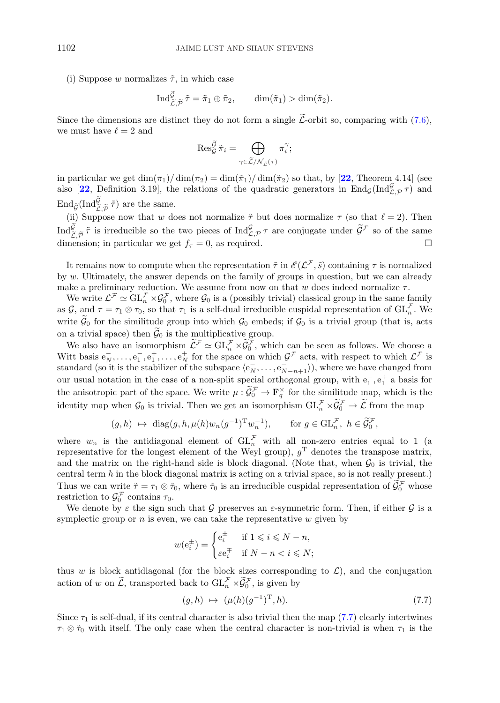<span id="page-19-0"></span>(i) Suppose w normalizes  $\tilde{\tau}$ , in which case<br>  $\text{Ind}_{\tilde{\mathcal{F}}}^{\tilde{\mathcal{G}}} \tilde{\tau} = \tilde{\pi}_1 \oplus \tilde{\pi}_2$ 

$$
\operatorname{Ind}_{\widetilde{\mathcal{L}}, \widetilde{\mathcal{P}}}^{\widetilde{\mathcal{G}}} \widetilde{\tau} = \widetilde{\pi}_1 \oplus \widetilde{\pi}_2, \qquad \operatorname{dim}(\widetilde{\pi}_1) > \operatorname{dim}(\widetilde{\pi}_2).
$$

Since the dimensions are distinct they do not form a single *L*-orbit so, comparing with [\(7.6\)](#page-18-0),<br>we must have  $\ell = 2$  and<br> $\operatorname{Res}_{G}^{\widetilde{\mathcal{G}}}\tilde{\pi}_{i} = \bigoplus \pi_{i}^{\gamma};$ we must have  $\ell = 2$  and

$$
\operatorname{Res}_{\mathcal{G}}^{\widetilde{\mathcal{G}}}\widetilde{\pi}_i=\bigoplus_{\gamma\in\widetilde{\mathcal{L}}/\mathcal{N}_{\widetilde{\mathcal{L}}}(\tau)}\pi_i^{\gamma};
$$

in particular we get  $\dim(\pi_1)/\dim(\pi_2) = \dim(\tilde{\pi}_1)/\dim(\tilde{\pi}_2)$  so that, by [[22](#page-36-0), Theorem 4.14] (see also [[22](#page-36-0), Definition 3.19], the relations of the quadratic generators in  $\text{End}_{\mathcal{G}}(\text{Ind}_{\mathcal{L},\mathcal{P}}^{\mathcal{G}} \tau)$  and in particular we get dim $(\pi_1)$  also [22, Definition 3.19], the same.<br>End $_{\widetilde{G}}(\text{Ind}_{\widetilde{\mathcal{L}},\widetilde{\mathcal{P}}}^{\widetilde{\mathcal{G}}})$  are the same.

(ii) Suppose now that w does not normalize  $\tilde{\tau}$  but does normalize  $\tau$  (so that  $\ell = 2$ ). Then  $d_{\tilde{\mathcal{L}},\tilde{\mathcal{P}}}^{\tilde{\mathcal{G}}}$  is irreducible so the two pieces of  $\text{Ind}_{\mathcal{L},\mathcal{P}}^{\mathcal{G}}\tau$  are conjugate under  $\til$ End $\tilde{g}(\text{Ind}_{\tilde{C},\tilde{\mathcal{P}}} \tau)$  are the same.<br>
(ii) Suppose now that w does not normalize  $\tilde{\tau}$  but does normalize  $\tau$  (so that  $\ell = 2$ ). Then<br>
Ind $\tilde{\mathcal{G}}$ ,  $\tilde{\rho}$   $\tilde{\tau}$  is irreducible so the two pieces of dimension; in particular we get  $f_\tau = 0$ , as required.

It remains now to compute when the representation  $\tilde{\tau}$  in  $\mathscr{E}(\mathcal{L}^{\mathcal{F}}, \tilde{s})$  containing  $\tau$  is normalized by w. Ultimately, the answer depends on the family of groups in question, but we can already make a preliminary reduction. We assume from now on that w does indeed normalize  $\tau$ .

We write  $\mathcal{L}^{\neq} \simeq GL_n^{\neq} \times \mathcal{G}_0^{\neq}$ , where  $\mathcal{G}_0$  is a (possibly trivial) classical group in the same family as  $\mathcal{G}$ , and  $\tau = \tau_1 \otimes \tau_0$ , so that  $\tau_1$  is a self-dual irreducible cuspidal representation of  $\mathrm{GL}_n^{\mathcal{F}}$ . We write  $\mathcal{G}_0$  for the similitude group into which  $\mathcal{G}_0$  embeds; if  $\mathcal{G}_0$  is a trivial group (that is, acts on a trivial space) then  $\mathcal{G}_0$  is the multiplicative group.

We also have an isomorphism  $\mathcal{L}^{\mathcal{F}} \simeq GL_n^{\mathcal{F}} \times \mathcal{G}_0^{\mathcal{F}}$ , which can be seen as follows. We choose a Witt basis  $e_N^-, \ldots, e_1^-, e_1^+, \ldots, e_N^+$  for the space on which  $\mathcal{G}^{\mathcal{F}}$  acts, with respect to which  $\mathcal{L}^{\mathcal{F}}$  is standard (so it is the stabilizer of the subspace  $\langle e_N^-, \ldots, e_{N-n+1}^- \rangle$ ), where we have changed from our usual notation in the case of a non-split special orthogonal group, with  $e_1^-, e_1^+$  a basis for the anisotropic part of the space. We write  $\mu$  :  $\mathcal{G}_0^{\neq} \to \mathbf{F}_q^{\times}$  for the similitude map, which is the identity map when  $\mathcal{G}_0$  is trivial. Then we get an isomorphism  $GL_n^{\to} \times \mathcal{G}_0^{\to} \to \mathcal{L}$  from the map

$$
(g, h) \mapsto \text{diag}(g, h, \mu(h)w_n(g^{-1})^Tw_n^{-1}), \text{ for } g \in \text{GL}_n^{\mathcal{F}}, h \in \widetilde{\mathcal{G}}_0^{\mathcal{F}},
$$

where  $w_n$  is the antidiagonal element of  $\operatorname{GL}_n^{\mathcal{F}}$  with all non-zero entries equal to 1 (a representative for the longest element of the Weyl group),  $g<sup>T</sup>$  denotes the transpose matrix, and the matrix on the right-hand side is block diagonal. (Note that, when  $\mathcal{G}_0$  is trivial, the central term  $h$  in the block diagonal matrix is acting on a trivial space, so is not really present.) Thus we can write  $\tilde{\tau} = \tau_1 \otimes \tilde{\tau}_0$ , where  $\tilde{\tau}_0$  is an irreducible cuspidal representation of  $\mathcal{G}_0^{\neq}$  whose restriction to  $\mathcal{G}_0^{\mathcal{F}}$  contains  $\tau_0$ .

We denote by  $\varepsilon$  the sign such that G preserves an  $\varepsilon$ -symmetric form. Then, if either G is a symplectic group or  $n$  is even, we can take the representative  $w$  given by

$$
w(e_i^{\pm}) = \begin{cases} e_i^{\pm} & \text{if } 1 \leq i \leq N - n, \\ \varepsilon e_i^{\mp} & \text{if } N - n < i \leq N; \end{cases}
$$

thus w is block antidiagonal (for the block sizes corresponding to  $\mathcal{L}$ ), and the conjugation action of w on  $\mathcal{L}$ , transported back to  $\operatorname{GL}_n^{\mathcal{F}} \times \mathcal{G}_0^{\mathcal{F}}$ , is given by

$$
(g,h) \mapsto (\mu(h)(g^{-1})^{\mathrm{T}},h). \tag{7.7}
$$

Since  $\tau_1$  is self-dual, if its central character is also trivial then the map (7.7) clearly intertwines  $\tau_1 \otimes \tilde{\tau}_0$  with itself. The only case when the central character is non-trivial is when  $\tau_1$  is the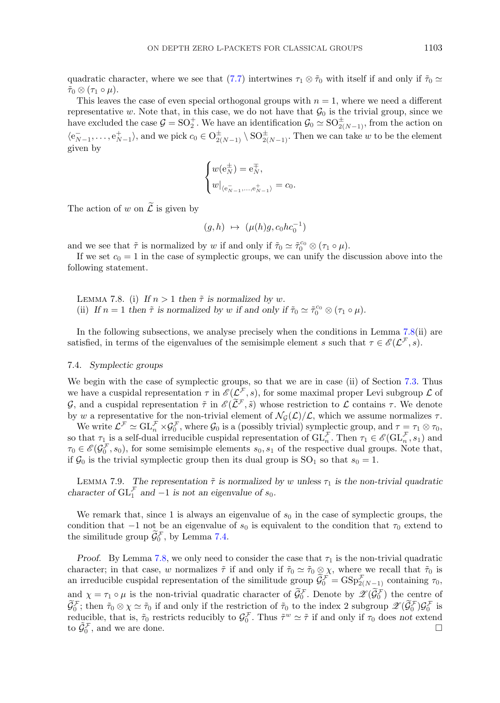<span id="page-20-0"></span>quadratic character, where we see that [\(7.7\)](#page-19-0) intertwines  $\tau_1 \otimes \tilde{\tau}_0$  with itself if and only if  $\tilde{\tau}_0 \simeq$  $\tilde{\tau}_0 \otimes (\tau_1 \circ \mu).$ 

This leaves the case of even special orthogonal groups with  $n = 1$ , where we need a different representative w. Note that, in this case, we do not have that  $\mathcal{G}_0$  is the trivial group, since we have excluded the case  $G = SO_2^+$ . We have an identification  $G_0 \simeq SO_{2(N-1)}^+$ , from the action on  $\langle e_{N-1}^+, \ldots, e_{N-1}^+ \rangle$ , and we pick  $c_0 \in O_{2(N-1)}^{\pm} \setminus \mathrm{SO}_{2(N-1)}^{\pm}$ . Then we can take w to be the element given by

$$
\begin{cases} w(\mathbf{e}_N^\pm) = \mathbf{e}_N^\mp, \\ w|_{\langle \mathbf{e}_{N-1}^\pm, \ldots, \mathbf{e}_{N-1}^\pm \rangle} = c_0. \end{cases}
$$

The action of w on  $\tilde{\mathcal{L}}$  is given by

$$
(g,h) \mapsto (\mu(h)g, c_0hc_0^{-1})
$$

and we see that  $\tilde{\tau}$  is normalized by w if and only if  $\tilde{\tau}_0 \simeq \tilde{\tau}_0^{c_0} \otimes (\tau_1 \circ \mu)$ .

If we set  $c_0 = 1$  in the case of symplectic groups, we can unify the discussion above into the following statement.

LEMMA 7.8. (i) If  $n > 1$  then  $\tilde{\tau}$  is normalized by w. (ii) *If*  $n = 1$  *then*  $\tilde{\tau}$  *is normalized by w if and only if*  $\tilde{\tau}_0 \simeq \tilde{\tau}_0^{c_0} \otimes (\tau_1 \circ \mu)$ *.* 

In the following subsections, we analyse precisely when the conditions in Lemma 7.8(ii) are satisfied, in terms of the eigenvalues of the semisimple element s such that  $\tau \in \mathscr{E}(\mathcal{L}^{\mathcal{F}}, s)$ .

## 7.4. *Symplectic groups*

We begin with the case of symplectic groups, so that we are in case (ii) of Section [7.3.](#page-16-0) Thus we have a cuspidal representation  $\tau$  in  $\mathscr{E}(\mathcal{L}^{\mathcal{F}},s)$ , for some maximal proper Levi subgroup  $\mathcal L$  of G, and a cuspidal representation  $\tilde{\tau}$  in  $\mathscr{E}(\widetilde{\mathcal{L}}^{\mathcal{F}}, \tilde{s})$  whose restriction to  $\mathcal{L}$  contains  $\tau$ . We denote by w a representative for the non-trivial element of  $\mathcal{N}_G(\mathcal{L})/\mathcal{L}$ , which we assume normalizes  $\tau$ .

We write  $\mathcal{L}^{\neq} \simeq \mathrm{GL}_{n}^{\neq} \times \mathcal{G}_{0}^{\neq}$ , where  $\mathcal{G}_{0}$  is a (possibly trivial) symplectic group, and  $\tau = \tau_{1} \otimes \tau_{0}$ , so that  $\tau_1$  is a self-dual irreducible cuspidal representation of  $\mathrm{GL}_n^{\mathcal{F}}$ . Then  $\tau_1 \in \mathscr{E}(\mathrm{GL}_n^{\mathcal{F}}, s_1)$  and  $\tau_0 \in \mathscr{E}(\mathcal{G}_0^{\perp}, s_0)$ , for some semisimple elements  $s_0, s_1$  of the respective dual groups. Note that, if  $\mathcal{G}_0$  is the trivial symplectic group then its dual group is  $SO_1$  so that  $s_0 = 1$ .

LEMMA 7.9. The representation  $\tilde{\tau}$  is normalized by w unless  $\tau_1$  is the non-trivial quadratic *character of*  $GL_1^{\mathcal{F}}$  *and*  $-1$  *is not an eigenvalue of*  $s_0$ *.* 

We remark that, since 1 is always an eigenvalue of  $s_0$  in the case of symplectic groups, the condition that  $-1$  not be an eigenvalue of  $s_0$  is equivalent to the condition that  $\tau_0$  extend to the similitude group  $\mathcal{G}_0^{\mathcal{F}}$ , by Lemma [7.4.](#page-18-0)

*Proof.* By Lemma 7.8, we only need to consider the case that  $\tau_1$  is the non-trivial quadratic character; in that case, w normalizes  $\tilde{\tau}$  if and only if  $\tilde{\tau}_0 \simeq \tilde{\tau}_0 \otimes \chi$ , where we recall that  $\tilde{\tau}_0$  is an irreducible cuspidal representation of the similitude group  $\mathcal{G}_0^{\neq} = \text{GSp}_{2(N-1)}^{\neq}$  containing  $\tau_0$ , and  $\chi = \tau_1 \circ \mu$  is the non-trivial quadratic character of  $\mathcal{G}_0^{\mathcal{F}}$ . Denote by  $\mathscr{L}(\mathcal{G}_0^{\mathcal{F}})$  the centre of  $\mathcal{G}_0^{\mathcal{F}}$ ; then  $\tilde{\tau}_0 \otimes \chi \simeq \tilde{\tau}_0$  if and only if the restriction of  $\tilde{\tau}_0$  to the index 2 subgroup  $\mathscr{L}(\mathcal{G}_0^{\mathcal{F}}) \mathcal{G}_0^{\mathcal{F}}$  is reducible, that is,  $\tilde{\tau}_0$  restricts reducibly to  $\mathcal{G}_0^{\mathcal{F}}$ . Thus  $\tilde{\tau}^w \simeq \tilde{\tau}$  if and only if  $\tau_0$  does not extend to  $\tilde{\mathcal{G}}_0^{\mathcal{F}}$ , and we are done.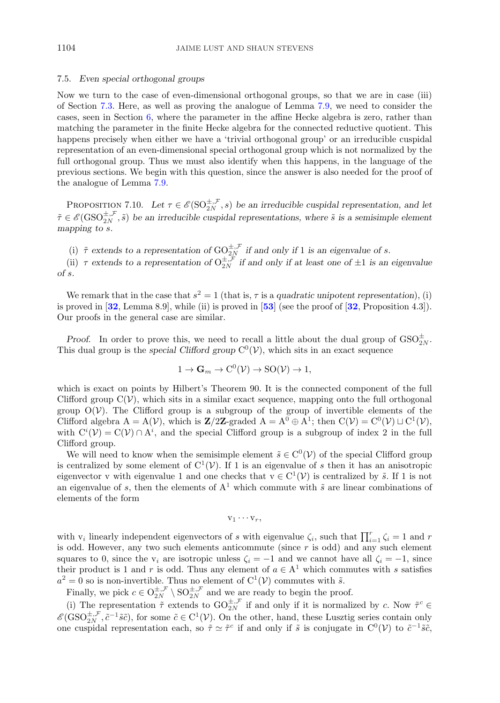## <span id="page-21-0"></span>7.5. *Even special orthogonal groups*

Now we turn to the case of even-dimensional orthogonal groups, so that we are in case (iii) of Section [7.3.](#page-16-0) Here, as well as proving the analogue of Lemma [7.9,](#page-20-0) we need to consider the cases, seen in Section [6,](#page-11-0) where the parameter in the affine Hecke algebra is zero, rather than matching the parameter in the finite Hecke algebra for the connected reductive quotient. This happens precisely when either we have a 'trivial orthogonal group' or an irreducible cuspidal representation of an even-dimensional special orthogonal group which is not normalized by the full orthogonal group. Thus we must also identify when this happens, in the language of the previous sections. We begin with this question, since the answer is also needed for the proof of the analogue of Lemma [7.9.](#page-20-0)

PROPOSITION 7.10. Let  $\tau \in \mathscr{E}(\mathrm{SO}_{2N}^{\pm,\mathcal{F}},s)$  be an irreducible cuspidal representation, and let  $\tilde{\tau} \in \mathscr{E}(\text{GSO}_{2N}^{\pm,\mathcal{F}}, \tilde{s})$  be an irreducible cuspidal representations, where  $\tilde{s}$  is a semisimple element *mapping to* s*.*

(i)  $\tilde{\tau}$  extends to a representation of  $GO_{2N}^{\pm, \mathcal{F}}$  *if and only if* 1 *is an eigenvalue of s.* 

(ii)  $\tau$  extends to a representation of  $O_{2N}^{\pm,\mathcal{F}}$  if and only if at least one of  $\pm 1$  is an eigenvalue *of* s*.*

We remark that in the case that  $s^2 = 1$  (that is,  $\tau$  is a *quadratic unipotent representation*), (i) is proved in [**[32](#page-36-0)**, Lemma 8.9], while (ii) is proved in [**[53](#page-37-0)**] (see the proof of [**[32](#page-36-0)**, Proposition 4.3]). Our proofs in the general case are similar.

*Proof.* In order to prove this, we need to recall a little about the dual group of  $\text{GSO}_{2N}^{\pm}$ . This dual group is the *special Clifford group*  $C^0(V)$ , which sits in an exact sequence

$$
1 \to \mathbf{G}_m \to \mathrm{C}^0(\mathcal{V}) \to \mathrm{SO}(\mathcal{V}) \to 1,
$$

which is exact on points by Hilbert's Theorem 90. It is the connected component of the full Clifford group  $C(\mathcal{V})$ , which sits in a similar exact sequence, mapping onto the full orthogonal group  $O(V)$ . The Clifford group is a subgroup of the group of invertible elements of the Clifford algebra  $A = A(V)$ , which is **Z**/2**Z**-graded  $A = A^0 \oplus A^1$ ; then  $C(V) = C^0(V) \sqcup C^1(V)$ , with  $C^{i}(\mathcal{V}) = C(\mathcal{V}) \cap A^{i}$ , and the special Clifford group is a subgroup of index 2 in the full Clifford group.

We will need to know when the semisimple element  $\tilde{s} \in C^{0}(\mathcal{V})$  of the special Clifford group is centralized by some element of  $C^1(\mathcal{V})$ . If 1 is an eigenvalue of s then it has an anisotropic eigenvector v with eigenvalue 1 and one checks that  $v \in C^1(\mathcal{V})$  is centralized by  $\tilde{s}$ . If 1 is not an eigenvalue of s, then the elements of  $A<sup>1</sup>$  which commute with  $\tilde{s}$  are linear combinations of elements of the form

$$
v_1 \cdots v_r,
$$

with  $v_i$  linearly independent eigenvectors of s with eigenvalue  $\zeta_i$ , such that  $\prod_{i=1}^r \zeta_i = 1$  and r is odd. However, any two such elements anticommute (since  $r$  is odd) and any such element squares to 0, since the  $v_i$  are isotropic unless  $\zeta_i = -1$  and we cannot have all  $\zeta_i = -1$ , since their product is 1 and r is odd. Thus any element of  $a \in A<sup>1</sup>$  which commutes with s satisfies  $a^2 = 0$  so is non-invertible. Thus no element of  $C^1(\mathcal{V})$  commutes with  $\tilde{s}$ .

Finally, we pick  $c \in O_{2N}^{\pm,\mathcal{F}} \setminus SO_{2N}^{\pm,\mathcal{F}}$  and we are ready to begin the proof.

(i) The representation  $\tilde{\tau}$  extends to  $GO_{2N}^{\pm,\mathcal{F}}$  if and only if it is normalized by c. Now  $\tilde{\tau}^c \in$  $\mathscr{E}(\text{GSO}_{2N}^{\pm,\mathcal{F}}, \tilde{c}^{-1}\tilde{s}\tilde{c})$ , for some  $\tilde{c} \in C^1(\mathcal{V})$ . On the other, hand, these Lusztig series contain only one cuspidal representation each, so  $\tilde{\tau} \simeq \tilde{\tau}^c$  if and only if  $\tilde{s}$  is conjugate in  $C^0(\mathcal{V})$  to  $\tilde{c}^{-1}\tilde{s}\tilde{c}$ ,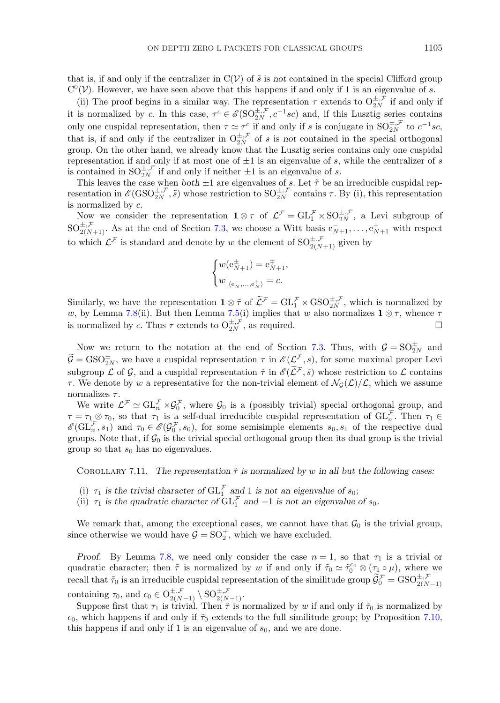that is, if and only if the centralizer in  $C(V)$  of  $\tilde{s}$  is *not* contained in the special Clifford group  $C^0(\mathcal{V})$ . However, we have seen above that this happens if and only if 1 is an eigenvalue of s.

(ii) The proof begins in a similar way. The representation  $\tau$  extends to  $O_{2N}^{\pm,\mathcal{F}}$  if and only if it is normalized by c. In this case,  $\tau^c \in \mathscr{E}(\mathrm{SO}_{2N}^{\pm,\mathcal{F}}, c^{-1}sc)$  and, if this Lusztig series contains only one cuspidal representation, then  $\tau \simeq \tau_c^c$  if and only if s is conjugate in  $SO_{2N}^{\pm, \mathcal{F}}$  to  $c^{-1}sc$ , that is, if and only if the centralizer in  $O_{2N}^{\pm,\mathcal{F}}$  of s is *not* contained in the special orthogonal group. On the other hand, we already know that the Lusztig series contains only one cuspidal representation if and only if at most one of  $\pm 1$  is an eigenvalue of s, while the centralizer of s is contained in  $SO_{2N}^{\pm,\mathcal{F}}$  if and only if neither  $\pm 1$  is an eigenvalue of s.

This leaves the case when *both*  $\pm 1$  are eigenvalues of s. Let  $\tilde{\tau}$  be an irreducible cuspidal representation in  $\mathscr{E}(\text{GSO}_{2N}^{\pm,\mathcal{F}},\tilde{s})$  whose restriction to  $\text{SO}_{2N}^{\pm,\mathcal{F}}$  contains  $\tau$ . By (i), this representation is normalized by c.

Now we consider the representation  $\mathbf{1} \otimes \tau$  of  $\mathcal{L}^{\mathcal{F}} = GL_1^{\mathcal{F}} \times SO_{2N}^{\pm, \mathcal{F}}$ , a Levi subgroup of  $SO_{2(N+1)}^{\pm,\mathcal{F}}$ . As at the end of Section [7.3,](#page-16-0) we choose a Witt basis  $e_{N+1}^-, \ldots, e_{N+1}^+$  with respect to which  $\mathcal{L}^{\mathcal{F}}$  is standard and denote by w the element of  $SO_{2(N+1)}^{\pm,\mathcal{F}}$  given by

$$
\begin{cases} w(\mathbf{e}_{N+1}^\pm)=\mathbf{e}_{N+1}^\mp,\\ w|_{\langle\mathbf{e}_N^-,\ldots,\mathbf{e}_N^+\rangle}=c. \end{cases}
$$

Similarly, we have the representation  $\mathbf{1} \otimes \tilde{\tau}$  of  $\tilde{\mathcal{L}}^{\mathcal{F}} = GL_1^{\mathcal{F}} \times \text{GSO}_{2N}^{\pm, \mathcal{F}}$ , which is normalized by w, by Lemma 7.8(ii). But then Lemma 7.5(i) implies that w also normalizes  $1 \otimes \tau$ , whence  $\tau$ is normalized by c. Thus  $\tau$  extends to  $O_{2N}^{\pm,\mathcal{F}}$ , as required.

Now we return to the notation at the end of Section [7.3.](#page-16-0) Thus, with  $\mathcal{G} = SO_{2N}^{\pm}$  and  $\mathcal{G} = \text{GSO}_{2N}^{\pm}$ , we have a cuspidal representation  $\tau$  in  $\mathscr{E}(\mathcal{L}^{\neq}, s)$ , for some maximal proper Levi subgroup L of G, and a cuspidal representation  $\tilde{\tau}$  in  $\mathscr{E}(\widetilde{\mathcal{L}}^{\mathcal{F}}, \tilde{s})$  whose restriction to L contains  $\tau$ . We denote by w a representative for the non-trivial element of  $\mathcal{N}_G(\mathcal{L})/\mathcal{L}$ , which we assume normalizes  $\tau$ .

We write  $\mathcal{L}^{\neq} \simeq GL_n^{\neq} \times \mathcal{G}_0^{\neq}$ , where  $\mathcal{G}_0$  is a (possibly trivial) special orthogonal group, and  $\tau = \tau_1 \otimes \tau_0$ , so that  $\tau_1$  is a self-dual irreducible cuspidal representation of  $\mathrm{GL}_n^{\tau}$ . Then  $\tau_1 \in$  $\mathscr{E}(\mathrm{GL}_n^{\mathcal{F}}, s_1)$  and  $\tau_0 \in \mathscr{E}(\mathcal{G}_0^{\mathcal{F}}, s_0)$ , for some semisimple elements  $s_0, s_1$  of the respective dual groups. Note that, if  $\mathcal{G}_0$  is the trivial special orthogonal group then its dual group is the trivial group so that  $s_0$  has no eigenvalues.

COROLLARY 7.11. The representation  $\tilde{\tau}$  is normalized by w in all but the following cases:

- (i)  $\tau_1$  is the trivial character of  $\mathrm{GL}_1^{\mathcal{F}}$  and 1 is not an eigenvalue of  $s_0$ ;
- (ii)  $\tau_1$  *is the quadratic character of*  $GL_1^{\mathcal{F}}$  *and*  $-1$  *is not an eigenvalue of*  $s_0$ *.*

We remark that, among the exceptional cases, we cannot have that  $\mathcal{G}_0$  is the trivial group, since otherwise we would have  $\mathcal{G} = SO_2^+$ , which we have excluded.

*Proof.* By Lemma 7.8, we need only consider the case  $n = 1$ , so that  $\tau_1$  is a trivial or quadratic character; then  $\tilde{\tau}$  is normalized by w if and only if  $\tilde{\tau}_0 \simeq \tilde{\tau}_0^{c_0} \otimes (\tau_1 \circ \mu)$ , where we recall that  $\tilde{\tau}_0$  is an irreducible cuspidal representation of the similitude group  $\tilde{G}_0^{\mathcal{F}} = GSO_{2(N-1)}^{\pm,\mathcal{F}}$ containing  $\tau_0$ , and  $c_0 \in O^{\pm, \mathcal{F}}_{2(N-1)} \setminus SO^{\pm, \mathcal{F}}_{2(N-1)}.$ 

Suppose first that  $\tau_1$  is trivial. Then  $\tilde{\tau}$  is normalized by w if and only if  $\tilde{\tau}_0$  is normalized by  $c_0$ , which happens if and only if  $\tilde{\tau}_0$  extends to the full similitude group; by Proposition [7.10,](#page-21-0) this happens if and only if 1 is an eigenvalue of  $s_0$ , and we are done.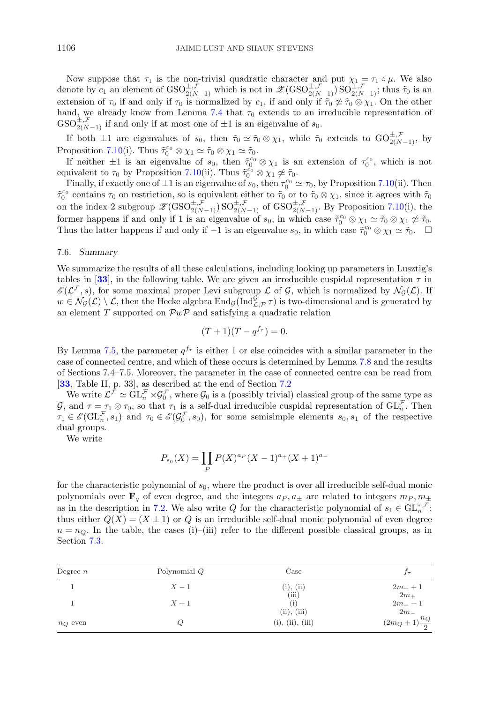Now suppose that  $\tau_1$  is the non-trivial quadratic character and put  $\chi_1 = \tau_1 \circ \mu$ . We also denote by  $c_1$  an element of  $GSO_{2(N-1)}^{\pm,\mathcal{F}}$  which is not in  $\mathscr{L}(GSO_{2(N-1)}^{\pm,\mathcal{F}})SO_{2(N-1)}^{\pm,\mathcal{F}}$ ; thus  $\tilde{\tau}_0$  is an extension of  $\tau_0$  if and only if  $\tau_0$  is normalized by  $c_1$ , if and only if  $\tilde{\tau}_0 \not\approx \tilde{\tau}_0 \otimes \chi_1$ . On the other hand, we already know from Lemma [7.4](#page-18-0) that  $\tau_0$  extends to an irreducible representation of  $GSO_{2(N-1)}^{\pm,\mathcal{F}}$  if and only if at most one of  $\pm 1$  is an eigenvalue of  $s_0$ .

If both  $\pm 1$  are eigenvalues of  $s_0$ , then  $\tilde{\tau}_0 \simeq \tilde{\tau}_0 \otimes \chi_1$ , while  $\tilde{\tau}_0$  extends to  $\mathrm{GO}_{2(N-1)}^{\pm, \mathcal{F}}$ , by Proposition [7.10\(](#page-21-0)i). Thus  $\tilde{\tau}_0^{c_0} \otimes \chi_1 \simeq \tilde{\tau}_0 \otimes \chi_1 \simeq \tilde{\tau}_0$ .

If neither  $\pm 1$  is an eigenvalue of  $s_0$ , then  $\tilde{\tau}_0^{c_0} \otimes \chi_1$  is an extension of  $\tau_0^{c_0}$ , which is not equivalent to  $\tau_0$  by Proposition [7.10\(](#page-21-0)ii). Thus  $\tilde{\tau}_0^{c_0} \otimes \chi_1 \not\simeq \tilde{\tau}_0$ .

Finally, if exactly one of  $\pm 1$  is an eigenvalue of  $s_0$ , then  $\tau_0^{c_0} \simeq \tau_0$ , by Proposition [7.10\(](#page-21-0)ii). Then  $\tilde{\tau}_0^{\epsilon_0}$  contains  $\tau_0$  on restriction, so is equivalent either to  $\tilde{\tau}_0$  or to  $\tilde{\tau}_0 \otimes \chi_1$ , since it agrees with  $\tilde{\tau}_0$ on the index 2 subgroup  $\mathscr{Z}(\text{GSO}_{2(N-1)}^{\pm,\mathcal{F}})$  SO $_{2(N-1)}^{\pm,\mathcal{F}}$  of  $\text{GSO}_{2(N-1)}^{\pm,\mathcal{F}}$ . By Proposition [7.10\(](#page-21-0)i), the former happens if and only if 1 is an eigenvalue of  $s_0$ , in which case  $\tilde{\tau}_0^{c_0} \otimes \chi_1 \simeq \tilde{\tau}_0 \otimes \chi_1 \not\approx \tilde{\tau}_0$ . Thus the latter happens if and only if  $-1$  is an eigenvalue  $s_0$ , in which case  $\tilde{\tau}_0^{c_0} \otimes \chi_1 \simeq \tilde{\tau}_0$ .  $\Box$ 

## 7.6. *Summary*

We summarize the results of all these calculations, including looking up parameters in Lusztig's tables in [[33](#page-36-0)], in the following table. We are given an irreducible cuspidal representation  $\tau$  in  $\mathscr{E}(\mathcal{L}^{\mathcal{F}},s)$ , for some maximal proper Levi subgroup  $\mathcal L$  of  $\mathcal G$ , which is normalized by  $\mathcal N_{\mathcal G}(\mathcal L)$ . If  $w \in \mathcal{N}_{\mathcal{G}}(\mathcal{L}) \setminus \mathcal{L}$ , then the Hecke algebra  $\text{End}_{\mathcal{G}}(\text{Ind}_{\mathcal{L},\mathcal{P}}^{\mathcal{G}} \tau)$  is two-dimensional and is generated by an element  $T$  supported on  $\mathcal{P}w\mathcal{P}$  and satisfying a quadratic relation

$$
(T+1)(T-q^{f_{\tau}}) = 0.
$$

By Lemma 7.5, the parameter  $q^{f_{\tau}}$  is either 1 or else coincides with a similar parameter in the case of connected centre, and which of these occurs is determined by Lemma 7.8 and the results of Sections 7.4–7.5. Moreover, the parameter in the case of connected centre can be read from [**[33](#page-36-0)**, Table II, p. 33], as described at the end of Section [7.2](#page-14-0)

We write  $\mathcal{L}^{\neq} \simeq GL_n^{\neq} \times \mathcal{G}_0^{\neq}$ , where  $\mathcal{G}_0$  is a (possibly trivial) classical group of the same type as  $\mathcal{G}$ , and  $\tau = \tau_1 \otimes \tau_0$ , so that  $\tau_1$  is a self-dual irreducible cuspidal representation of  $\mathrm{GL}_n^{\mathcal{F}}$ . Then  $\tau_1 \in \mathscr{E}(\mathrm{GL}_n^{\mathcal{F}}, s_1)$  and  $\tau_0 \in \mathscr{E}(\mathcal{G}_0^{\mathcal{F}}, s_0)$ , for some semisimple elements  $s_0, s_1$  of the respective dual groups.

We write

$$
P_{s_0}(X) = \prod_P P(X)^{a_P}(X-1)^{a_+}(X+1)^{a_-}
$$

for the characteristic polynomial of  $s_0$ , where the product is over all irreducible self-dual monic polynomials over  $\mathbf{F}_q$  of even degree, and the integers  $a_P, a_\pm$  are related to integers  $m_P, m_\pm$ as in the description in [7.2.](#page-15-0) We also write Q for the characteristic polynomial of  $s_1 \in \mathrm{GL}_n^{*,\mathcal{F}}$ ; thus either  $Q(X)=(X \pm 1)$  or Q is an irreducible self-dual monic polynomial of even degree  $n = n_Q$ . In the table, the cases (i)–(iii) refer to the different possible classical groups, as in Section [7.3.](#page-16-0)

| Degree $n$ | Polynomial Q | Case                            | $J\tau$                                     |
|------------|--------------|---------------------------------|---------------------------------------------|
|            | $X-1$        | (i), (ii)                       | $2m_{+}+1$                                  |
|            | $X+1$        | (iii)                           | $2m+$<br>$2m + 1$                           |
| $n_Q$ even | Q,           | (ii), (iii)<br>(i), (ii), (iii) | $2m_{-}$<br>$\frac{n_Q}{2}$<br>$(2m_Q + 1)$ |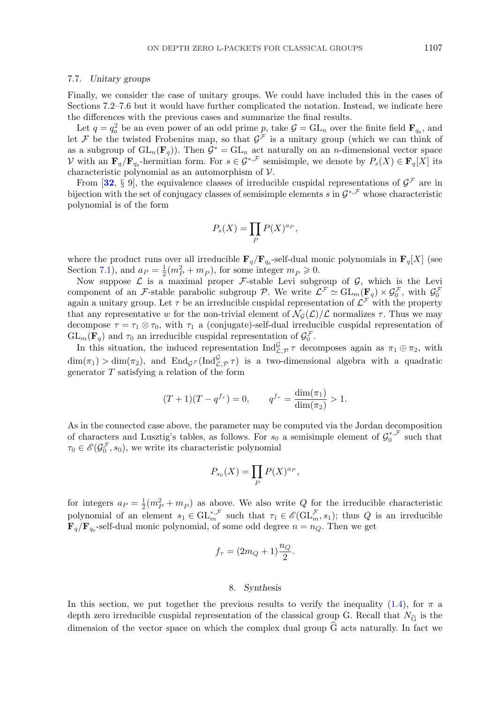#### <span id="page-24-0"></span>7.7. *Unitary groups*

Finally, we consider the case of unitary groups. We could have included this in the cases of Sections 7.2–7.6 but it would have further complicated the notation. Instead, we indicate here the differences with the previous cases and summarize the final results.

Let  $q = q_o^2$  be an even power of an odd prime p, take  $\mathcal{G} = GL_n$  over the finite field  $\mathbf{F}_{q_o}$ , and let F be the twisted Frobenius map, so that  $\mathcal{G}^{\mathcal{F}}$  is a unitary group (which we can think of as a subgroup of  $GL_n(\mathbf{F}_q)$ ). Then  $\mathcal{G}^* = GL_n$  act naturally on an *n*-dimensional vector space V with an  $\mathbf{F}_q/\mathbf{F}_{q_0}$ -hermitian form. For  $s \in \mathcal{G}^{*,\mathcal{F}}$  semisimple, we denote by  $P_s(X) \in \mathbf{F}_q[X]$  its characteristic polynomial as an automorphism of V.

From [[32](#page-36-0), § 9], the equivalence classes of irreducible cuspidal representations of  $\mathcal{G}^{\mathcal{F}}$  are in bijection with the set of conjugacy classes of semisimple elements s in  $\mathcal{G}^{*,\mathcal{F}}$  whose characteristic polynomial is of the form

$$
P_s(X) = \prod_P P(X)^{a_P},
$$

where the product runs over all irreducible  $\mathbf{F}_q/\mathbf{F}_{q_0}$ -self-dual monic polynomials in  $\mathbf{F}_q[X]$  (see Section [7.1\)](#page-13-0), and  $a_P = \frac{1}{2}(m_P^2 + m_P)$ , for some integer  $m_P \ge 0$ .

Now suppose  $\mathcal L$  is a maximal proper  $\mathcal F$ -stable Levi subgroup of  $\mathcal G$ , which is the Levi component of an F-stable parabolic subgroup P. We write  $\mathcal{L}^{\neq} \simeq GL_m(\mathbf{F}_q) \times \mathcal{G}_0^{\neq}$ , with  $\mathcal{G}_0^{\neq}$ again a unitary group. Let  $\tau$  be an irreducible cuspidal representation of  $\mathcal{L}^{\mathcal{F}}$  with the property that any representative w for the non-trivial element of  $\mathcal{N}_G(\mathcal{L})/\mathcal{L}$  normalizes  $\tau$ . Thus we may decompose  $\tau = \tau_1 \otimes \tau_0$ , with  $\tau_1$  a (conjugate)-self-dual irreducible cuspidal representation of  $GL_m(\mathbf{F}_q)$  and  $\tau_0$  an irreducible cuspidal representation of  $\mathcal{G}_0$ .

In this situation, the induced representation  $\text{Ind}_{\mathcal{L},\mathcal{P}}^{\mathcal{G}} \tau$  decomposes again as  $\pi_1 \oplus \pi_2$ , with  $\dim(\pi_1) > \dim(\pi_2)$ , and  $\text{End}_{\mathcal{G}^{\mathcal{F}}}(\text{Ind}_{\mathcal{L},\mathcal{P}}^{\mathcal{G}} \tau)$  is a two-dimensional algebra with a quadratic generator T satisfying a relation of the form

$$
(T+1)(T-q^{f_{\tau}}) = 0, \qquad q^{f_{\tau}} = \frac{\dim(\pi_1)}{\dim(\pi_2)} > 1.
$$

As in the connected case above, the parameter may be computed via the Jordan decomposition of characters and Lusztig's tables, as follows. For  $s_0$  a semisimple element of  $\mathcal{G}_0^{*,\mathcal{F}}$  such that  $\tau_0 \in \mathscr{E}(\mathcal{G}_0^{\mathcal{F}}, s_0)$ , we write its characteristic polynomial

$$
P_{s_0}(X) = \prod_P P(X)^{a_P},
$$

for integers  $a_P = \frac{1}{2}(m_P^2 + m_P)$  as above. We also write Q for the irreducible characteristic polynomial of an element  $s_1 \in \mathrm{GL}_m^{*,\mathcal{F}}$  such that  $\tau_1 \in \mathscr{E}(\mathrm{GL}_m^{\mathcal{F}}, s_1)$ ; thus Q is an irreducible  $\mathbf{F}_q/\mathbf{F}_{q}$ -self-dual monic polynomial, of some odd degree  $n = n_Q$ . Then we get

$$
f_{\tau} = (2m_Q + 1)\frac{n_Q}{2}.
$$

#### 8. *Synthesis*

In this section, we put together the previous results to verify the inequality [\(1.4\)](#page-3-0), for  $\pi$  a In this section, we put together the previous results to verify the inequality (1.4), for  $\pi$  a depth zero irreducible cuspidal representation of the classical group G. Recall that  $N_{\widehat{G}}$  is the dimension of the vector space on which the complex dual group  $\tilde{G}$  acts naturally. In fact we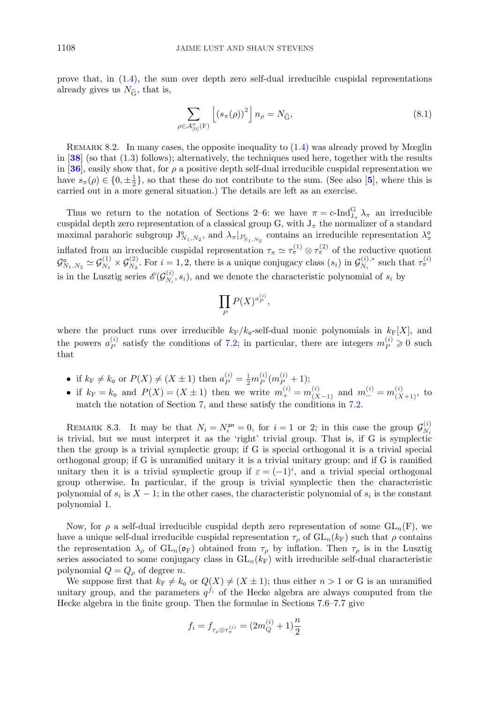<span id="page-25-0"></span>prove that, in [\(1.4\)](#page-3-0), the sum over depth zero self-dual irreducible cuspidal representations prove that, in (1.4), the surfall<br>calready gives us  $N_{\widehat{G}}$ , that is,

$$
\sum_{\rho \in \mathcal{A}_{[0]}^{\sigma}(\mathcal{F})} \left[ \left( s_{\pi}(\rho) \right)^2 \right] n_{\rho} = N_{\widehat{\mathcal{G}}},\tag{8.1}
$$

REMARK 8.2. In many cases, the opposite inequality to  $(1.4)$  was already proved by Mœglin in [**[38](#page-36-0)**] (so that [\(1.3\)](#page-2-0) follows); alternatively, the techniques used here, together with the results in [[36](#page-36-0)], easily show that, for  $\rho$  a positive depth self-dual irreducible cuspidal representation we have  $s_{\pi}(\rho) \in \{0, \pm \frac{1}{2}\}\$ , so that these do not contribute to the sum. (See also [[5](#page-35-0)], where this is carried out in a more general situation.) The details are left as an exercise.

Thus we return to the notation of Sections 2–6: we have  $\pi = c$ -Ind $_{J_{\pi}}^{G} \lambda_{\pi}$  an irreducible cuspidal depth zero representation of a classical group G, with  $J_{\pi}$  the normalizer of a standard maximal parahoric subgroup  $J_{N_1,N_2}^{\circ}$ , and  $\lambda_{\pi}|_{J_{N_1,N_2}^{\circ}}$  contains an irreducible representation  $\lambda_{\pi}^{\circ}$ inflated from an irreducible cuspidal representation  $\tau_{\pi} \simeq \tau_{\pi}^{(1)} \otimes \tau_{\pi}^{(2)}$  of the reductive quotient  $\mathcal{G}_{N_1,N_2}^{\mathfrak{0}} \simeq \mathcal{G}_{N_1}^{(1)} \times \mathcal{G}_{N_2}^{(2)}$ . For  $i = 1, 2$ , there is a unique conjugacy class  $(s_i)$  in  $\mathcal{G}_{N_i}^{(i),*}$  such that  $\tau_{\pi}^{(i)}$ is in the Lusztig series  $\mathscr{E}(\mathcal{G}_{N_i}^{(i)}, s_i)$ , and we denote the characteristic polynomial of  $s_i$  by

$$
\prod_P P(X)^{a_P^{(i)}},
$$

where the product runs over irreducible  $k_F/k_o$ -self-dual monic polynomials in  $k_F[X]$ , and the powers  $a_P^{(i)}$  satisfy the conditions of [7.2;](#page-15-0) in particular, there are integers  $m_P^{(i)} \geq 0$  such that

- if  $k_F \neq k_o$  or  $P(X) \neq (X \pm 1)$  then  $a_P^{(i)} = \frac{1}{2} m_P^{(i)} (m_P^{(i)} + 1);$
- if  $k_F = k_o$  and  $P(X) = (X \pm 1)$  then we write  $m_+^{(i)} = m_{(X-1)}^{(i)}$  and  $m_-^{(i)} = m_{(X+1)}^{(i)}$ , to match the notation of Section [7,](#page-13-0) and these satisfy the conditions in [7.2.](#page-15-0)

REMARK 8.3. It may be that  $N_i = N_i^{\text{an}} = 0$ , for  $i = 1$  or 2; in this case the group  $\mathcal{G}_{N_i}^{(i)}$ is trivial, but we must interpret it as the 'right' trivial group. That is, if G is symplectic then the group is a trivial symplectic group; if G is special orthogonal it is a trivial special orthogonal group; if G is unramified unitary it is a trivial unitary group; and if G is ramified unitary then it is a trivial symplectic group if  $\varepsilon = (-1)^i$ , and a trivial special orthogonal group otherwise. In particular, if the group is trivial symplectic then the characteristic polynomial of  $s_i$  is  $X - 1$ ; in the other cases, the characteristic polynomial of  $s_i$  is the constant polynomial 1.

Now, for  $\rho$  a self-dual irreducible cuspidal depth zero representation of some  $GL_n(F)$ , we have a unique self-dual irreducible cuspidal representation  $\tau_{\rho}$  of  $GL_n(k_F)$  such that  $\rho$  contains the representation  $\lambda_\rho$  of  $GL_n(\mathfrak{o}_F)$  obtained from  $\tau_\rho$  by inflation. Then  $\tau_\rho$  is in the Lusztig series associated to some conjugacy class in  $GL_n(k_F)$  with irreducible self-dual characteristic polynomial  $Q = Q_{\rho}$  of degree *n*.

We suppose first that  $k_F \neq k_o$  or  $Q(X) \neq (X \pm 1)$ ; thus either  $n > 1$  or G is an unramified unitary group, and the parameters  $q^{f_i}$  of the Hecke algebra are always computed from the Hecke algebra in the finite group. Then the formulae in Sections 7.6–7.7 give

$$
f_i = f_{\tau_\rho \otimes \tau_\pi^{(i)}} = (2m_Q^{(i)} + 1)\frac{n}{2}
$$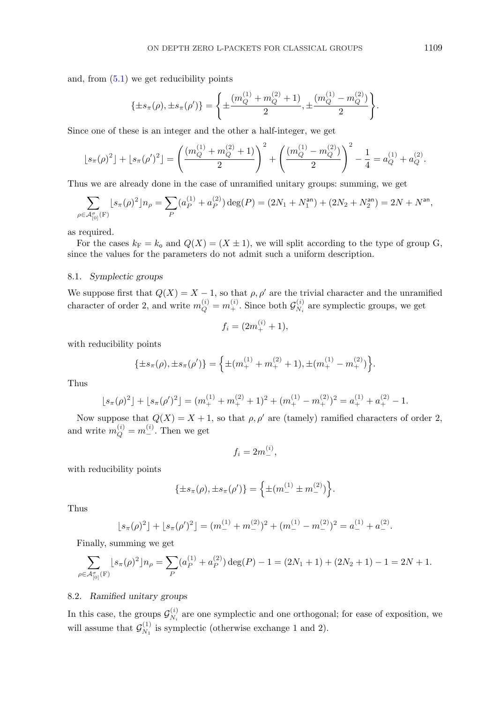and, from  $(5.1)$  we get reducibility points

$$
\{\pm s_{\pi}(\rho), \pm s_{\pi}(\rho')\} = \left\{\pm \frac{(m_Q^{(1)} + m_Q^{(2)} + 1)}{2}, \pm \frac{(m_Q^{(1)} - m_Q^{(2)})}{2}\right\}.
$$

Since one of these is an integer and the other a half-integer, we get

$$
\lfloor s_{\pi}(\rho)^2 \rfloor + \lfloor s_{\pi}(\rho')^2 \rfloor = \left( \frac{(m_Q^{(1)} + m_Q^{(2)} + 1)}{2} \right)^2 + \left( \frac{(m_Q^{(1)} - m_Q^{(2)})}{2} \right)^2 - \frac{1}{4} = a_Q^{(1)} + a_Q^{(2)}.
$$

Thus we are already done in the case of unramified unitary groups: summing, we get

$$
\sum_{\rho \in \mathcal{A}_{[0]}^{\sigma}(F)} [s_{\pi}(\rho)^{2}] n_{\rho} = \sum_{P} (a_{P}^{(1)} + a_{P}^{(2)}) \deg(P) = (2N_{1} + N_{1}^{\text{an}}) + (2N_{2} + N_{2}^{\text{an}}) = 2N + N^{\text{an}},
$$

as required.

For the cases  $k_F = k_o$  and  $Q(X) = (X \pm 1)$ , we will split according to the type of group G, since the values for the parameters do not admit such a uniform description.

## 8.1. *Symplectic groups*

We suppose first that  $Q(X) = X - 1$ , so that  $\rho, \rho'$  are the trivial character and the unramified character of order 2, and write  $m_Q^{(i)} = m_+^{(i)}$ . Since both  $\mathcal{G}_{N_i}^{(i)}$  are symplectic groups, we get

$$
f_i = (2m_+^{(i)} + 1),
$$

with reducibility points

$$
\{\pm s_{\pi}(\rho), \pm s_{\pi}(\rho')\} = \left\{\pm (m_+^{(1)} + m_+^{(2)} + 1), \pm (m_+^{(1)} - m_+^{(2)})\right\}.
$$

Thus

$$
\lfloor s_{\pi}(\rho)^2 \rfloor + \lfloor s_{\pi}(\rho')^2 \rfloor = (m_+^{(1)} + m_+^{(2)} + 1)^2 + (m_+^{(1)} - m_+^{(2)})^2 = a_+^{(1)} + a_+^{(2)} - 1.
$$

Now suppose that  $Q(X) = X + 1$ , so that  $\rho, \rho'$  are (tamely) ramified characters of order 2, and write  $m_Q^{(i)} = m_{-}^{(i)}$ . Then we get

$$
f_i=2m^{(i)}_{-},
$$

with reducibility points

$$
\{\pm s_{\pi}(\rho), \pm s_{\pi}(\rho')\} = \left\{\pm (m_{-}^{(1)} \pm m_{-}^{(2)})\right\}.
$$

Thus

$$
\lfloor s_{\pi}(\rho)^2 \rfloor + \lfloor s_{\pi}(\rho')^2 \rfloor = (m_{-}^{(1)} + m_{-}^{(2)})^2 + (m_{-}^{(1)} - m_{-}^{(2)})^2 = a_{-}^{(1)} + a_{-}^{(2)}.
$$

Finally, summing we get

$$
\sum_{\rho \in \mathcal{A}_{[0]}^{\sigma}(F)} [s_{\pi}(\rho)^{2}] n_{\rho} = \sum_{P} (a_{P}^{(1)} + a_{P}^{(2)}) \deg(P) - 1 = (2N_{1} + 1) + (2N_{2} + 1) - 1 = 2N + 1.
$$

## 8.2. *Ramified unitary groups*

In this case, the groups  $\mathcal{G}_{N_i}^{(i)}$  are one symplectic and one orthogonal; for ease of exposition, we will assume that  $\mathcal{G}_{N_1}^{(1)}$  is symplectic (otherwise exchange 1 and 2).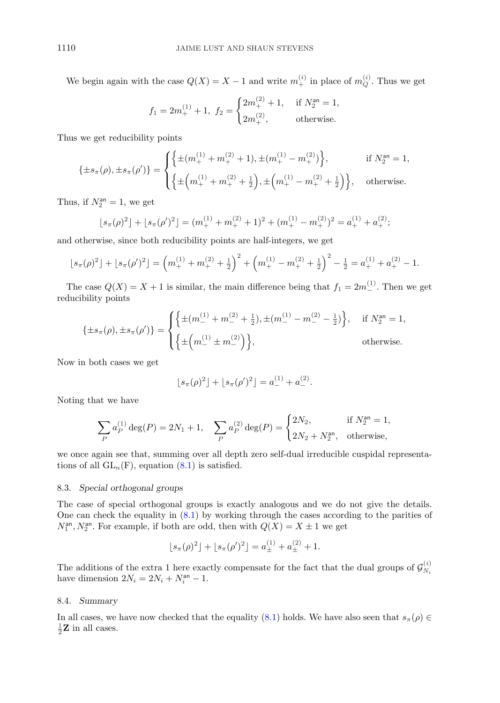We begin again with the case  $Q(X) = X - 1$  and write  $m_+^{(i)}$  in place of  $m_Q^{(i)}$ . Thus we get

$$
f_1 = 2m_+^{(1)} + 1, \ f_2 = \begin{cases} 2m_+^{(2)} + 1, & \text{if } N_2^{\text{an}} = 1, \\ 2m_+^{(2)}, & \text{otherwise.} \end{cases}
$$

Thus we get reducibility points

$$
\{\pm s_{\pi}(\rho), \pm s_{\pi}(\rho')\} = \begin{cases} \left\{\pm (m_{+}^{(1)} + m_{+}^{(2)} + 1), \pm (m_{+}^{(1)} - m_{+}^{(2)})\right\}, & \text{if } N_{2}^{\text{an}} = 1, \\ \left\{\pm \left(m_{+}^{(1)} + m_{+}^{(2)} + \frac{1}{2}\right), \pm \left(m_{+}^{(1)} - m_{+}^{(2)} + \frac{1}{2}\right)\right\}, & \text{otherwise.} \end{cases}
$$

Thus, if  $N_2^{\text{an}} = 1$ , we get

$$
\lfloor s_{\pi}(\rho)^2 \rfloor + \lfloor s_{\pi}(\rho')^2 \rfloor = (m_+^{(1)} + m_+^{(2)} + 1)^2 + (m_+^{(1)} - m_+^{(2)})^2 = a_+^{(1)} + a_+^{(2)};
$$

and otherwise, since both reducibility points are half-integers, we get

$$
\lfloor s_{\pi}(\rho)^2 \rfloor + \lfloor s_{\pi}(\rho')^2 \rfloor = \left( m_+^{(1)} + m_+^{(2)} + \frac{1}{2} \right)^2 + \left( m_+^{(1)} - m_+^{(2)} + \frac{1}{2} \right)^2 - \frac{1}{2} = a_+^{(1)} + a_+^{(2)} - 1.
$$

The case  $Q(X) = X + 1$  is similar, the main difference being that  $f_1 = 2m_-^{(1)}$ . Then we get reducibility points

$$
\{\pm s_{\pi}(\rho), \pm s_{\pi}(\rho')\} = \begin{cases} \left\{\pm (m_{-}^{(1)} + m_{-}^{(2)} + \frac{1}{2}), \pm (m_{-}^{(1)} - m_{-}^{(2)} - \frac{1}{2})\right\}, & \text{if } N_{2}^{\text{an}} = 1, \\ \left\{\pm \left(m_{-}^{(1)} \pm m_{-}^{(2)}\right)\right\}, & \text{otherwise.} \end{cases}
$$

Now in both cases we get

$$
\lfloor s_{\pi}(\rho)^{2}\rfloor + \lfloor s_{\pi}(\rho')^{2}\rfloor = a_{-}^{(1)} + a_{-}^{(2)}.
$$

Noting that we have

$$
\sum_{P} a_P^{(1)} \deg(P) = 2N_1 + 1, \quad \sum_{P} a_P^{(2)} \deg(P) = \begin{cases} 2N_2, & \text{if } N_2^{\text{an}} = 1, \\ 2N_2 + N_2^{\text{an}}, & \text{otherwise,} \end{cases}
$$

we once again see that, summing over all depth zero self-dual irreducible cuspidal representations of all  $GL_n(F)$ , equation  $(8.1)$  is satisfied.

## 8.3. *Special orthogonal groups*

The case of special orthogonal groups is exactly analogous and we do not give the details. One can check the equality in [\(8.1\)](#page-25-0) by working through the cases according to the parities of  $N_1^{\text{an}}, N_2^{\text{an}}$ . For example, if both are odd, then with  $Q(X) = X \pm 1$  we get

$$
\lfloor s_{\pi}(\rho)^{2}\rfloor + \lfloor s_{\pi}(\rho')^{2}\rfloor = a_{\pm}^{(1)} + a_{\pm}^{(2)} + 1.
$$

The additions of the extra 1 here exactly compensate for the fact that the dual groups of  $\mathcal{G}_{N_i}^{(i)}$ have dimension  $2N_i = 2N_i + N_i^{\text{an}} - 1$ .

## 8.4. *Summary*

In all cases, we have now checked that the equality [\(8.1\)](#page-25-0) holds. We have also seen that  $s_{\pi}(\rho) \in$  $\frac{1}{2}$ **Z** in all cases.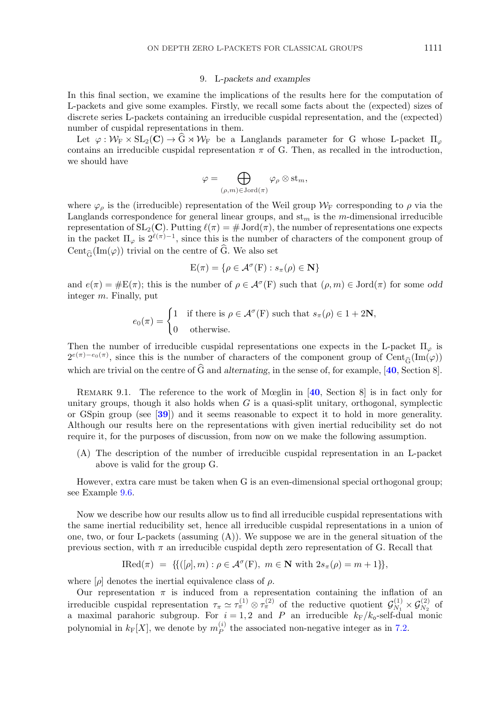#### 9. L*-packets and examples*

<span id="page-28-0"></span>In this final section, we examine the implications of the results here for the computation of L-packets and give some examples. Firstly, we recall some facts about the (expected) sizes of discrete series L-packets containing an irreducible cuspidal representation, and the (expected) number of cuspidal representations in them.

Let  $\varphi : \mathcal{W}_{F} \times SL_2(\mathbf{C}) \to \widehat{G} \rtimes \mathcal{W}_{F}$  be a Langlands parameter for G whose L-packet  $\Pi_{\varphi}$ contains an irreducible cuspidal representation  $\pi$  of G. Then, as recalled in the introduction, we should have

$$
\varphi=\bigoplus_{(\rho,m)\in {\rm Jord}(\pi)}\varphi_{\rho}\otimes {\rm st}_m,
$$

where  $\varphi_{\rho}$  is the (irreducible) representation of the Weil group  $\mathcal{W}_{\mathrm{F}}$  corresponding to  $\rho$  via the Langlands correspondence for general linear groups, and  $st_m$  is the m-dimensional irreducible representation of  $SL_2(\mathbb{C})$ . Putting  $\ell(\pi) = \# \mathrm{Jord}(\pi)$ , the number of representations one expects in the packet  $\Pi_{\varphi}$  is  $2^{\ell(\pi)-1}$ , since this is the number of characters of the component group of Cent<sub> $\hat{G}$ </sub>(Im( $\varphi$ )) trivial on the centre of  $\hat{G}$ . We also set  $\mathfrak{F}(\mathrm{Im}(\varphi))$  trivial on the centre of G. We also set

$$
E(\pi) = \{ \rho \in \mathcal{A}^{\sigma}(F) : s_{\pi}(\rho) \in \mathbf{N} \}
$$

and  $e(\pi) = \#E(\pi)$ ; this is the number of  $\rho \in \mathcal{A}^{\sigma}(F)$  such that  $(\rho, m) \in \text{Jord}(\pi)$  for some *odd* integer m. Finally, put

$$
e_0(\pi) = \begin{cases} 1 & \text{if there is } \rho \in \mathcal{A}^\sigma(\mathcal{F}) \text{ such that } s_\pi(\rho) \in 1 + 2\mathbf{N}, \\ 0 & \text{otherwise.} \end{cases}
$$

Then the number of irreducible cuspidal representations one expects in the L-packet  $\Pi_{\varphi}$  is Then the number of irreducible cuspidal representations one expects in the L-packet  $\Pi_{\varphi}$  is  $2^{e(\pi)-e_0(\pi)}$ , since this is the number of characters of the component group of Cent<sub> $\tilde{G}(\text{Im}(\varphi))$ </sub> which are trivial on the centre of G and alternating, in the sense of, for example,  $[40, \text{Section 8}]$  $[40, \text{Section 8}]$  $[40, \text{Section 8}]$ .

Remark 9.1. The reference to the work of Mœglin in [**[40](#page-36-0)**, Section 8] is in fact only for unitary groups, though it also holds when  $G$  is a quasi-split unitary, orthogonal, symplectic or GSpin group (see [**[39](#page-36-0)**]) and it seems reasonable to expect it to hold in more generality. Although our results here on the representations with given inertial reducibility set do not require it, for the purposes of discussion, from now on we make the following assumption.

(A) The description of the number of irreducible cuspidal representation in an L-packet above is valid for the group G.

However, extra care must be taken when G is an even-dimensional special orthogonal group; see Example [9.6.](#page-33-0)

Now we describe how our results allow us to find all irreducible cuspidal representations with the same inertial reducibility set, hence all irreducible cuspidal representations in a union of one, two, or four L-packets (assuming  $(A)$ ). We suppose we are in the general situation of the previous section, with  $\pi$  an irreducible cuspidal depth zero representation of G. Recall that

$$
\text{IRed}(\pi) \ = \ \{ \{ ([\rho], m) : \rho \in \mathcal{A}^{\sigma}(\mathcal{F}), \ m \in \mathbf{N} \text{ with } 2s_{\pi}(\rho) = m + 1 \} \},
$$

where  $[\rho]$  denotes the inertial equivalence class of  $\rho$ .

Our representation  $\pi$  is induced from a representation containing the inflation of an irreducible cuspidal representation  $\tau_{\pi} \simeq \tau_{\pi}^{(1)} \otimes \tau_{\pi}^{(2)}$  of the reductive quotient  $\mathcal{G}_{N_1}^{(1)} \times \mathcal{G}_{N_2}^{(2)}$  of a maximal parahoric subgroup. For  $i = 1, 2$  and P an irreducible  $k_F/k_o$ -self-dual monic polynomial in  $k_F[X]$ , we denote by  $m_P^{(i)}$  the associated non-negative integer as in [7.2.](#page-15-0)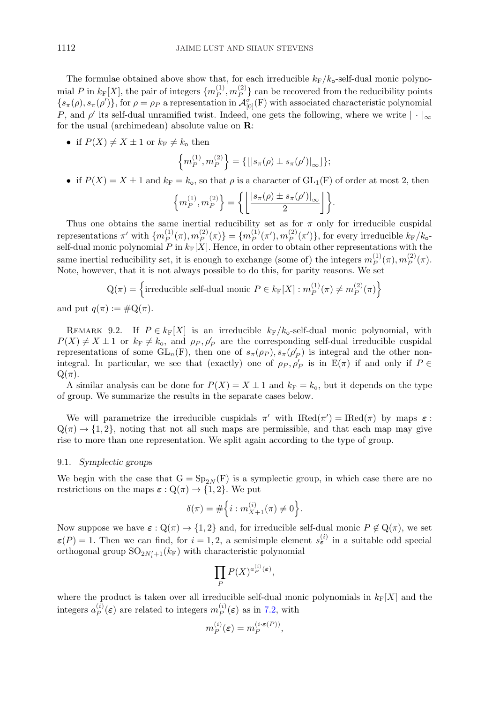<span id="page-29-0"></span>The formulae obtained above show that, for each irreducible  $k_F/k_o$ -self-dual monic polynomial P in  $k_F[X]$ , the pair of integers  $\{m_P^{(1)}, m_P^{(2)}\}$  can be recovered from the reducibility points  ${s_{\pi}(\rho), s_{\pi}(\rho')}$ , for  $\rho = \rho_P$  a representation in  $\mathcal{A}_{[0]}^{\sigma}(F)$  with associated characteristic polynomial P, and  $\rho'$  its self-dual unramified twist. Indeed, one gets the following, where we write  $|\cdot|_{\infty}$ for the usual (archimedean) absolute value on **R**:

• if  $P(X) \neq X \pm 1$  or  $k_F \neq k_o$  then

$$
\left\{ m_P^{(1)}, m_P^{(2)} \right\} = \{ \lfloor |s_\pi(\rho) \pm s_\pi(\rho')|_\infty \rfloor \};
$$

• if  $P(X) = X \pm 1$  and  $k_F = k_o$ , so that  $\rho$  is a character of  $GL_1(F)$  of order at most 2, then

$$
\left\{m_P^{(1)}, m_P^{(2)}\right\} = \left\{ \left\lfloor \frac{|s_\pi(\rho) \pm s_\pi(\rho')|_\infty}{2} \right\rfloor \right\}.
$$

Thus one obtains the same inertial reducibility set as for  $\pi$  only for irreducible cuspidal representations  $\pi'$  with  $\{m_P^{(1)}(\pi), m_P^{(2)}(\pi)\} = \{m_P^{(1)}(\pi'), m_P^{(2)}(\pi')\}$ , for every irreducible  $k_F/k_o$ self-dual monic polynomial P in  $k_{\text{F}}[X]$ . Hence, in order to obtain other representations with the same inertial reducibility set, it is enough to exchange (some of) the integers  $m_P^{(1)}(\pi), m_P^{(2)}(\pi)$ . Note, however, that it is not always possible to do this, for parity reasons. We set

 $Q(\pi) = \left\{ \text{irreducible self-dual monic } P \in k_{\text{F}}[X] : m_P^{(1)}(\pi) \neq m_P^{(2)}(\pi) \right\}$ 

and put  $q(\pi) := \#Q(\pi)$ .

REMARK 9.2. If  $P \in k_{\mathbb{F}}[X]$  is an irreducible  $k_{\mathbb{F}}/k_{\text{o}}$ -self-dual monic polynomial, with  $P(X) \neq X \pm 1$  or  $k_F \neq k_o$ , and  $\rho_P, \rho_P$  are the corresponding self-dual irreducible cuspidal representations of some  $GL_n(F)$ , then one of  $s_{\pi}(\rho_P), s_{\pi}(\rho_P')$  is integral and the other nonintegral. In particular, we see that (exactly) one of  $\rho_P$ ,  $\rho'_P$  is in  $E(\pi)$  if and only if  $P \in$  $Q(\pi)$ .

A similar analysis can be done for  $P(X) = X \pm 1$  and  $k_F = k_o$ , but it depends on the type of group. We summarize the results in the separate cases below.

We will parametrize the irreducible cuspidals  $\pi'$  with  $\text{IRed}(\pi') = \text{IRed}(\pi)$  by maps  $\varepsilon$ :  $Q(\pi) \rightarrow \{1, 2\}$ , noting that not all such maps are permissible, and that each map may give rise to more than one representation. We split again according to the type of group.

#### 9.1. *Symplectic groups*

We begin with the case that  $G = Sp_{2N}(F)$  is a symplectic group, in which case there are no restrictions on the maps  $\varepsilon$  :  $Q(\pi) \rightarrow \{1, 2\}$ . We put

$$
\delta(\pi) = \#\Big\{ i : m_{X+1}^{(i)}(\pi) \neq 0 \Big\}.
$$

Now suppose we have  $\varepsilon: \mathbb{Q}(\pi) \to \{1,2\}$  and, for irreducible self-dual monic  $P \notin \mathbb{Q}(\pi)$ , we set  $\varepsilon(P) = 1$ . Then we can find, for  $i = 1, 2$ , a semisimple element  $s_{\varepsilon}^{(i)}$  in a suitable odd special orthogonal group  $\mathrm{SO}_{2N'_i+1}(k_{\mathrm{F}})$  with characteristic polynomial

$$
\prod_P P(X)^{a_P^{(i)}(\varepsilon)},
$$

where the product is taken over all irreducible self-dual monic polynomials in  $k_F[X]$  and the integers  $a_P^{(i)}(\varepsilon)$  are related to integers  $m_P^{(i)}(\varepsilon)$  as in [7.2,](#page-15-0) with

$$
m_P^{(i)}(\varepsilon) = m_P^{(i \cdot \varepsilon(P))},
$$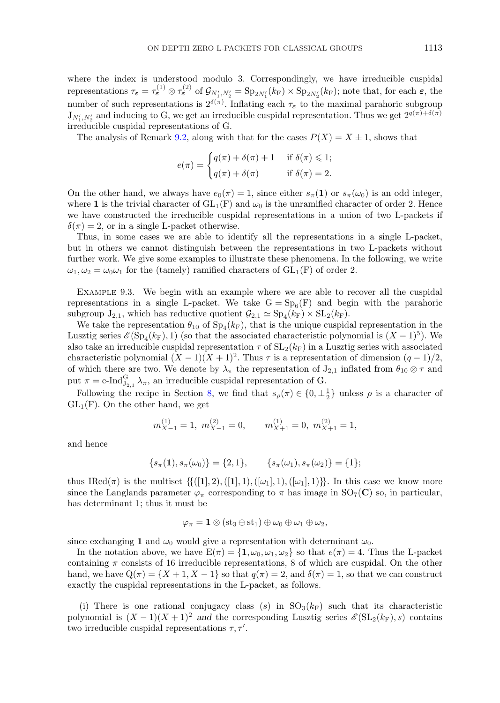<span id="page-30-0"></span>where the index is understood modulo 3. Correspondingly, we have irreducible cuspidal  $\tau_{\varepsilon} = \tau_{\varepsilon}^{(1)} \otimes \tau_{\varepsilon}^{(2)}$  of  $\mathcal{G}_{N_1',N_2'} = \text{Sp}_{2N_1'}(k_{\text{F}}) \times \text{Sp}_{2N_2'}(k_{\text{F}})$ ; note that, for each  $\varepsilon$ , the number of such representations is  $2^{\delta(\pi)}$ . Inflating each  $\tau_{\epsilon}$  to the maximal parahoric subgroup  $J_{N'_1,N'_2}$  and inducing to G, we get an irreducible cuspidal representation. Thus we get  $2^{q(\pi)+\delta(\pi)}$ irreducible cuspidal representations of G.

The analysis of Remark [9.2,](#page-29-0) along with that for the cases  $P(X) = X \pm 1$ , shows that

$$
e(\pi) = \begin{cases} q(\pi) + \delta(\pi) + 1 & \text{if } \delta(\pi) \leq 1; \\ q(\pi) + \delta(\pi) & \text{if } \delta(\pi) = 2. \end{cases}
$$

On the other hand, we always have  $e_0(\pi) = 1$ , since either  $s_{\pi}(1)$  or  $s_{\pi}(\omega_0)$  is an odd integer, where **1** is the trivial character of  $GL_1(F)$  and  $\omega_0$  is the unramified character of order 2. Hence we have constructed the irreducible cuspidal representations in a union of two L-packets if  $\delta(\pi) = 2$ , or in a single L-packet otherwise.

Thus, in some cases we are able to identify all the representations in a single L-packet, but in others we cannot distinguish between the representations in two L-packets without further work. We give some examples to illustrate these phenomena. In the following, we write  $\omega_1, \omega_2 = \omega_0 \omega_1$  for the (tamely) ramified characters of  $GL_1(F)$  of order 2.

Example 9.3. We begin with an example where we are able to recover all the cuspidal representations in a single L-packet. We take  $G = Sp_6(F)$  and begin with the parahoric subgroup  $J_{2,1}$ , which has reductive quotient  $\mathcal{G}_{2,1} \simeq Sp_4(k_F) \times SL_2(k_F)$ .

We take the representation  $\theta_{10}$  of  $Sp_4(k_F)$ , that is the unique cuspidal representation in the Lusztig series  $\mathscr{E}(\mathrm{Sp}_4(k_F), 1)$  (so that the associated characteristic polynomial is  $(X - 1)^5$ ). We also take an irreducible cuspidal representation  $\tau$  of  $SL_2(k_F)$  in a Lusztig series with associated characteristic polynomial  $(X - 1)(X + 1)^2$ . Thus  $\tau$  is a representation of dimension  $(q - 1)/2$ , of which there are two. We denote by  $\lambda_{\pi}$  the representation of  $J_{2,1}$  inflated from  $\theta_{10} \otimes \tau$  and put  $\pi = \text{c-Ind}_{J_{2,1}}^G \lambda_{\pi}$ , an irreducible cuspidal representation of G.

Following the recipe in Section [8,](#page-24-0) we find that  $s_\rho(\pi) \in \{0, \pm \frac{1}{2}\}\$  unless  $\rho$  is a character of  $GL_1(F)$ . On the other hand, we get

$$
m_{X-1}^{(1)} = 1
$$
,  $m_{X-1}^{(2)} = 0$ ,  $m_{X+1}^{(1)} = 0$ ,  $m_{X+1}^{(2)} = 1$ ,

and hence

$$
\{s_{\pi}(1), s_{\pi}(\omega_0)\} = \{2, 1\}, \qquad \{s_{\pi}(\omega_1), s_{\pi}(\omega_2)\} = \{1\};
$$

thus IRed( $\pi$ ) is the multiset  $\{([1], 2), ([1], 1), ([\omega_1], 1), ([\omega_1], 1)\}$ . In this case we know more since the Langlands parameter  $\varphi_{\pi}$  corresponding to  $\pi$  has image in SO<sub>7</sub>(**C**) so, in particular, has determinant 1; thus it must be

$$
\varphi_{\pi} = \mathbf{1} \otimes (\mathop{\mathrm{st}}\nolimits_3 \oplus \mathop{\mathrm{st}}\nolimits_1) \oplus \omega_0 \oplus \omega_1 \oplus \omega_2,
$$

since exchanging **1** and  $\omega_0$  would give a representation with determinant  $\omega_0$ .

In the notation above, we have  $E(\pi) = \{1, \omega_0, \omega_1, \omega_2\}$  so that  $e(\pi) = 4$ . Thus the L-packet containing  $\pi$  consists of 16 irreducible representations, 8 of which are cuspidal. On the other hand, we have  $Q(\pi) = \{X + 1, X - 1\}$  so that  $q(\pi) = 2$ , and  $\delta(\pi) = 1$ , so that we can construct exactly the cuspidal representations in the L-packet, as follows.

(i) There is one rational conjugacy class (s) in  $SO<sub>3</sub>(k<sub>F</sub>)$  such that its characteristic polynomial is  $(X - 1)(X + 1)^2$  *and* the corresponding Lusztig series  $\mathscr{E}(\mathrm{SL}_2(k_F), s)$  contains two irreducible cuspidal representations  $\tau, \tau'$ .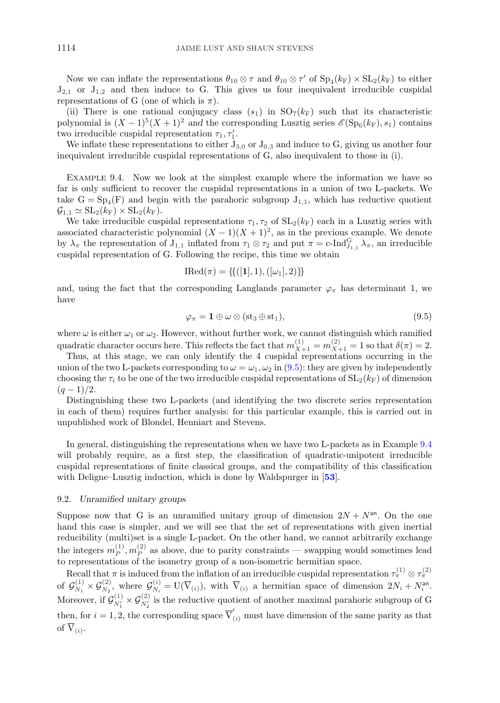<span id="page-31-0"></span>Now we can inflate the representations  $\theta_{10} \otimes \tau$  and  $\theta_{10} \otimes \tau'$  of  $Sp_4(k_F) \times SL_2(k_F)$  to either  $J_{2,1}$  or  $J_{1,2}$  and then induce to G. This gives us four inequivalent irreducible cuspidal representations of G (one of which is  $\pi$ ).

(ii) There is one rational conjugacy class  $(s_1)$  in  $SO_7(k_F)$  such that its characteristic polynomial is  $(X - 1)^5(X + 1)^2$  *and* the corresponding Lusztig series  $\mathscr{E}(\text{Sp}_6(k_F), s_1)$  contains two irreducible cuspidal representation  $\tau_1, \tau_1'.$ 

We inflate these representations to either  $J_{3,0}$  or  $J_{0,3}$  and induce to G, giving us another four inequivalent irreducible cuspidal representations of G, also inequivalent to those in (i).

EXAMPLE 9.4. Now we look at the simplest example where the information we have so far is only sufficient to recover the cuspidal representations in a union of two L-packets. We take  $G = Sp_4(F)$  and begin with the parahoric subgroup  $J_{1,1}$ , which has reductive quotient  $\mathcal{G}_{1,1} \simeq SL_2(k_F) \times SL_2(k_F).$ 

We take irreducible cuspidal representations  $\tau_1, \tau_2$  of  $SL_2(k_F)$  each in a Lusztig series with associated characteristic polynomial  $(X - 1)(X + 1)^2$ , as in the previous example. We denote by  $\lambda_{\pi}$  the representation of  $J_{1,1}$  inflated from  $\tau_1 \otimes \tau_2$  and put  $\pi = c$ -Ind ${}_{J_{1,1}}^G \lambda_{\pi}$ , an irreducible cuspidal representation of G. Following the recipe, this time we obtain

$$
IRed(\pi) = \{ \{ ([1], 1), ([\omega_1], 2) \} \}
$$

and, using the fact that the corresponding Langlands parameter  $\varphi_{\pi}$  has determinant 1, we have

$$
\varphi_{\pi} = \mathbf{1} \oplus \omega \otimes (\text{st}_3 \oplus \text{st}_1), \tag{9.5}
$$

where  $\omega$  is either  $\omega_1$  or  $\omega_2$ . However, without further work, we cannot distinguish which ramified quadratic character occurs here. This reflects the fact that  $m_{X+1}^{(1)} = m_{X+1}^{(2)} = 1$  so that  $\delta(\pi) = 2$ .

Thus, at this stage, we can only identify the 4 cuspidal representations occurring in the union of the two L-packets corresponding to  $\omega = \omega_1, \omega_2$  in (9.5): they are given by independently choosing the  $\tau_i$  to be one of the two irreducible cuspidal representations of  $SL_2(k_F)$  of dimension  $(q-1)/2$ .

Distinguishing these two L-packets (and identifying the two discrete series representation in each of them) requires further analysis: for this particular example, this is carried out in unpublished work of Blondel, Henniart and Stevens.

In general, distinguishing the representations when we have two L-packets as in Example 9.4 will probably require, as a first step, the classification of quadratic-unipotent irreducible cuspidal representations of finite classical groups, and the compatibility of this classification with Deligne–Lusztig induction, which is done by Waldspurger in [**[53](#page-37-0)**].

## 9.2. *Unramified unitary groups*

Suppose now that G is an unramified unitary group of dimension  $2N + N<sup>an</sup>$ . On the one hand this case is simpler, and we will see that the set of representations with given inertial reducibility (multi)set is a single L-packet. On the other hand, we cannot arbitrarily exchange the integers  $m_P^{(1)}$ ,  $m_P^{(2)}$  as above, due to parity constraints — swapping would sometimes lead to representations of the isometry group of a non-isometric hermitian space.

Recall that  $\pi$  is induced from the inflation of an irreducible cuspidal representation  $\tau_{\pi}^{(1)} \otimes \tau_{\pi}^{(2)}$ of  $\mathcal{G}_{N_1}^{(1)} \times \mathcal{G}_{N_2}^{(2)}$ , where  $\mathcal{G}_{N_i}^{(i)} = U(\overline{V}_{(i)})$ , with  $\overline{V}_{(i)}$  a hermitian space of dimension  $2N_i + N_i^{\text{an}}$ . Moreover, if  $\mathcal{G}_{N'_1}^{(1)} \times \mathcal{G}_{N'_2}^{(2)}$  is the reductive quotient of another maximal parahoric subgroup of G then, for  $i = 1, 2$ , the corresponding space  $\overline{V}'_{(i)}$  must have dimension of the same parity as that of  $\overline{V}_{(i)}$ .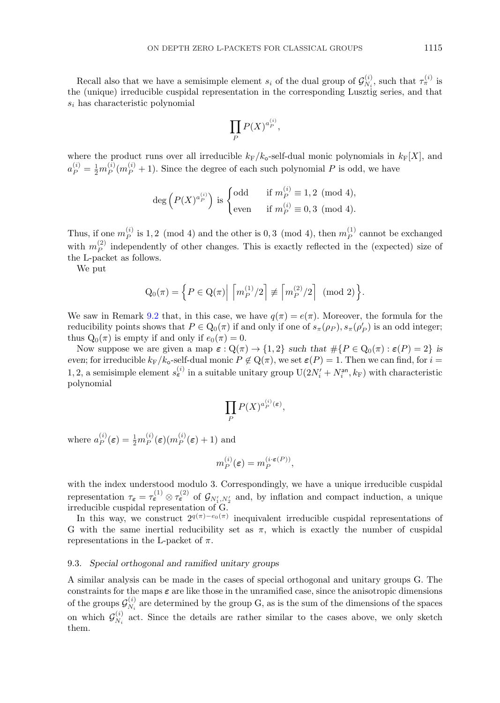Recall also that we have a semisimple element  $s_i$  of the dual group of  $\mathcal{G}_{N_i}^{(i)}$ , such that  $\tau_{\pi}^{(i)}$  is the (unique) irreducible cuspidal representation in the corresponding Lusztig series, and that  $s_i$  has characteristic polynomial

$$
\prod_P P(X)^{a_P^{(i)}},
$$

where the product runs over all irreducible  $k_F/k_o$ -self-dual monic polynomials in  $k_F[X]$ , and  $a_P^{(i)} = \frac{1}{2} m_P^{(i)}(m_P^{(i)} + 1)$ . Since the degree of each such polynomial P is odd, we have

$$
\deg\left(P(X)^{a_P^{(i)}}\right) \text{ is }\begin{cases} \text{odd} & \text{if } m_P^{(i)} \equiv 1,2 \pmod{4}, \\ \text{even} & \text{if } m_P^{(i)} \equiv 0,3 \pmod{4}. \end{cases}
$$

Thus, if one  $m_P^{(i)}$  is 1, 2 (mod 4) and the other is 0, 3 (mod 4), then  $m_P^{(1)}$  cannot be exchanged with  $m_P^{(2)}$  independently of other changes. This is exactly reflected in the (expected) size of the L-packet as follows.

We put

$$
Q_0(\pi) = \left\{ P \in Q(\pi) \middle| \left[ m_P^{(1)}/2 \right] \not\equiv \left[ m_P^{(2)}/2 \right] \pmod{2} \right\}.
$$

We saw in Remark [9.2](#page-29-0) that, in this case, we have  $q(\pi) = e(\pi)$ . Moreover, the formula for the reducibility points shows that  $P \in Q_0(\pi)$  if and only if one of  $s_{\pi}(\rho_P), s_{\pi}(\rho_P')$  is an odd integer; thus  $Q_0(\pi)$  is empty if and only if  $e_0(\pi) = 0$ .

Now suppose we are given a map  $\varepsilon$  :  $Q(\pi) \to \{1,2\}$  *such that*  $\#\{P \in Q_0(\pi) : \varepsilon(P) = 2\}$  *is even*; for irreducible  $k_F/k_o$ -self-dual monic  $P \notin \mathrm{Q}(\pi)$ , we set  $\varepsilon(P) = 1$ . Then we can find, for  $i =$ 1, 2, a semisimple element  $s_{\varepsilon}^{(i)}$  in a suitable unitary group  $U(2N'_{i} + N_{i}^{\text{an}}, k_{F})$  with characteristic polynomial

$$
\prod_P P(X)^{a_P^{(i)}(\varepsilon)},
$$

where  $a_P^{(i)}(\varepsilon) = \frac{1}{2} m_P^{(i)}(\varepsilon) (m_P^{(i)}(\varepsilon) + 1)$  and

$$
m_P^{(i)}(\varepsilon) = m_P^{(i \cdot \varepsilon(P))},
$$

with the index understood modulo 3. Correspondingly, we have a unique irreducible cuspidal representation  $\tau_{\epsilon} = \tau_{\epsilon}^{(1)} \otimes \tau_{\epsilon}^{(2)}$  of  $\mathcal{G}_{N_1',N_2'}$  and, by inflation and compact induction, a unique irreducible cuspidal representation of G.

In this way, we construct  $2^{q(\pi)-e_0(\pi)}$  inequivalent irreducible cuspidal representations of G with the same inertial reducibility set as  $\pi$ , which is exactly the number of cuspidal representations in the L-packet of  $\pi$ .

#### 9.3. *Special orthogonal and ramified unitary groups*

A similar analysis can be made in the cases of special orthogonal and unitary groups G. The constraints for the maps *ε* are like those in the unramified case, since the anisotropic dimensions of the groups  $\mathcal{G}_{N_i}^{(i)}$  are determined by the group G, as is the sum of the dimensions of the spaces on which  $\mathcal{G}_{N_i}^{(i)}$  act. Since the details are rather similar to the cases above, we only sketch them.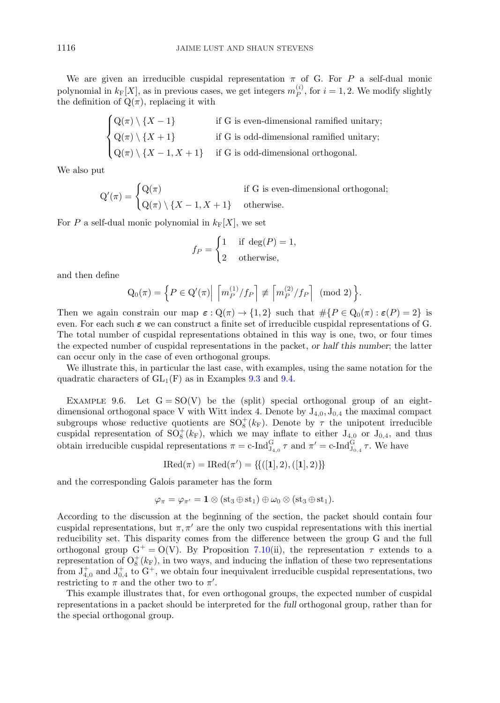<span id="page-33-0"></span>We are given an irreducible cuspidal representation  $\pi$  of G. For P a self-dual monic polynomial in  $k_F[X]$ , as in previous cases, we get integers  $m_P^{(i)}$ , for  $i = 1, 2$ . We modify slightly the definition of  $Q(\pi)$ , replacing it with

$$
\begin{cases} Q(\pi) \setminus \{X-1\} & \text{if G is even-dimensional ramified unitary;} \\ Q(\pi) \setminus \{X+1\} & \text{if G is odd-dimensional ramified unitary;} \\ Q(\pi) \setminus \{X-1, X+1\} & \text{if G is odd-dimensional orthogonal.} \end{cases}
$$

We also put

$$
Q'(\pi) = \begin{cases} Q(\pi) & \text{if } G \text{ is even-dimensional orthogonal;} \\ Q(\pi) \setminus \{X - 1, X + 1\} & \text{otherwise.} \end{cases}
$$

For P a self-dual monic polynomial in  $k_F[X]$ , we set

$$
f_P = \begin{cases} 1 & \text{if } \deg(P) = 1, \\ 2 & \text{otherwise,} \end{cases}
$$

and then define

$$
Q_0(\pi) = \left\{ P \in Q'(\pi) \middle| \left[ m_P^{(1)}/f_P \right] \not\equiv \left[ m_P^{(2)}/f_P \right] \pmod{2} \right\}.
$$

Then we again constrain our map  $\varepsilon$  :  $Q(\pi) \to \{1,2\}$  such that  $\# \{P \in Q_0(\pi) : \varepsilon(P) = 2\}$  is even. For each such *ε* we can construct a finite set of irreducible cuspidal representations of G. The total number of cuspidal representations obtained in this way is one, two, or four times the expected number of cuspidal representations in the packet, *or half this number*; the latter can occur only in the case of even orthogonal groups.

We illustrate this, in particular the last case, with examples, using the same notation for the quadratic characters of  $GL_1(F)$  as in Examples [9.3](#page-30-0) and [9.4.](#page-31-0)

EXAMPLE 9.6. Let  $G = SO(V)$  be the (split) special orthogonal group of an eightdimensional orthogonal space V with Witt index 4. Denote by  $J_{4,0}, J_{0,4}$  the maximal compact subgroups whose reductive quotients are  $SO_8^+(k_F)$ . Denote by  $\tau$  the unipotent irreducible cuspidal representation of  $SO_8^+(k_F)$ , which we may inflate to either  $J_{4,0}$  or  $J_{0,4}$ , and thus obtain irreducible cuspidal representations  $\pi = c$ -Ind $_{J_{4,0}}^G \tau$  and  $\pi' = c$ -Ind $_{J_{0,4}}^G \tau$ . We have

$$
IRed(\pi) = IRed(\pi') = \{ \{ ([1], 2), ([1], 2) \} \}
$$

and the corresponding Galois parameter has the form

$$
\varphi_{\pi}=\varphi_{\pi'}=\mathbf{1}\otimes (\mathrm{st}_3\oplus\mathrm{st}_1)\oplus \omega_0\otimes (\mathrm{st}_3\oplus\mathrm{st}_1).
$$

According to the discussion at the beginning of the section, the packet should contain four cuspidal representations, but  $\pi, \pi'$  are the only two cuspidal representations with this inertial reducibility set. This disparity comes from the difference between the group G and the full orthogonal group  $G^+ = O(V)$ . By Proposition [7.10\(](#page-21-0)ii), the representation  $\tau$  extends to a representation of  $O_8^+(k_F)$ , in two ways, and inducing the inflation of these two representations from  $J_{4,0}^+$  and  $J_{0,4}^+$  to  $G^+$ , we obtain four inequivalent irreducible cuspidal representations, two restricting to  $\pi$  and the other two to  $\pi'$ .

This example illustrates that, for even orthogonal groups, the expected number of cuspidal representations in a packet should be interpreted for the *full* orthogonal group, rather than for the special orthogonal group.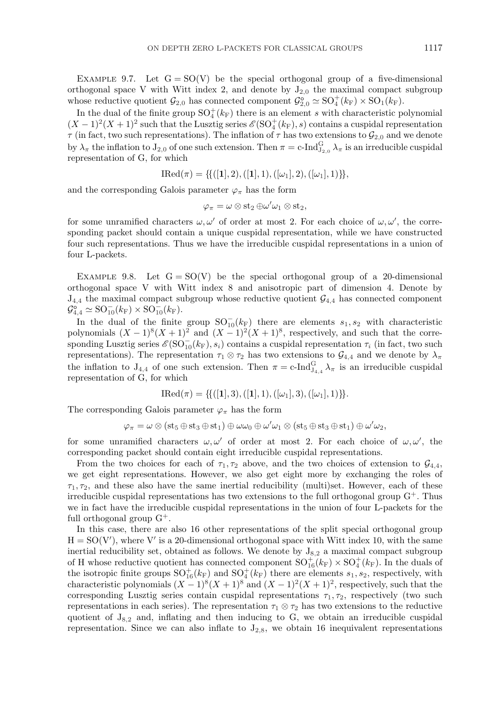<span id="page-34-0"></span>EXAMPLE 9.7. Let  $G = SO(V)$  be the special orthogonal group of a five-dimensional orthogonal space V with Witt index 2, and denote by  $J_{2,0}$  the maximal compact subgroup whose reductive quotient  $\mathcal{G}_{2,0}$  has connected component  $\mathcal{G}_{2,0}^{\circ} \simeq SO_4^+(k_F) \times SO_1(k_F)$ .

In the dual of the finite group  $\mathrm{SO}_4^+(k_F)$  there is an element s with characteristic polynomial  $(X-1)^2(X+1)^2$  such that the Lusztig series  $\mathscr{E}(\mathrm{SO}_4^+(k_F), s)$  contains a cuspidal representation  $\tau$  (in fact, two such representations). The inflation of  $\tau$  has two extensions to  $\mathcal{G}_{2,0}$  and we denote by  $\lambda_{\pi}$  the inflation to  $J_{2,0}$  of one such extension. Then  $\pi = c$ -Ind $_{J_{2,0}}^G \lambda_{\pi}$  is an irreducible cuspidal representation of G, for which

$$
IRed(\pi) = \{ \{ ([1], 2), ([1], 1), ([\omega_1], 2), ([\omega_1], 1) \} \},
$$

and the corresponding Galois parameter  $\varphi_{\pi}$  has the form

$$
\varphi_{\pi}=\omega\otimes\mathrm{st}_2\oplus\omega'\omega_1\otimes\mathrm{st}_2,
$$

for some unramified characters  $\omega, \omega'$  of order at most 2. For each choice of  $\omega, \omega'$ , the corresponding packet should contain a unique cuspidal representation, while we have constructed four such representations. Thus we have the irreducible cuspidal representations in a union of four L-packets.

EXAMPLE 9.8. Let  $G = SO(V)$  be the special orthogonal group of a 20-dimensional orthogonal space V with Witt index 8 and anisotropic part of dimension 4. Denote by  $J_{4,4}$  the maximal compact subgroup whose reductive quotient  $\mathcal{G}_{4,4}$  has connected component  $\mathcal{G}_{4,4}^{\circ} \simeq {\rm SO}^-_{10}(k_{\rm F}) \times {\rm SO}^-_{10}(k_{\rm F}).$ 

In the dual of the finite group  $\mathrm{SO}_{10}^-(k_{\rm F})$  there are elements  $s_1, s_2$  with characteristic polynomials  $(X-1)^{8}(X+1)^{2}$  and  $(X-1)^{2}(X+1)^{8}$ , respectively, and such that the corresponding Lusztig series  $\mathscr{E}(\mathrm{SO}^-_{10}(k_{\mathrm{F}}), s_i)$  contains a cuspidal representation  $\tau_i$  (in fact, two such representations). The representation  $\tau_1 \otimes \tau_2$  has two extensions to  $\mathcal{G}_{4,4}$  and we denote by  $\lambda_{\pi}$ the inflation to  $J_{4,4}$  of one such extension. Then  $\pi = c$ -Ind ${}_{J_{4,4}}^G \lambda_{\pi}$  is an irreducible cuspidal representation of G, for which

$$
IRed(\pi) = \{ \{ ([1],3), ([1],1), ([\omega_1],3), ([\omega_1],1) \} \}.
$$

The corresponding Galois parameter  $\varphi_{\pi}$  has the form

$$
\varphi_{\pi} = \omega \otimes (\mathop{\mathrm{st}}\nolimits_5 \oplus \mathop{\mathrm{st}}\nolimits_3 \oplus \mathop{\mathrm{st}}\nolimits_1) \oplus \omega \omega_0 \oplus \omega' \omega_1 \otimes (\mathop{\mathrm{st}}\nolimits_5 \oplus \mathop{\mathrm{st}}\nolimits_3 \oplus \mathop{\mathrm{st}}\nolimits_1) \oplus \omega' \omega_2,
$$

for some unramified characters  $\omega, \omega'$  of order at most 2. For each choice of  $\omega, \omega'$ , the corresponding packet should contain eight irreducible cuspidal representations.

From the two choices for each of  $\tau_1, \tau_2$  above, and the two choices of extension to  $\mathcal{G}_{4,4}$ , we get eight representations. However, we also get eight more by exchanging the roles of  $\tau_1, \tau_2$ , and these also have the same inertial reducibility (multi)set. However, each of these irreducible cuspidal representations has two extensions to the full orthogonal group  $G^+$ . Thus we in fact have the irreducible cuspidal representations in the union of four L-packets for the full orthogonal group  $G^+$ .

In this case, there are also 16 other representations of the split special orthogonal group  $H = SO(V')$ , where V' is a 20-dimensional orthogonal space with Witt index 10, with the same inertial reducibility set, obtained as follows. We denote by  $J_{8,2}$  a maximal compact subgroup of H whose reductive quotient has connected component  $SO_{16}^+(k_F) \times SO_4^+(k_F)$ . In the duals of the isotropic finite groups  $SO_{16}^+(k_F)$  and  $SO_4^+(k_F)$  there are elements  $s_1, s_2$ , respectively, with characteristic polynomials  $(X - 1)^8(X + 1)^8$  and  $(X - 1)^2(X + 1)^2$ , respectively, such that the corresponding Lusztig series contain cuspidal representations  $\tau_1, \tau_2$ , respectively (two such representations in each series). The representation  $\tau_1 \otimes \tau_2$  has two extensions to the reductive quotient of  $J_{8,2}$  and, inflating and then inducing to G, we obtain an irreducible cuspidal representation. Since we can also inflate to  $J_{2,8}$ , we obtain 16 inequivalent representations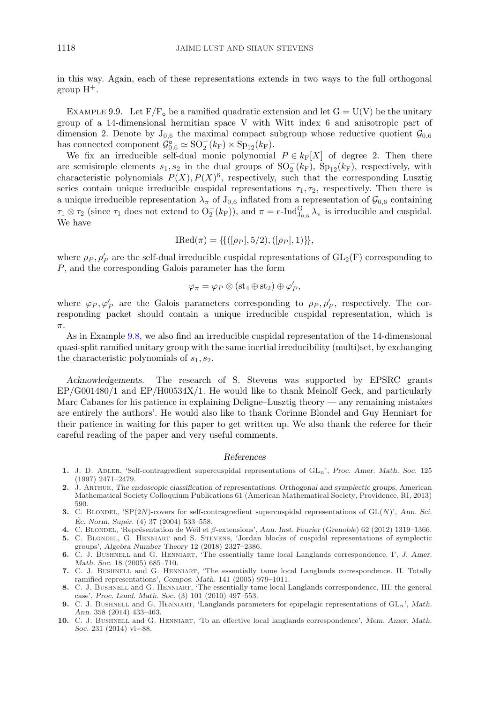<span id="page-35-0"></span>in this way. Again, each of these representations extends in two ways to the full orthogonal group  $H^+$ .

EXAMPLE 9.9. Let  $F/F_{o}$  be a ramified quadratic extension and let  $G = U(V)$  be the unitary group of a 14-dimensional hermitian space V with Witt index 6 and anisotropic part of dimension 2. Denote by  $J_{0,6}$  the maximal compact subgroup whose reductive quotient  $\mathcal{G}_{0,6}$ has connected component  $\mathcal{G}_{0,6}^{\circ} \simeq SO_2^-(k_F) \times Sp_{12}(k_F)$ .

We fix an irreducible self-dual monic polynomial  $P \in k_{\rm F}[X]$  of degree 2. Then there are semisimple elements  $s_1, s_2$  in the dual groups of  $SO_2^-(k_F)$ ,  $Sp_{12}(k_F)$ , respectively, with characteristic polynomials  $P(X), P(X)^6$ , respectively, such that the corresponding Lusztig series contain unique irreducible cuspidal representations  $\tau_1, \tau_2$ , respectively. Then there is a unique irreducible representation  $\lambda_{\pi}$  of  $J_{0,6}$  inflated from a representation of  $\mathcal{G}_{0,6}$  containing  $\tau_1 \otimes \tau_2$  (since  $\tau_1$  does not extend to  $O_2^-(k_F)$ ), and  $\pi = c$ -Ind $_{J_{0,6}}^G \lambda_{\pi}$  is irreducible and cuspidal. We have

$$
IRed(\pi) = \{ \{ ([\rho_P], 5/2), ([\rho_P], 1) \} \},
$$

where  $\rho_P$ ,  $\rho'_P$  are the self-dual irreducible cuspidal representations of  $GL_2(F)$  corresponding to P, and the corresponding Galois parameter has the form

$$
\varphi_{\pi}=\varphi_{P}\otimes (\mathop{\mathrm{st}}\nolimits_4\oplus\mathop{\mathrm{st}}\nolimits_2)\oplus\varphi'_{P},
$$

where  $\varphi_P, \varphi'_P$  are the Galois parameters corresponding to  $\rho_P, \rho'_P$ , respectively. The corresponding packet should contain a unique irreducible cuspidal representation, which is π.

As in Example [9.8,](#page-34-0) we also find an irreducible cuspidal representation of the 14-dimensional quasi-split ramified unitary group with the same inertial irreducibility (multi)set, by exchanging the characteristic polynomials of  $s_1, s_2$ .

*Acknowledgements.* The research of S. Stevens was supported by EPSRC grants EP/G001480/1 and EP/H00534X/1. He would like to thank Meinolf Geck, and particularly Marc Cabanes for his patience in explaining Deligne–Lusztig theory — any remaining mistakes are entirely the authors'. He would also like to thank Corinne Blondel and Guy Henniart for their patience in waiting for this paper to get written up. We also thank the referee for their careful reading of the paper and very useful comments.

#### *References*

- **1.** J. D. Adler, 'Self-contragredient supercuspidal representations of GLn', *Proc. Amer. Math. Soc.* 125 (1997) 2471–2479.
- **2.** J. Arthur, *The endoscopic classification of representations. Orthogonal and symplectic groups*, American Mathematical Society Colloquium Publications 61 (American Mathematical Society, Providence, RI, 2013) 590.
- **3.** C. BLONDEL, 'SP(2N)-covers for self-contragredient supercuspidal representations of GL(N)', Ann. Sci. *Éc. Norm. Supér.* (4) 37 (2004) 533–558.
- **4.** C. Blondel, 'Repr´esentation de Weil et β-extensions', *Ann. Inst. Fourier* (*Grenoble*) 62 (2012) 1319–1366.
- **5.** C. Blondel, G. Henniart and S. Stevens, 'Jordan blocks of cuspidal representations of symplectic groups', *Algebra Number Theory* 12 (2018) 2327–2386.
- **6.** C. J. Bushnell and G. Henniart, 'The essentially tame local Langlands correspondence. I', *J. Amer. Math. Soc.* 18 (2005) 685–710.
- **7.** C. J. Bushnell and G. Henniart, 'The essentially tame local Langlands correspondence. II. Totally ramified representations', *Compos. Math.* 141 (2005) 979–1011.
- **8.** C. J. Bushnell and G. Henniart, 'The essentially tame local Langlands correspondence, III: the general case', *Proc. Lond. Math. Soc.* (3) 101 (2010) 497–553.
- **9.** C. J. BUSHNELL and G. HENNIART, 'Langlands parameters for epipelagic representations of  $GL_n$ ', *Math. Ann.* 358 (2014) 433–463.
- **10.** C. J. Bushnell and G. Henniart, 'To an effective local langlands correspondence', *Mem. Amer. Math. Soc.* 231 (2014) vi+88.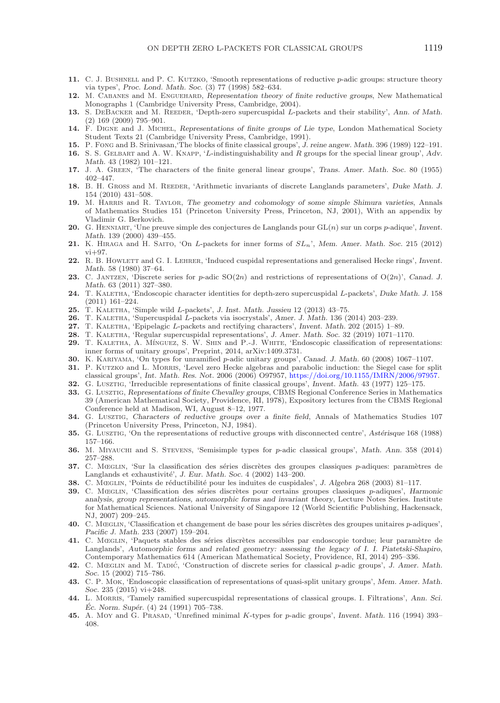- <span id="page-36-0"></span>**11.** C. J. BUSHNELL and P. C. KUTZKO, 'Smooth representations of reductive p-adic groups: structure theory via types', *Proc. Lond. Math. Soc.* (3) 77 (1998) 582–634.
- **12.** M. Cabanes and M. Enguehard, *Representation theory of finite reductive groups*, New Mathematical Monographs 1 (Cambridge University Press, Cambridge, 2004).
- 13. S. DEBACKER and M. REEDER, 'Depth-zero supercuspidal L-packets and their stability', *Ann. of Math.* (2) 169 (2009) 795–901.
- **14.** F. Digne and J. Michel, *Representations of finite groups of Lie type*, London Mathematical Society Student Texts 21 (Cambridge University Press, Cambridge, 1991).
- **15.** P. Fong and B. Srinivasan,'The blocks of finite classical groups', *J. reine angew. Math.* 396 (1989) 122–191.
- **16.** S. S. Gelbart and A. W. Knapp, 'L-indistinguishability and R groups for the special linear group', *Adv. Math.* 43 (1982) 101–121.
- **17.** J. A. Green, 'The characters of the finite general linear groups', *Trans. Amer. Math. Soc.* 80 (1955) 402–447.
- 18. B. H. Gross and M. REEDER, 'Arithmetic invariants of discrete Langlands parameters', *Duke Math. J.* 154 (2010) 431–508.
- **19.** M. Harris and R. Taylor, *The geometry and cohomology of some simple Shimura varieties*, Annals of Mathematics Studies 151 (Princeton University Press, Princeton, NJ, 2001), With an appendix by Vladimir G. Berkovich.
- **20.** G. Henniart, 'Une preuve simple des conjectures de Langlands pour GL(n) sur un corps p-adique', *Invent. Math.* 139 (2000) 439–455.
- **21.** K. Hiraga and H. Saito, 'On L-packets for inner forms of SLn', *Mem. Amer. Math. Soc.* 215 (2012) vi+97.
- **22.** R. B. Howlett and G. I. Lehrer, 'Induced cuspidal representations and generalised Hecke rings', *Invent. Math.* 58 (1980) 37–64.
- **23.** C. Jantzen, 'Discrete series for p-adic SO(2n) and restrictions of representations of O(2n)', *Canad. J. Math.* 63 (2011) 327–380.
- **24.** T. Kaletha, 'Endoscopic character identities for depth-zero supercuspidal L-packets', *Duke Math. J.* 158 (2011) 161–224.
- **25.** T. Kaletha, 'Simple wild L-packets', *J. Inst. Math. Jussieu* 12 (2013) 43–75.
- **26.** T. Kaletha, 'Supercuspidal L-packets via isocrystals', *Amer. J. Math.* 136 (2014) 203–239.
- **27.** T. Kaletha, 'Epipelagic L-packets and rectifying characters', *Invent. Math.* 202 (2015) 1–89.
- **28.** T. Kaletha, 'Regular supercuspidal representations', *J. Amer. Math. Soc.* 32 (2019) 1071–1170.
- 29. T. KALETHA, A. Mínguez, S. W. SHIN and P.-J. WHITE, 'Endoscopic classification of representations: inner forms of unitary groups', Preprint, 2014, arXiv:1409.3731.
- **30.** K. Kariyama, 'On types for unramified p-adic unitary groups', *Canad. J. Math.* 60 (2008) 1067–1107.
- **31.** P. Kutzko and L. Morris, 'Level zero Hecke algebras and parabolic induction: the Siegel case for split classical groups', *Int. Math. Res. Not.* 2006 (2006) O97957, [https://doi.org/10.1155/IMRN/2006/97957.](https://doi.org/10.1155/IMRN/2006/97957)
- **32.** G. Lusztig, 'Irreducible representations of finite classical groups', *Invent. Math.* 43 (1977) 125–175.
- **33.** G. Lusztig, *Representations of finite Chevalley groups*, CBMS Regional Conference Series in Mathematics 39 (American Mathematical Society, Providence, RI, 1978), Expository lectures from the CBMS Regional Conference held at Madison, WI, August 8–12, 1977.
- **34.** G. Lusztig, *Characters of reductive groups over a finite field*, Annals of Mathematics Studies 107 (Princeton University Press, Princeton, NJ, 1984).
- **35.** G. Lusztug, 'On the representations of reductive groups with disconnected centre', *Astérisque* 168 (1988) 157–166.
- **36.** M. Miyauchi and S. Stevens, 'Semisimple types for p-adic classical groups', *Math. Ann.* 358 (2014) 257–288.
- **37.** C. Mœglin, 'Sur la classification des séries discrètes des groupes classiques p-adiques: paramètres de Langlands et exhaustivité', *J. Eur. Math. Soc.* 4 (2002) 143-200.
- **38.** C. MœgLIN, 'Points de réductibilité pour les induites de cuspidales', *J. Algebra* 268 (2003) 81–117.
- **39.** C. Mœglin, 'Classification des séries discrètes pour certains groupes classiques p-adiques', *Harmonic analysis, group representations, automorphic forms and invariant theory*, Lecture Notes Series. Institute for Mathematical Sciences. National University of Singapore 12 (World Scientific Publishing, Hackensack, NJ, 2007) 209–245.
- 40. C. MœGLIN, 'Classification et changement de base pour les séries discrètes des groupes unitaires p-adiques', *Pacific J. Math.* 233 (2007) 159–204.
- 41. C. MœGLIN, 'Paquets stables des séries discrètes accessibles par endoscopie tordue; leur paramètre de Langlands', *Automorphic forms and related geometry: assessing the legacy of I. I. Piatetski-Shapiro*, Contemporary Mathematics 614 (American Mathematical Society, Providence, RI, 2014) 295–336.
- **42.** C. Mœglin and M. Tadic´, 'Construction of discrete series for classical p-adic groups', *J. Amer. Math. Soc.* 15 (2002) 715–786.
- **43.** C. P. Mok, 'Endoscopic classification of representations of quasi-split unitary groups', *Mem. Amer. Math. Soc.* 235 (2015) vi+248.
- **44.** L. Morris, 'Tamely ramified supercuspidal representations of classical groups. I. Filtrations', *Ann. Sci. Ec. Norm. Sup´ ´ er.* (4) 24 (1991) 705–738.
- **45.** A. Moy and G. Prasad, 'Unrefined minimal K-types for p-adic groups', *Invent. Math.* 116 (1994) 393– 408.